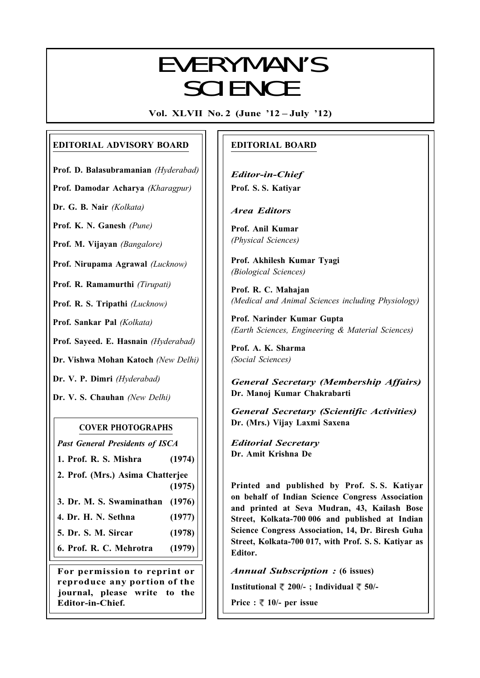# Everyman's Science Vol. XLVII No. 2, June '12 — July '12 EVERYMAN'S **SCIENCE**

Vol. XLVII No. 2 (June '12 – July '12)

# EDITORIAL ADVISORY BOARD

Prof. D. Balasubramanian (Hyderabad)

Prof. Damodar Acharya (Kharagpur)

Dr. G. B. Nair (Kolkata)

Prof. K. N. Ganesh (Pune)

Prof. M. Vijayan (Bangalore)

Prof. Nirupama Agrawal (Lucknow)

Prof. R. Ramamurthi (Tirupati)

Prof. R. S. Tripathi (Lucknow)

Prof. Sankar Pal (Kolkata)

Prof. Sayeed. E. Hasnain (Hyderabad)

Dr. Vishwa Mohan Katoch (New Delhi)

Dr. V. P. Dimri (Hyderabad)

Dr. V. S. Chauhan (New Delhi)

# COVER PHOTOGRAPHS

Past General Presidents of ISCA

1. Prof. R. S. Mishra (1974)

2. Prof. (Mrs.) Asima Chatterjee (1975)

3. Dr. M. S. Swaminathan (1976)

4. Dr. H. N. Sethna (1977)

5. Dr. S. M. Sircar (1978)

6. Prof. R. C. Mehrotra (1979)

For permission to reprint or reproduce any portion of the journal, please write to the Editor-in-Chief.

# EDITORIAL BOARD

Editor-in-Chief Prof. S. S. Katiyar

Area Editors

Prof. Anil Kumar (Physical Sciences)

Prof. Akhilesh Kumar Tyagi (Biological Sciences)

Prof. R. C. Mahajan (Medical and Animal Sciences including Physiology)

Prof. Narinder Kumar Gupta (Earth Sciences, Engineering & Material Sciences)

Prof. A. K. Sharma (Social Sciences)

General Secretary (Membership Affairs) Dr. Manoj Kumar Chakrabarti

General Secretary (Scientific Activities) Dr. (Mrs.) Vijay Laxmi Saxena

Editorial Secretary Dr. Amit Krishna De

Printed and published by Prof. S. S. Katiyar on behalf of Indian Science Congress Association and printed at Seva Mudran, 43, Kailash Bose Street, Kolkata-700 006 and published at Indian Science Congress Association, 14, Dr. Biresh Guha Street, Kolkata-700 017, with Prof. S. S. Katiyar as Editor.

Annual Subscription : (6 issues)

Institutional  $\sqrt[m]{200/-}$ ; Individual  $\sqrt[m]{50/-}$ 

Price :  $\sqrt[m]{ }$  10/- per issue

77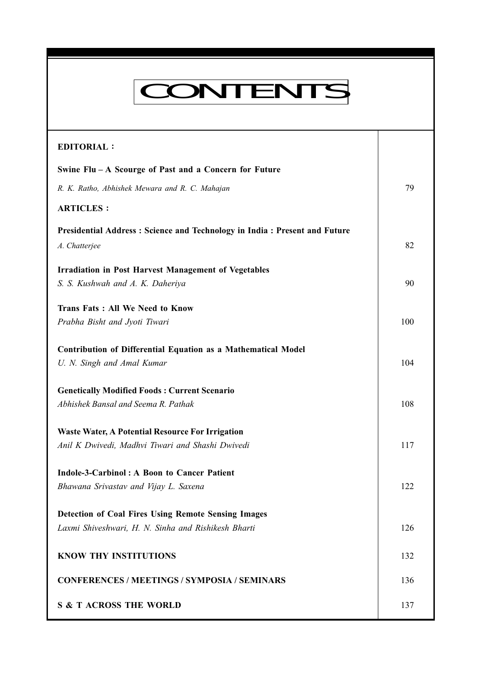# CONTENTS

Everyman's Science Vol. XLVII No. 2, June '12 — July '12

| <b>EDITORIAL:</b>                                                         |     |
|---------------------------------------------------------------------------|-----|
| Swine $Flu - A$ Scourge of Past and a Concern for Future                  |     |
| R. K. Ratho, Abhishek Mewara and R. C. Mahajan                            | 79  |
| <b>ARTICLES:</b>                                                          |     |
| Presidential Address: Science and Technology in India: Present and Future |     |
| A. Chatterjee                                                             | 82  |
| <b>Irradiation in Post Harvest Management of Vegetables</b>               |     |
| S. S. Kushwah and A. K. Daheriya                                          | 90  |
| <b>Trans Fats: All We Need to Know</b>                                    |     |
| Prabha Bisht and Jyoti Tiwari                                             | 100 |
| Contribution of Differential Equation as a Mathematical Model             |     |
| U. N. Singh and Amal Kumar                                                | 104 |
| <b>Genetically Modified Foods: Current Scenario</b>                       |     |
| Abhishek Bansal and Seema R. Pathak                                       | 108 |
| <b>Waste Water, A Potential Resource For Irrigation</b>                   |     |
| Anil K Dwivedi, Madhvi Tiwari and Shashi Dwivedi                          | 117 |
| <b>Indole-3-Carbinol: A Boon to Cancer Patient</b>                        |     |
| Bhawana Srivastav and Vijay L. Saxena                                     | 122 |
| <b>Detection of Coal Fires Using Remote Sensing Images</b>                |     |
| Laxmi Shiveshwari, H. N. Sinha and Rishikesh Bharti                       | 126 |
| KNOW THY INSTITUTIONS                                                     | 132 |
|                                                                           |     |
| <b>CONFERENCES / MEETINGS / SYMPOSIA / SEMINARS</b>                       | 136 |
| <b>S &amp; T ACROSS THE WORLD</b>                                         | 137 |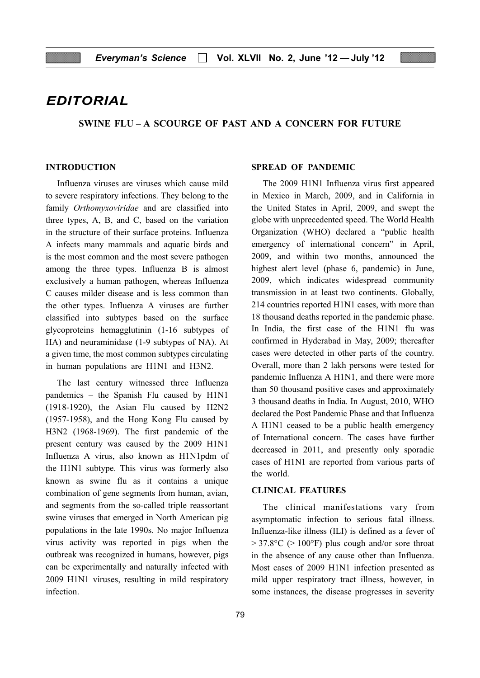# EDITORIAL

# SWINE FLU – A SCOURGE OF PAST AND A CONCERN FOR FUTURE

#### INTRODUCTION

Influenza viruses are viruses which cause mild to severe respiratory infections. They belong to the family Orthomyxoviridae and are classified into three types, A, B, and C, based on the variation in the structure of their surface proteins. Influenza A infects many mammals and aquatic birds and is the most common and the most severe pathogen among the three types. Influenza B is almost exclusively a human pathogen, whereas Influenza C causes milder disease and is less common than the other types. Influenza A viruses are further classified into subtypes based on the surface glycoproteins hemagglutinin (1-16 subtypes of HA) and neuraminidase (1-9 subtypes of NA). At a given time, the most common subtypes circulating in human populations are H1N1 and H3N2.

The last century witnessed three Influenza pandemics – the Spanish Flu caused by H1N1 (1918-1920), the Asian Flu caused by H2N2 (1957-1958), and the Hong Kong Flu caused by H3N2 (1968-1969). The first pandemic of the present century was caused by the 2009 H1N1 Influenza A virus, also known as H1N1pdm of the H1N1 subtype. This virus was formerly also known as swine flu as it contains a unique combination of gene segments from human, avian, and segments from the so-called triple reassortant swine viruses that emerged in North American pig populations in the late 1990s. No major Influenza virus activity was reported in pigs when the outbreak was recognized in humans, however, pigs can be experimentally and naturally infected with 2009 H1N1 viruses, resulting in mild respiratory infection.

#### SPREAD OF PANDEMIC

The 2009 H1N1 Influenza virus first appeared in Mexico in March, 2009, and in California in the United States in April, 2009, and swept the globe with unprecedented speed. The World Health Organization (WHO) declared a "public health emergency of international concern" in April, 2009, and within two months, announced the highest alert level (phase 6, pandemic) in June, 2009, which indicates widespread community transmission in at least two continents. Globally, 214 countries reported H1N1 cases, with more than 18 thousand deaths reported in the pandemic phase. In India, the first case of the H1N1 flu was confirmed in Hyderabad in May, 2009; thereafter cases were detected in other parts of the country. Overall, more than 2 lakh persons were tested for pandemic Influenza A H1N1, and there were more than 50 thousand positive cases and approximately 3 thousand deaths in India. In August, 2010, WHO declared the Post Pandemic Phase and that Influenza A H1N1 ceased to be a public health emergency of International concern. The cases have further decreased in 2011, and presently only sporadic cases of H1N1 are reported from various parts of the world.

### CLINICAL FEATURES

The clinical manifestations vary from asymptomatic infection to serious fatal illness. Influenza-like illness (ILI) is defined as a fever of  $> 37.8$ °C ( $> 100$ °F) plus cough and/or sore throat in the absence of any cause other than Influenza. Most cases of 2009 H1N1 infection presented as mild upper respiratory tract illness, however, in some instances, the disease progresses in severity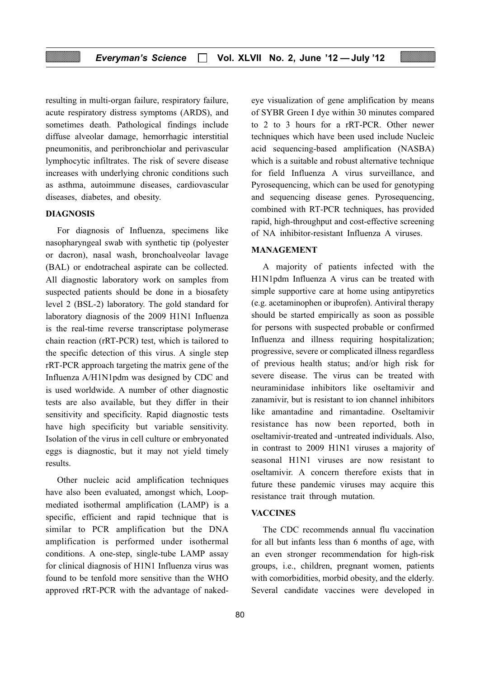resulting in multi-organ failure, respiratory failure, acute respiratory distress symptoms (ARDS), and sometimes death. Pathological findings include diffuse alveolar damage, hemorrhagic interstitial pneumonitis, and peribronchiolar and perivascular lymphocytic infiltrates. The risk of severe disease increases with underlying chronic conditions such as asthma, autoimmune diseases, cardiovascular diseases, diabetes, and obesity.

# DIAGNOSIS

For diagnosis of Influenza, specimens like nasopharyngeal swab with synthetic tip (polyester or dacron), nasal wash, bronchoalveolar lavage (BAL) or endotracheal aspirate can be collected. All diagnostic laboratory work on samples from suspected patients should be done in a biosafety level 2 (BSL-2) laboratory. The gold standard for laboratory diagnosis of the 2009 H1N1 Influenza is the real-time reverse transcriptase polymerase chain reaction (rRT-PCR) test, which is tailored to the specific detection of this virus. A single step rRT-PCR approach targeting the matrix gene of the Influenza A/H1N1pdm was designed by CDC and is used worldwide. A number of other diagnostic tests are also available, but they differ in their sensitivity and specificity. Rapid diagnostic tests have high specificity but variable sensitivity. Isolation of the virus in cell culture or embryonated eggs is diagnostic, but it may not yield timely results.

Other nucleic acid amplification techniques have also been evaluated, amongst which, Loopmediated isothermal amplification (LAMP) is a specific, efficient and rapid technique that is similar to PCR amplification but the DNA amplification is performed under isothermal conditions. A one-step, single-tube LAMP assay for clinical diagnosis of H1N1 Influenza virus was found to be tenfold more sensitive than the WHO approved rRT-PCR with the advantage of nakedeye visualization of gene amplification by means of SYBR Green I dye within 30 minutes compared to 2 to 3 hours for a rRT-PCR. Other newer techniques which have been used include Nucleic acid sequencing-based amplification (NASBA) which is a suitable and robust alternative technique for field Influenza A virus surveillance, and Pyrosequencing, which can be used for genotyping and sequencing disease genes. Pyrosequencing, combined with RT-PCR techniques, has provided rapid, high-throughput and cost-effective screening of NA inhibitor-resistant Influenza A viruses.

# MANAGEMENT

A majority of patients infected with the H1N1pdm Influenza A virus can be treated with simple supportive care at home using antipyretics (e.g. acetaminophen or ibuprofen). Antiviral therapy should be started empirically as soon as possible for persons with suspected probable or confirmed Influenza and illness requiring hospitalization; progressive, severe or complicated illness regardless of previous health status; and/or high risk for severe disease. The virus can be treated with neuraminidase inhibitors like oseltamivir and zanamivir, but is resistant to ion channel inhibitors like amantadine and rimantadine. Oseltamivir resistance has now been reported, both in oseltamivir-treated and -untreated individuals. Also, in contrast to 2009 H1N1 viruses a majority of seasonal H1N1 viruses are now resistant to oseltamivir. A concern therefore exists that in future these pandemic viruses may acquire this resistance trait through mutation.

#### **VACCINES**

The CDC recommends annual flu vaccination for all but infants less than 6 months of age, with an even stronger recommendation for high-risk groups, i.e., children, pregnant women, patients with comorbidities, morbid obesity, and the elderly. Several candidate vaccines were developed in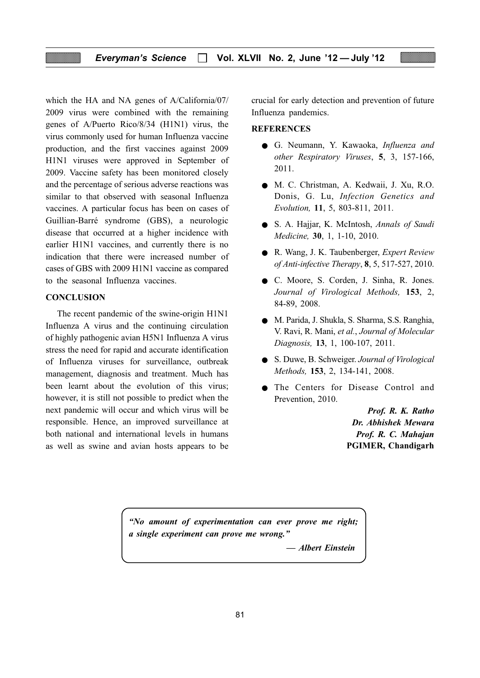# Everyman's Science  $\Box$  Vol. XLVII No. 2, June '12 - July '12

which the HA and NA genes of A/California/07/ 2009 virus were combined with the remaining genes of A/Puerto Rico/8/34 (H1N1) virus, the virus commonly used for human Influenza vaccine production, and the first vaccines against 2009 H1N1 viruses were approved in September of 2009. Vaccine safety has been monitored closely and the percentage of serious adverse reactions was similar to that observed with seasonal Influenza vaccines. A particular focus has been on cases of Guillian-Barré syndrome (GBS), a neurologic disease that occurred at a higher incidence with earlier H1N1 vaccines, and currently there is no indication that there were increased number of cases of GBS with 2009 H1N1 vaccine as compared to the seasonal Influenza vaccines.

# **CONCLUSION**

The recent pandemic of the swine-origin H1N1 Influenza A virus and the continuing circulation of highly pathogenic avian H5N1 Influenza A virus stress the need for rapid and accurate identification of Influenza viruses for surveillance, outbreak management, diagnosis and treatment. Much has been learnt about the evolution of this virus; however, it is still not possible to predict when the next pandemic will occur and which virus will be responsible. Hence, an improved surveillance at both national and international levels in humans as well as swine and avian hosts appears to be crucial for early detection and prevention of future Influenza pandemics.

#### **REFERENCES**

- G. Neumann, Y. Kawaoka, Influenza and other Respiratory Viruses, 5, 3, 157-166, 2011.
- M. C. Christman, A. Kedwaii, J. Xu, R.O. Donis, G. Lu, Infection Genetics and Evolution, 11, 5, 803-811, 2011.
- S. A. Hajjar, K. McIntosh, Annals of Saudi Medicine, 30, 1, 1-10, 2010.
- R. Wang, J. K. Taubenberger, *Expert Review* of Anti-infective Therapy, 8, 5, 517-527, 2010.
- C. Moore, S. Corden, J. Sinha, R. Jones. Journal of Virological Methods, 153, 2, 84-89, 2008.
- M. Parida, J. Shukla, S. Sharma, S.S. Ranghia, V. Ravi, R. Mani, et al., Journal of Molecular Diagnosis, 13, 1, 100-107, 2011.
- S. Duwe, B. Schweiger. Journal of Virological Methods, 153, 2, 134-141, 2008.
- The Centers for Disease Control and Prevention, 2010.

Prof. R. K. Ratho Dr. Abhishek Mewara Prof. R. C. Mahajan PGIMER, Chandigarh

"No amount of experimentation can ever prove me right; a single experiment can prove me wrong."

— Albert Einstein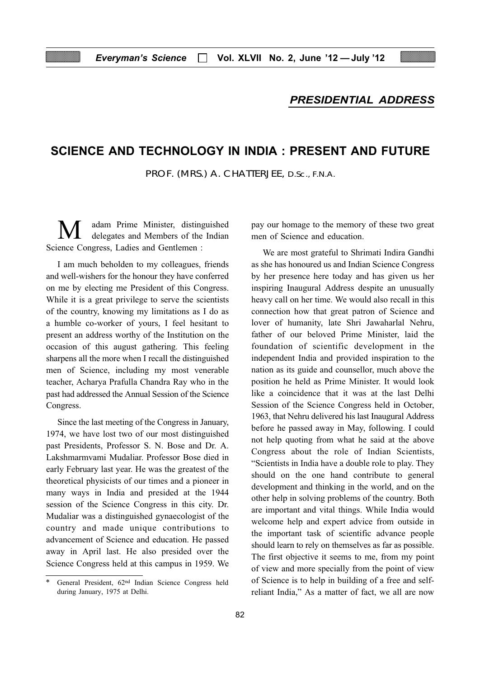# PRESIDENTIAL ADDRESS

# SCIENCE AND TECHNOLOGY IN INDIA : PRESENT AND FUTURE

PROF. (MRS.) A. CHATTERJEE, D.Sc., F.N.A.

adam Prime Minister, distinguished delegates and Members of the Indian Science Congress, Ladies and Gentlemen :

I am much beholden to my colleagues, friends and well-wishers for the honour they have conferred on me by electing me President of this Congress. While it is a great privilege to serve the scientists of the country, knowing my limitations as I do as a humble co-worker of yours, I feel hesitant to present an address worthy of the Institution on the occasion of this august gathering. This feeling sharpens all the more when I recall the distinguished men of Science, including my most venerable teacher, Acharya Prafulla Chandra Ray who in the past had addressed the Annual Session of the Science Congress.

Since the last meeting of the Congress in January, 1974, we have lost two of our most distinguished past Presidents, Professor S. N. Bose and Dr. A. Lakshmarmvami Mudaliar. Professor Bose died in early February last year. He was the greatest of the theoretical physicists of our times and a pioneer in many ways in India and presided at the 1944 session of the Science Congress in this city. Dr. Mudaliar was a distinguished gynaecologist of the country and made unique contributions to advancement of Science and education. He passed away in April last. He also presided over the Science Congress held at this campus in 1959. We pay our homage to the memory of these two great men of Science and education.

We are most grateful to Shrimati Indira Gandhi as she has honoured us and Indian Science Congress by her presence here today and has given us her inspiring Inaugural Address despite an unusually heavy call on her time. We would also recall in this connection how that great patron of Science and lover of humanity, late Shri Jawaharlal Nehru, father of our beloved Prime Minister, laid the foundation of scientific development in the independent India and provided inspiration to the nation as its guide and counsellor, much above the position he held as Prime Minister. It would look like a coincidence that it was at the last Delhi Session of the Science Congress held in October, 1963, that Nehru delivered his last Inaugural Address before he passed away in May, following. I could not help quoting from what he said at the above Congress about the role of Indian Scientists, "Scientists in India have a double role to play. They should on the one hand contribute to general development and thinking in the world, and on the other help in solving problems of the country. Both are important and vital things. While India would welcome help and expert advice from outside in the important task of scientific advance people should learn to rely on themselves as far as possible. The first objective it seems to me, from my point of view and more specially from the point of view of Science is to help in building of a free and selfreliant India," As a matter of fact, we all are now

General President, 62<sup>nd</sup> Indian Science Congress held during January, 1975 at Delhi.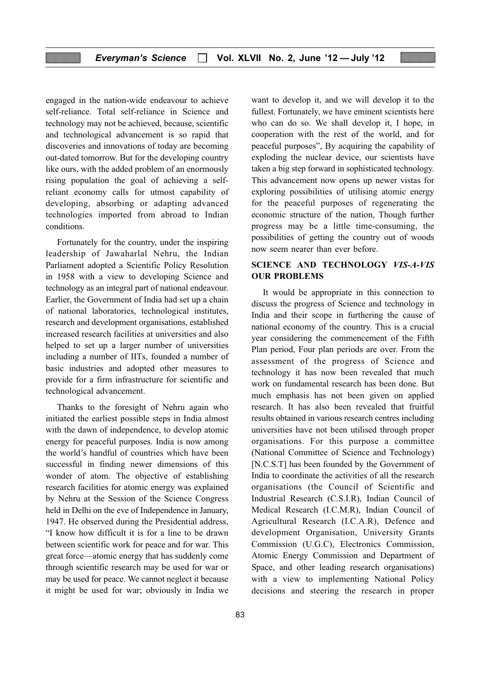engaged in the nation-wide endeavour to achieve self-reliance. Total self-reliance in Science and technology may not be achieved, because, scientific and technological advancement is so rapid that discoveries and innovations of today are becoming out-dated tomorrow. But for the developing country like ours, with the added problem of an enormously rising population the goal of achieving a selfreliant economy calls for utmost capability of developing, absorbing or adapting advanced technologies imported from abroad to Indian conditions.

Fortunately for the country, under the inspiring leadership of Jawaharlal Nehru, the Indian Parliament adopted a Scientific Policy Resolution in 1958 with a view to developing Science and technology as an integral part of national endeavour. Earlier, the Government of India had set up a chain of national laboratories, technological institutes, research and development organisations, established increased research facilities at universities and also helped to set up a larger number of universities including a number of IITs, founded a number of basic industries and adopted other measures to provide for a firm infrastructure for scientific and technological advancement.

Thanks to the foresight of Nehru again who initiated the earliest possible steps in India almost with the dawn of independence, to develop atomic energy for peaceful purposes. India is now among the world's handful of countries which have been successful in finding newer dimensions of this wonder of atom. The objective of establishing research facilities for atomic energy was explained by Nehru at the Session of the Science Congress held in Delhi on the eve of Independence in January, 1947. He observed during the Presidential address, "I know how difficult it is for a line to be drawn between scientific work for peace and for war. This great force—atomic energy that has suddenly come through scientific research may be used for war or may be used for peace. We cannot neglect it because it might be used for war; obviously in India we want to develop it, and we will develop it to the fullest. Fortunately, we have eminent scientists here who can do so. We shall develop it, I hope, in cooperation with the rest of the world, and for peaceful purposes", By acquiring the capability of exploding the nuclear device, our scientists have taken a big step forward in sophisticated technology. This advancement now opens up newer vistas for exploring possibilities of utilising atomic energy for the peaceful purposes of regenerating the economic structure of the nation, Though further progress may be a little time-consuming, the possibilities of getting the country out of woods now seem nearer than ever before.

# SCIENCE AND TECHNOLOGY VIS-A-VIS OUR PROBLEMS

It would be appropriate in this connection to discuss the progress of Science and technology in India and their scope in furthering the cause of national economy of the country. This is a crucial year considering the commencement of the Fifth Plan period, Four plan periods are over. From the assessment of the progress of Science and technology it has now been revealed that much work on fundamental research has been done. But much emphasis has not been given on applied research. It has also been revealed that fruitful results obtained in various research centres including universities have not been utilised through proper organisations. For this purpose a committee (National Committee of Science and Technology) [N.C.S.T] has been founded by the Government of India to coordinate the activities of all the research organisations (the Council of Scientific and Industrial Research (C.S.I.R), Indian Council of Medical Research (I.C.M.R), Indian Council of Agricultural Research (I.C.A.R), Defence and development Organisation, University Grants Commission (U.G.C), Electronics Commission, Atomic Energy Commission and Department of Space, and other leading research organisations) with a view to implementing National Policy decisions and steering the research in proper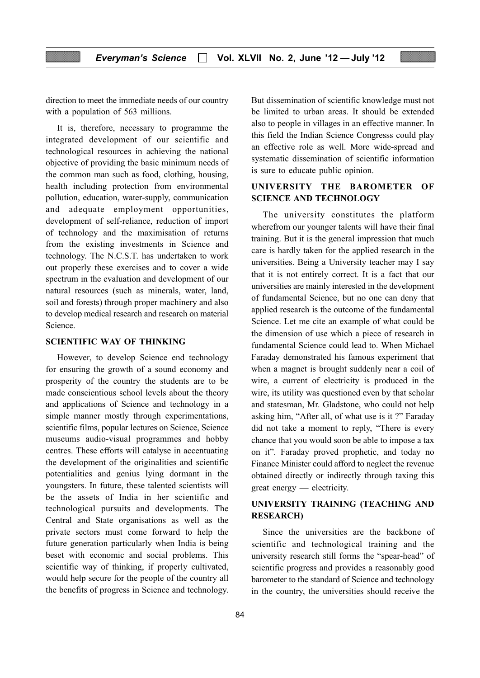direction to meet the immediate needs of our country with a population of 563 millions.

It is, therefore, necessary to programme the integrated development of our scientific and technological resources in achieving the national objective of providing the basic minimum needs of the common man such as food, clothing, housing, health including protection from environmental pollution, education, water-supply, communication and adequate employment opportunities, development of self-reliance, reduction of import of technology and the maximisation of returns from the existing investments in Science and technology. The N.C.S.T. has undertaken to work out properly these exercises and to cover a wide spectrum in the evaluation and development of our natural resources (such as minerals, water, land, soil and forests) through proper machinery and also to develop medical research and research on material Science.

#### SCIENTIFIC WAY OF THINKING

However, to develop Science end technology for ensuring the growth of a sound economy and prosperity of the country the students are to be made conscientious school levels about the theory and applications of Science and technology in a simple manner mostly through experimentations, scientific films, popular lectures on Science, Science museums audio-visual programmes and hobby centres. These efforts will catalyse in accentuating the development of the originalities and scientific potentialities and genius lying dormant in the youngsters. In future, these talented scientists will be the assets of India in her scientific and technological pursuits and developments. The Central and State organisations as well as the private sectors must come forward to help the future generation particularly when India is being beset with economic and social problems. This scientific way of thinking, if properly cultivated, would help secure for the people of the country all the benefits of progress in Science and technology.

But dissemination of scientific knowledge must not be limited to urban areas. It should be extended also to people in villages in an effective manner. In this field the Indian Science Congresss could play an effective role as well. More wide-spread and systematic dissemination of scientific information is sure to educate public opinion.

# UNIVERSITY THE BAROMETER OF SCIENCE AND TECHNOLOGY

The university constitutes the platform wherefrom our younger talents will have their final training. But it is the general impression that much care is hardly taken for the applied research in the universities. Being a University teacher may I say that it is not entirely correct. It is a fact that our universities are mainly interested in the development of fundamental Science, but no one can deny that applied research is the outcome of the fundamental Science. Let me cite an example of what could be the dimension of use which a piece of research in fundamental Science could lead to. When Michael Faraday demonstrated his famous experiment that when a magnet is brought suddenly near a coil of wire, a current of electricity is produced in the wire, its utility was questioned even by that scholar and statesman, Mr. Gladstone, who could not help asking him, "After all, of what use is it ?" Faraday did not take a moment to reply, "There is every chance that you would soon be able to impose a tax on it". Faraday proved prophetic, and today no Finance Minister could afford to neglect the revenue obtained directly or indirectly through taxing this great energy — electricity.

# UNIVERSITY TRAINING (TEACHING AND RESEARCH)

Since the universities are the backbone of scientific and technological training and the university research still forms the "spear-head" of scientific progress and provides a reasonably good barometer to the standard of Science and technology in the country, the universities should receive the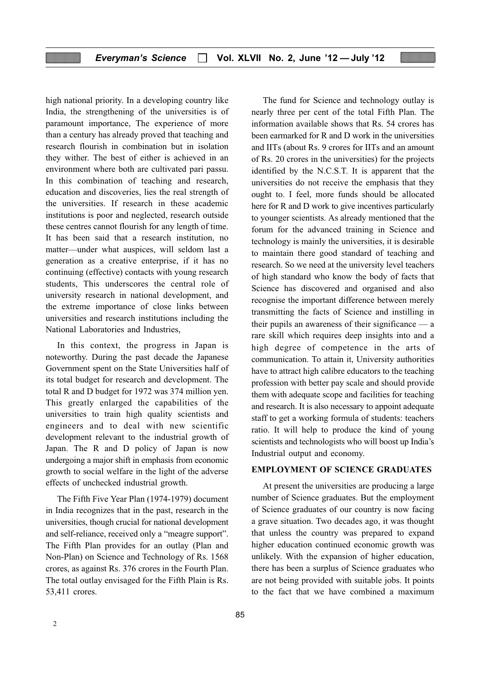# Everyman's Science  $\Box$  Vol. XLVII No. 2, June '12 — July '12

high national priority. In a developing country like India, the strengthening of the universities is of paramount importance, The experience of more than a century has already proved that teaching and research flourish in combination but in isolation they wither. The best of either is achieved in an environment where both are cultivated pari passu. In this combination of teaching and research, education and discoveries, lies the real strength of the universities. If research in these academic institutions is poor and neglected, research outside these centres cannot flourish for any length of time. It has been said that a research institution, no matter—under what auspices, will seldom last a generation as a creative enterprise, if it has no continuing (effective) contacts with young research students, This underscores the central role of university research in national development, and the extreme importance of close links between universities and research institutions including the National Laboratories and Industries,

In this context, the progress in Japan is noteworthy. During the past decade the Japanese Government spent on the State Universities half of its total budget for research and development. The total R and D budget for 1972 was 374 million yen. This greatly enlarged the capabilities of the universities to train high quality scientists and engineers and to deal with new scientific development relevant to the industrial growth of Japan. The R and D policy of Japan is now undergoing a major shift in emphasis from economic growth to social welfare in the light of the adverse effects of unchecked industrial growth.

The Fifth Five Year Plan (1974-1979) document in India recognizes that in the past, research in the universities, though crucial for national development and self-reliance, received only a "meagre support". The Fifth Plan provides for an outlay (Plan and Non-Plan) on Science and Technology of Rs. 1568 crores, as against Rs. 376 crores in the Fourth Plan. The total outlay envisaged for the Fifth Plain is Rs. 53,411 crores.

The fund for Science and technology outlay is nearly three per cent of the total Fifth Plan. The information available shows that Rs. 54 crores has been earmarked for R and D work in the universities and IITs (about Rs. 9 crores for IITs and an amount of Rs. 20 crores in the universities) for the projects identified by the N.C.S.T. It is apparent that the universities do not receive the emphasis that they ought to. I feel, more funds should be allocated here for R and D work to give incentives particularly to younger scientists. As already mentioned that the forum for the advanced training in Science and technology is mainly the universities, it is desirable to maintain there good standard of teaching and research. So we need at the university level teachers of high standard who know the body of facts that Science has discovered and organised and also recognise the important difference between merely transmitting the facts of Science and instilling in their pupils an awareness of their significance — a rare skill which requires deep insights into and a high degree of competence in the arts of communication. To attain it, University authorities have to attract high calibre educators to the teaching profession with better pay scale and should provide them with adequate scope and facilities for teaching and research. It is also necessary to appoint adequate staff to get a working formula of students: teachers ratio. It will help to produce the kind of young scientists and technologists who will boost up India's Industrial output and economy.

# EMPLOYMENT OF SCIENCE GRADUATES

At present the universities are producing a large number of Science graduates. But the employment of Science graduates of our country is now facing a grave situation. Two decades ago, it was thought that unless the country was prepared to expand higher education continued economic growth was unlikely. With the expansion of higher education, there has been a surplus of Science graduates who are not being provided with suitable jobs. It points to the fact that we have combined a maximum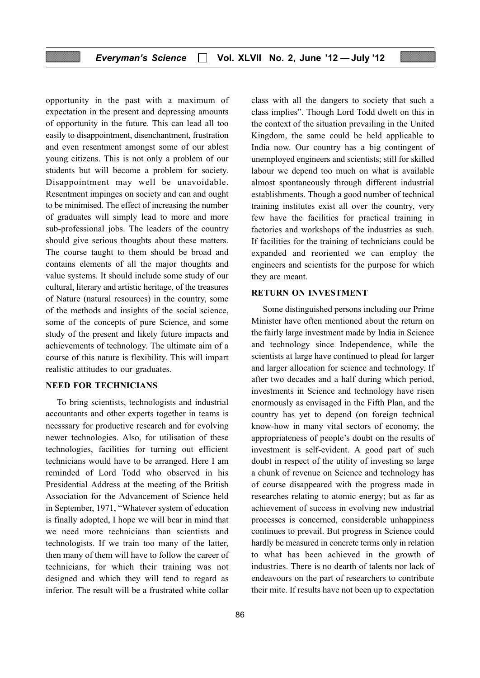opportunity in the past with a maximum of expectation in the present and depressing amounts of opportunity in the future. This can lead all too easily to disappointment, disenchantment, frustration and even resentment amongst some of our ablest young citizens. This is not only a problem of our students but will become a problem for society. Disappointment may well be unavoidable. Resentment impinges on society and can and ought to be minimised. The effect of increasing the number of graduates will simply lead to more and more sub-professional jobs. The leaders of the country should give serious thoughts about these matters. The course taught to them should be broad and contains elements of all the major thoughts and value systems. It should include some study of our cultural, literary and artistic heritage, of the treasures of Nature (natural resources) in the country, some of the methods and insights of the social science, some of the concepts of pure Science, and some study of the present and likely future impacts and achievements of technology. The ultimate aim of a course of this nature is flexibility. This will impart realistic attitudes to our graduates.

#### NEED FOR TECHNICIANS

To bring scientists, technologists and industrial accountants and other experts together in teams is necsssary for productive research and for evolving newer technologies. Also, for utilisation of these technologies, facilities for turning out efficient technicians would have to be arranged. Here I am reminded of Lord Todd who observed in his Presidential Address at the meeting of the British Association for the Advancement of Science held in September, 1971, "Whatever system of education is finally adopted, I hope we will bear in mind that we need more technicians than scientists and technologists. If we train too many of the latter, then many of them will have to follow the career of technicians, for which their training was not designed and which they will tend to regard as inferior. The result will be a frustrated white collar

class with all the dangers to society that such a class implies". Though Lord Todd dwelt on this in the context of the situation prevailing in the United Kingdom, the same could be held applicable to India now. Our country has a big contingent of unemployed engineers and scientists; still for skilled labour we depend too much on what is available almost spontaneously through different industrial establishments. Though a good number of technical training institutes exist all over the country, very few have the facilities for practical training in factories and workshops of the industries as such. If facilities for the training of technicians could be expanded and reoriented we can employ the engineers and scientists for the purpose for which they are meant.

# RETURN ON INVESTMENT

Some distinguished persons including our Prime Minister have often mentioned about the return on the fairly large investment made by India in Science and technology since Independence, while the scientists at large have continued to plead for larger and larger allocation for science and technology. If after two decades and a half during which period, investments in Science and technology have risen enormously as envisaged in the Fifth Plan, and the country has yet to depend (on foreign technical know-how in many vital sectors of economy, the appropriateness of people's doubt on the results of investment is self-evident. A good part of such doubt in respect of the utility of investing so large a chunk of revenue on Science and technology has of course disappeared with the progress made in researches relating to atomic energy; but as far as achievement of success in evolving new industrial processes is concerned, considerable unhappiness continues to prevail. But progress in Science could hardly be measured in concrete terms only in relation to what has been achieved in the growth of industries. There is no dearth of talents nor lack of endeavours on the part of researchers to contribute their mite. If results have not been up to expectation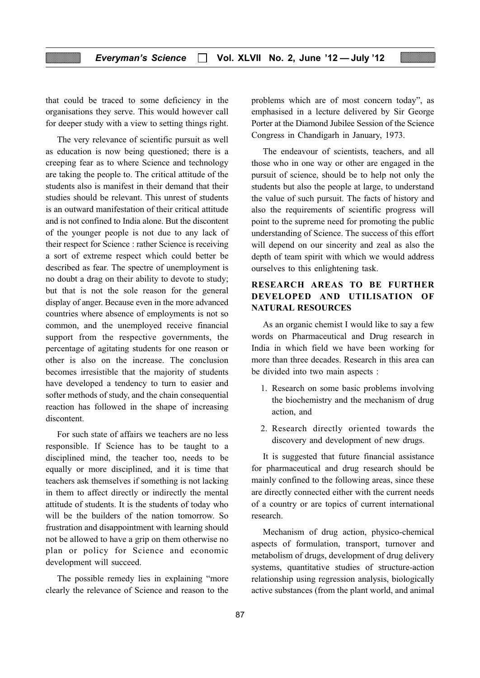that could be traced to some deficiency in the organisations they serve. This would however call for deeper study with a view to setting things right.

The very relevance of scientific pursuit as well as education is now being questioned; there is a creeping fear as to where Science and technology are taking the people to. The critical attitude of the students also is manifest in their demand that their studies should be relevant. This unrest of students is an outward manifestation of their critical attitude and is not confined to India alone. But the discontent of the younger people is not due to any lack of their respect for Science : rather Science is receiving a sort of extreme respect which could better be described as fear. The spectre of unemployment is no doubt a drag on their ability to devote to study; but that is not the sole reason for the general display of anger. Because even in the more advanced countries where absence of employments is not so common, and the unemployed receive financial support from the respective governments, the percentage of agitating students for one reason or other is also on the increase. The conclusion becomes irresistible that the majority of students have developed a tendency to turn to easier and softer methods of study, and the chain consequential reaction has followed in the shape of increasing discontent.

For such state of affairs we teachers are no less responsible. If Science has to be taught to a disciplined mind, the teacher too, needs to be equally or more disciplined, and it is time that teachers ask themselves if something is not lacking in them to affect directly or indirectly the mental attitude of students. It is the students of today who will be the builders of the nation tomorrow. So frustration and disappointment with learning should not be allowed to have a grip on them otherwise no plan or policy for Science and economic development will succeed.

The possible remedy lies in explaining "more clearly the relevance of Science and reason to the

problems which are of most concern today", as emphasised in a lecture delivered by Sir George Porter at the Diamond Jubilee Session of the Science Congress in Chandigarh in January, 1973.

The endeavour of scientists, teachers, and all those who in one way or other are engaged in the pursuit of science, should be to help not only the students but also the people at large, to understand the value of such pursuit. The facts of history and also the requirements of scientific progress will point to the supreme need for promoting the public understanding of Science. The success of this effort will depend on our sincerity and zeal as also the depth of team spirit with which we would address ourselves to this enlightening task.

# RESEARCH AREAS TO BE FURTHER DEVELOPED AND UTILISATION OF NATURAL RESOURCES

As an organic chemist I would like to say a few words on Pharmaceutical and Drug research in India in which field we have been working for more than three decades. Research in this area can be divided into two main aspects :

- 1. Research on some basic problems involving the biochemistry and the mechanism of drug action, and
- 2. Research directly oriented towards the discovery and development of new drugs.

It is suggested that future financial assistance for pharmaceutical and drug research should be mainly confined to the following areas, since these are directly connected either with the current needs of a country or are topics of current international research.

Mechanism of drug action, physico-chemical aspects of formulation, transport, turnover and metabolism of drugs, development of drug delivery systems, quantitative studies of structure-action relationship using regression analysis, biologically active substances (from the plant world, and animal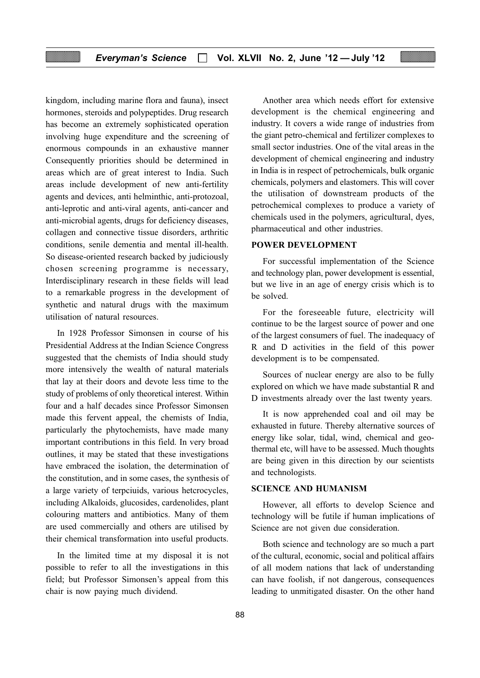kingdom, including marine flora and fauna), insect hormones, steroids and polypeptides. Drug research has become an extremely sophisticated operation involving huge expenditure and the screening of enormous compounds in an exhaustive manner Consequently priorities should be determined in areas which are of great interest to India. Such areas include development of new anti-fertility agents and devices, anti helminthic, anti-protozoal, anti-leprotic and anti-viral agents, anti-cancer and anti-microbial agents, drugs for deficiency diseases, collagen and connective tissue disorders, arthritic conditions, senile dementia and mental ill-health. So disease-oriented research backed by judiciously chosen screening programme is necessary, Interdisciplinary research in these fields will lead to a remarkable progress in the development of synthetic and natural drugs with the maximum utilisation of natural resources.

In 1928 Professor Simonsen in course of his Presidential Address at the Indian Science Congress suggested that the chemists of India should study more intensively the wealth of natural materials that lay at their doors and devote less time to the study of problems of only theoretical interest. Within four and a half decades since Professor Simonsen made this fervent appeal, the chemists of India, particularly the phytochemists, have made many important contributions in this field. In very broad outlines, it may be stated that these investigations have embraced the isolation, the determination of the constitution, and in some cases, the synthesis of a large variety of terpciuids, various hetcrocycles, including Alkaloids, glucosides, cardenolides, plant colouring matters and antibiotics. Many of them are used commercially and others are utilised by their chemical transformation into useful products.

In the limited time at my disposal it is not possible to refer to all the investigations in this field; but Professor Simonsen's appeal from this chair is now paying much dividend.

Another area which needs effort for extensive development is the chemical engineering and industry. It covers a wide range of industries from the giant petro-chemical and fertilizer complexes to small sector industries. One of the vital areas in the development of chemical engineering and industry in India is in respect of petrochemicals, bulk organic chemicals, polymers and elastomers. This will cover the utilisation of downstream products of the petrochemical complexes to produce a variety of chemicals used in the polymers, agricultural, dyes, pharmaceutical and other industries.

# POWER DEVELOPMENT

For successful implementation of the Science and technology plan, power development is essential, but we live in an age of energy crisis which is to be solved.

For the foreseeable future, electricity will continue to be the largest source of power and one of the largest consumers of fuel. The inadequacy of R and D activities in the field of this power development is to be compensated.

Sources of nuclear energy are also to be fully explored on which we have made substantial R and D investments already over the last twenty years.

It is now apprehended coal and oil may be exhausted in future. Thereby alternative sources of energy like solar, tidal, wind, chemical and geothermal etc, will have to be assessed. Much thoughts are being given in this direction by our scientists and technologists.

#### SCIENCE AND HUMANISM

However, all efforts to develop Science and technology will be futile if human implications of Science are not given due consideration.

Both science and technology are so much a part of the cultural, economic, social and political affairs of all modem nations that lack of understanding can have foolish, if not dangerous, consequences leading to unmitigated disaster. On the other hand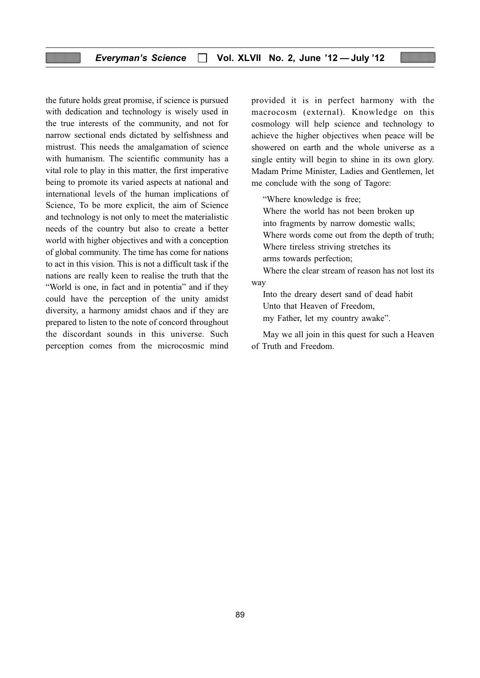# Everyman's Science  $\Box$  Vol. XLVII No. 2, June '12 - July '12

the future holds great promise, if science is pursued with dedication and technology is wisely used in the true interests of the community, and not for narrow sectional ends dictated by selfishness and mistrust. This needs the amalgamation of science with humanism. The scientific community has a vital role to play in this matter, the first imperative being to promote its varied aspects at national and international levels of the human implications of Science, To be more explicit, the aim of Science and technology is not only to meet the materialistic needs of the country but also to create a better world with higher objectives and with a conception of global community. The time has come for nations to act in this vision. This is not a difficult task if the nations are really keen to realise the truth that the "World is one, in fact and in potentia" and if they could have the perception of the unity amidst diversity, a harmony amidst chaos and if they are prepared to listen to the note of concord throughout the discordant sounds in this universe. Such perception comes from the microcosmic mind

provided it is in perfect harmony with the macrocosm (external). Knowledge on this cosmology will help science and technology to achieve the higher objectives when peace will be showered on earth and the whole universe as a single entity will begin to shine in its own glory. Madam Prime Minister, Ladies and Gentlemen, let me conclude with the song of Tagore:

"Where knowledge is free;

Where the world has not been broken up into fragments by narrow domestic walls; Where words come out from the depth of truth; Where tireless striving stretches its arms towards perfection;

Where the clear stream of reason has not lost its way

Into the dreary desert sand of dead habit Unto that Heaven of Freedom, my Father, let my country awake".

May we all join in this quest for such a Heaven of Truth and Freedom.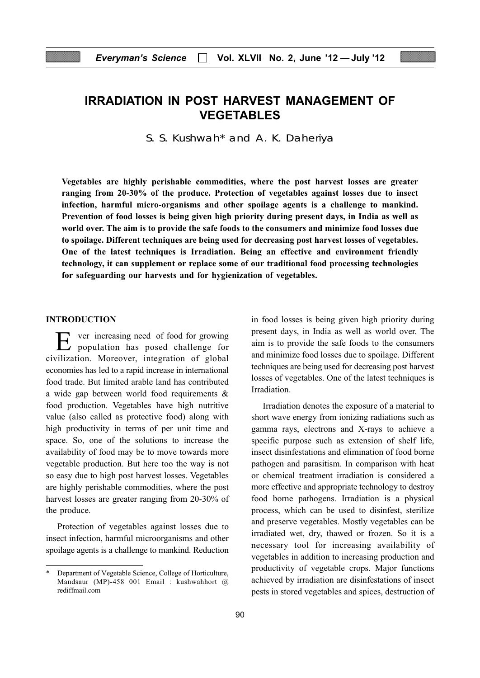# IRRADIATION IN POST HARVEST MANAGEMENT OF VEGETABLES

S. S. Kushwah\* and A. K. Daheriya

Vegetables are highly perishable commodities, where the post harvest losses are greater ranging from 20-30% of the produce. Protection of vegetables against losses due to insect infection, harmful micro-organisms and other spoilage agents is a challenge to mankind. Prevention of food losses is being given high priority during present days, in India as well as world over. The aim is to provide the safe foods to the consumers and minimize food losses due to spoilage. Different techniques are being used for decreasing post harvest losses of vegetables. One of the latest techniques is Irradiation. Being an effective and environment friendly technology, it can supplement or replace some of our traditional food processing technologies for safeguarding our harvests and for hygienization of vegetables.

# INTRODUCTION

ver increasing need of food for growing population has posed challenge for civilization. Moreover, integration of global economies has led to a rapid increase in international food trade. But limited arable land has contributed a wide gap between world food requirements & food production. Vegetables have high nutritive value (also called as protective food) along with high productivity in terms of per unit time and space. So, one of the solutions to increase the availability of food may be to move towards more vegetable production. But here too the way is not so easy due to high post harvest losses. Vegetables are highly perishable commodities, where the post harvest losses are greater ranging from 20-30% of the produce.

Protection of vegetables against losses due to insect infection, harmful microorganisms and other spoilage agents is a challenge to mankind. Reduction in food losses is being given high priority during present days, in India as well as world over. The aim is to provide the safe foods to the consumers and minimize food losses due to spoilage. Different techniques are being used for decreasing post harvest losses of vegetables. One of the latest techniques is Irradiation.

Irradiation denotes the exposure of a material to short wave energy from ionizing radiations such as gamma rays, electrons and X-rays to achieve a specific purpose such as extension of shelf life, insect disinfestations and elimination of food borne pathogen and parasitism. In comparison with heat or chemical treatment irradiation is considered a more effective and appropriate technology to destroy food borne pathogens. Irradiation is a physical process, which can be used to disinfest, sterilize and preserve vegetables. Mostly vegetables can be irradiated wet, dry, thawed or frozen. So it is a necessary tool for increasing availability of vegetables in addition to increasing production and productivity of vegetable crops. Major functions achieved by irradiation are disinfestations of insect pests in stored vegetables and spices, destruction of

Department of Vegetable Science, College of Horticulture, Mandsaur (MP)-458 001 Email : kushwahhort @ rediffmail.com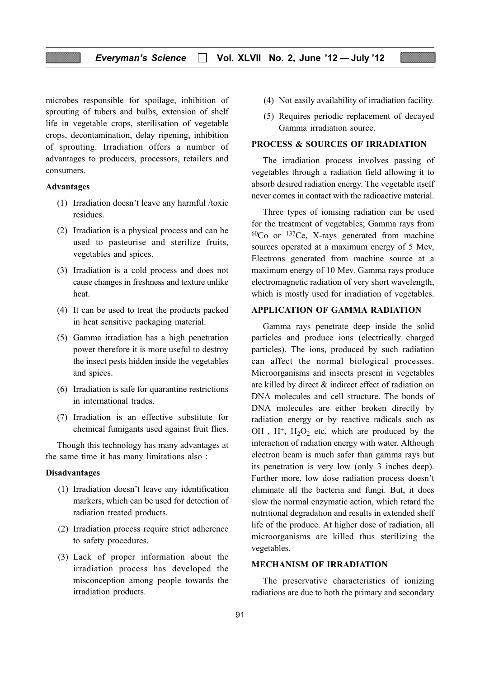microbes responsible for spoilage, inhibition of sprouting of tubers and bulbs, extension of shelf life in vegetable crops, sterilisation of vegetable crops, decontamination, delay ripening, inhibition of sprouting. Irradiation offers a number of advantages to producers, processors, retailers and consumers.

#### Advantages

- (1) Irradiation doesn't leave any harmful /toxic residues.
- (2) Irradiation is a physical process and can be used to pasteurise and sterilize fruits, vegetables and spices.
- (3) Irradiation is a cold process and does not cause changes in freshness and texture unlike heat.
- (4) It can be used to treat the products packed in heat sensitive packaging material.
- (5) Gamma irradiation has a high penetration power therefore it is more useful to destroy the insect pests hidden inside the vegetables and spices.
- (6) Irradiation is safe for quarantine restrictions in international trades.
- (7) Irradiation is an effective substitute for chemical fumigants used against fruit flies.

Though this technology has many advantages at the same time it has many limitations also :

#### Disadvantages

- (1) Irradiation doesn't leave any identification markers, which can be used for detection of radiation treated products.
- (2) Irradiation process require strict adherence to safety procedures.
- (3) Lack of proper information about the irradiation process has developed the misconception among people towards the irradiation products.
- (4) Not easily availability of irradiation facility.
- (5) Requires periodic replacement of decayed Gamma irradiation source.

# PROCESS & SOURCES OF IRRADIATION

The irradiation process involves passing of vegetables through a radiation field allowing it to absorb desired radiation energy. The vegetable itself never comes in contact with the radioactive material.

Three types of ionising radiation can be used for the treatment of vegetables; Gamma rays from  $60Co$  or  $137Ce$ , X-rays generated from machine sources operated at a maximum energy of 5 Mev, Electrons generated from machine source at a maximum energy of 10 Mev. Gamma rays produce electromagnetic radiation of very short wavelength, which is mostly used for irradiation of vegetables.

# APPLICATION OF GAMMA RADIATION

Gamma rays penetrate deep inside the solid particles and produce ions (electrically charged particles). The ions, produced by such radiation can affect the normal biological processes. Microorganisms and insects present in vegetables are killed by direct & indirect effect of radiation on DNA molecules and cell structure. The bonds of DNA molecules are either broken directly by radiation energy or by reactive radicals such as OH<sup>-</sup>, H<sup>+</sup>, H<sub>2</sub>O<sub>2</sub> etc. which are produced by the interaction of radiation energy with water. Although electron beam is much safer than gamma rays but its penetration is very low (only 3 inches deep). Further more, low dose radiation process doesn't eliminate all the bacteria and fungi. But, it does slow the normal enzymatic action, which retard the nutritional degradation and results in extended shelf life of the produce. At higher dose of radiation, all microorganisms are killed thus sterilizing the vegetables.

# MECHANISM OF IRRADIATION

The preservative characteristics of ionizing radiations are due to both the primary and secondary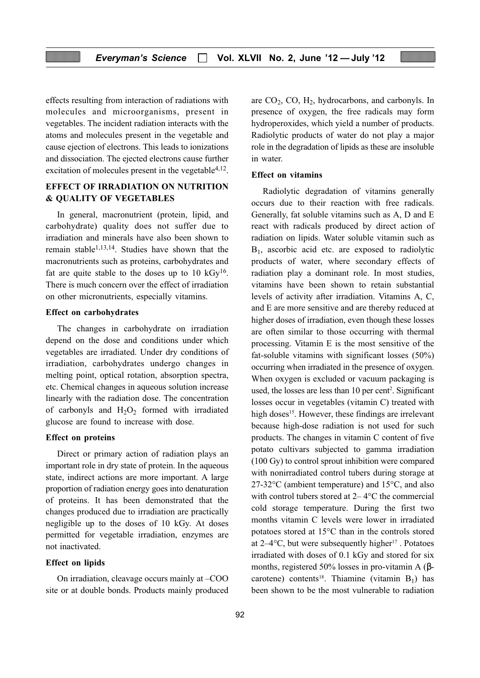effects resulting from interaction of radiations with molecules and microorganisms, present in vegetables. The incident radiation interacts with the atoms and molecules present in the vegetable and cause ejection of electrons. This leads to ionizations and dissociation. The ejected electrons cause further excitation of molecules present in the vegetable  $4,12$ .

# EFFECT OF IRRADIATION ON NUTRITION & QUALITY OF VEGETABLES

In general, macronutrient (protein, lipid, and carbohydrate) quality does not suffer due to irradiation and minerals have also been shown to remain stable<sup>1,13,14</sup>. Studies have shown that the macronutrients such as proteins, carbohydrates and fat are quite stable to the doses up to 10  $\text{kGy}^{16}$ . There is much concern over the effect of irradiation on other micronutrients, especially vitamins.

#### Effect on carbohydrates

The changes in carbohydrate on irradiation depend on the dose and conditions under which vegetables are irradiated. Under dry conditions of irradiation, carbohydrates undergo changes in melting point, optical rotation, absorption spectra, etc. Chemical changes in aqueous solution increase linearly with the radiation dose. The concentration of carbonyls and  $H_2O_2$  formed with irradiated glucose are found to increase with dose.

#### Effect on proteins

Direct or primary action of radiation plays an important role in dry state of protein. In the aqueous state, indirect actions are more important. A large proportion of radiation energy goes into denaturation of proteins. It has been demonstrated that the changes produced due to irradiation are practically negligible up to the doses of 10 kGy. At doses permitted for vegetable irradiation, enzymes are not inactivated.

# Effect on lipids

On irradiation, cleavage occurs mainly at –COO site or at double bonds. Products mainly produced are  $CO<sub>2</sub>$ ,  $CO$ ,  $H<sub>2</sub>$ , hydrocarbons, and carbonyls. In presence of oxygen, the free radicals may form hydroperoxides, which yield a number of products. Radiolytic products of water do not play a major role in the degradation of lipids as these are insoluble in water.

#### Effect on vitamins

Radiolytic degradation of vitamins generally occurs due to their reaction with free radicals. Generally, fat soluble vitamins such as A, D and E react with radicals produced by direct action of radiation on lipids. Water soluble vitamin such as  $B_1$ , ascorbic acid etc. are exposed to radiolytic products of water, where secondary effects of radiation play a dominant role. In most studies, vitamins have been shown to retain substantial levels of activity after irradiation. Vitamins A, C, and E are more sensitive and are thereby reduced at higher doses of irradiation, even though these losses are often similar to those occurring with thermal processing. Vitamin E is the most sensitive of the fat-soluble vitamins with significant losses (50%) occurring when irradiated in the presence of oxygen. When oxygen is excluded or vacuum packaging is used, the losses are less than 10 per cent<sup>2</sup>. Significant losses occur in vegetables (vitamin C) treated with high doses<sup>15</sup>. However, these findings are irrelevant because high-dose radiation is not used for such products. The changes in vitamin C content of five potato cultivars subjected to gamma irradiation (100 Gy) to control sprout inhibition were compared with nonirradiated control tubers during storage at 27-32°C (ambient temperature) and 15°C, and also with control tubers stored at 2– 4°C the commercial cold storage temperature. During the first two months vitamin C levels were lower in irradiated potatoes stored at 15°C than in the controls stored at  $2-4$ °C, but were subsequently higher<sup>17</sup>. Potatoes irradiated with doses of 0.1 kGy and stored for six months, registered 50% losses in pro-vitamin A (βcarotene) contents<sup>18</sup>. Thiamine (vitamin  $B_1$ ) has been shown to be the most vulnerable to radiation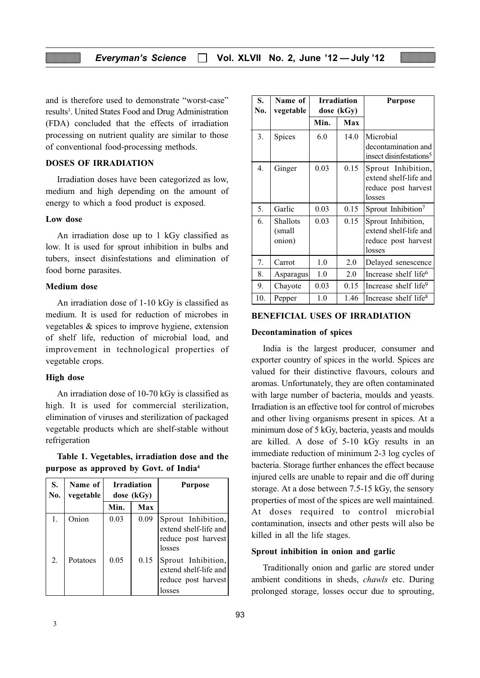and is therefore used to demonstrate "worst-case" results<sup>3</sup>. United States Food and Drug Administration (FDA) concluded that the effects of irradiation processing on nutrient quality are similar to those of conventional food-processing methods.

# DOSES OF IRRADIATION

Irradiation doses have been categorized as low, medium and high depending on the amount of energy to which a food product is exposed.

#### Low dose

An irradiation dose up to 1 kGy classified as low. It is used for sprout inhibition in bulbs and tubers, insect disinfestations and elimination of food borne parasites.

#### Medium dose

An irradiation dose of 1-10 kGy is classified as medium. It is used for reduction of microbes in vegetables & spices to improve hygiene, extension of shelf life, reduction of microbial load, and improvement in technological properties of vegetable crops.

#### High dose

An irradiation dose of 10-70 kGy is classified as high. It is used for commercial sterilization, elimination of viruses and sterilization of packaged vegetable products which are shelf-stable without refrigeration

# Table 1. Vegetables, irradiation dose and the purpose as approved by Govt. of India4

| S.<br>No. | Name of<br>vegetable | <b>Irradiation</b><br>dose (kGy) |      | <b>Purpose</b>                                                               |
|-----------|----------------------|----------------------------------|------|------------------------------------------------------------------------------|
|           |                      | Min.                             | Max  |                                                                              |
| 1.        | Onion                | 0.03                             | 0.09 | Sprout Inhibition,<br>extend shelf-life and<br>reduce post harvest<br>losses |
| 2.        | Potatoes             | 0.05                             | 0.15 | Sprout Inhibition,<br>extend shelf-life and<br>reduce post harvest<br>losses |

| S.<br>No.        | Name of<br>vegetable         | <b>Irradiation</b><br>dose (kGy) |      | <b>Purpose</b>                                                               |
|------------------|------------------------------|----------------------------------|------|------------------------------------------------------------------------------|
|                  |                              | Min.                             | Max  |                                                                              |
| 3.               | Spices                       | 6.0                              | 14.0 | Microbial<br>decontamination and<br>insect disinfestations <sup>5</sup>      |
| $\overline{4}$ . | Ginger                       | 0.03                             | 0.15 | Sprout Inhibition,<br>extend shelf-life and<br>reduce post harvest<br>losses |
| 5.               | Garlic                       | 0.03                             | 0.15 | Sprout Inhibition <sup>7</sup>                                               |
| 6.               | Shallots<br>(small<br>onion) | 0.03                             | 0.15 | Sprout Inhibition,<br>extend shelf-life and<br>reduce post harvest<br>losses |
| 7.               | Carrot                       | 1.0                              | 2.0  | Delayed senescence                                                           |
| 8.               | Asparagus                    | 1.0                              | 2.0  | Increase shelf life <sup>6</sup>                                             |
| 9.               | Chayote                      | 0.03                             | 0.15 | Increase shelf life <sup>9</sup>                                             |
| 10.              | Pepper                       | 1.0                              | 1.46 | Increase shelf life <sup>8</sup>                                             |

#### BENEFICIAL USES OF IRRADIATION

#### Decontamination of spices

India is the largest producer, consumer and exporter country of spices in the world. Spices are valued for their distinctive flavours, colours and aromas. Unfortunately, they are often contaminated with large number of bacteria, moulds and yeasts. Irradiation is an effective tool for control of microbes and other living organisms present in spices. At a minimum dose of 5 kGy, bacteria, yeasts and moulds are killed. A dose of 5-10 kGy results in an immediate reduction of minimum 2-3 log cycles of bacteria. Storage further enhances the effect because injured cells are unable to repair and die off during storage. At a dose between 7.5-15 kGy, the sensory properties of most of the spices are well maintained. At doses required to control microbial contamination, insects and other pests will also be killed in all the life stages.

#### Sprout inhibition in onion and garlic

Traditionally onion and garlic are stored under ambient conditions in sheds, chawls etc. During prolonged storage, losses occur due to sprouting,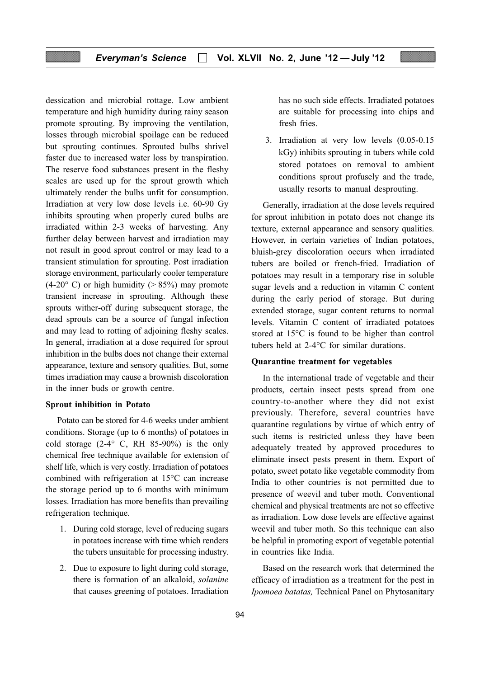dessication and microbial rottage. Low ambient temperature and high humidity during rainy season promote sprouting. By improving the ventilation, losses through microbial spoilage can be reduced but sprouting continues. Sprouted bulbs shrivel faster due to increased water loss by transpiration. The reserve food substances present in the fleshy scales are used up for the sprout growth which ultimately render the bulbs unfit for consumption. Irradiation at very low dose levels i.e. 60-90 Gy inhibits sprouting when properly cured bulbs are irradiated within 2-3 weeks of harvesting. Any further delay between harvest and irradiation may not result in good sprout control or may lead to a transient stimulation for sprouting. Post irradiation storage environment, particularly cooler temperature  $(4-20^{\circ} \text{ C})$  or high humidity ( $> 85\%$ ) may promote transient increase in sprouting. Although these sprouts wither-off during subsequent storage, the dead sprouts can be a source of fungal infection and may lead to rotting of adjoining fleshy scales. In general, irradiation at a dose required for sprout inhibition in the bulbs does not change their external appearance, texture and sensory qualities. But, some times irradiation may cause a brownish discoloration in the inner buds or growth centre.

#### Sprout inhibition in Potato

Potato can be stored for 4-6 weeks under ambient conditions. Storage (up to 6 months) of potatoes in cold storage  $(2-4^{\circ} \text{ C}, \text{ RH} 85-90\%)$  is the only chemical free technique available for extension of shelf life, which is very costly. Irradiation of potatoes combined with refrigeration at 15°C can increase the storage period up to 6 months with minimum losses. Irradiation has more benefits than prevailing refrigeration technique.

- 1. During cold storage, level of reducing sugars in potatoes increase with time which renders the tubers unsuitable for processing industry.
- 2. Due to exposure to light during cold storage, there is formation of an alkaloid, solanine that causes greening of potatoes. Irradiation

has no such side effects. Irradiated potatoes are suitable for processing into chips and fresh fries.

3. Irradiation at very low levels (0.05-0.15 kGy) inhibits sprouting in tubers while cold stored potatoes on removal to ambient conditions sprout profusely and the trade, usually resorts to manual desprouting.

Generally, irradiation at the dose levels required for sprout inhibition in potato does not change its texture, external appearance and sensory qualities. However, in certain varieties of Indian potatoes, bluish-grey discoloration occurs when irradiated tubers are boiled or french-fried. Irradiation of potatoes may result in a temporary rise in soluble sugar levels and a reduction in vitamin C content during the early period of storage. But during extended storage, sugar content returns to normal levels. Vitamin C content of irradiated potatoes stored at 15°C is found to be higher than control tubers held at 2-4°C for similar durations.

#### Quarantine treatment for vegetables

In the international trade of vegetable and their products, certain insect pests spread from one country-to-another where they did not exist previously. Therefore, several countries have quarantine regulations by virtue of which entry of such items is restricted unless they have been adequately treated by approved procedures to eliminate insect pests present in them. Export of potato, sweet potato like vegetable commodity from India to other countries is not permitted due to presence of weevil and tuber moth. Conventional chemical and physical treatments are not so effective as irradiation. Low dose levels are effective against weevil and tuber moth. So this technique can also be helpful in promoting export of vegetable potential in countries like India.

Based on the research work that determined the efficacy of irradiation as a treatment for the pest in Ipomoea batatas, Technical Panel on Phytosanitary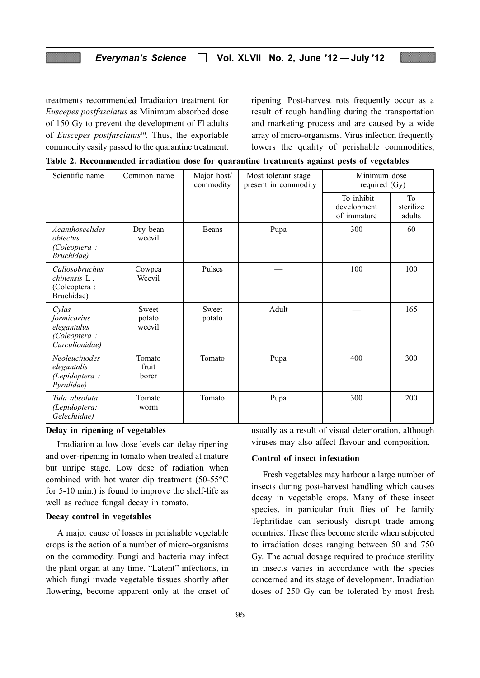treatments recommended Irradiation treatment for Euscepes postfasciatus as Minimum absorbed dose of 150 Gy to prevent the development of Fl adults of Euscepes postfasciatus $10$ . Thus, the exportable commodity easily passed to the quarantine treatment. ripening. Post-harvest rots frequently occur as a result of rough handling during the transportation and marketing process and are caused by a wide array of micro-organisms. Virus infection frequently lowers the quality of perishable commodities,

| Scientific name                                                       | Common name               | Major host/<br>commodity | Most tolerant stage<br>present in commodity | Minimum dose<br>required (Gy)            |                           |
|-----------------------------------------------------------------------|---------------------------|--------------------------|---------------------------------------------|------------------------------------------|---------------------------|
|                                                                       |                           |                          |                                             | To inhibit<br>development<br>of immature | To<br>sterilize<br>adults |
| <b>Acanthoscelides</b><br>obtectus<br>(Coleoptera:<br>Bruchidae)      | Dry bean<br>weevil        | <b>Beans</b>             | Pupa                                        | 300                                      | 60                        |
| Callosobruchus<br>$chinensis$ $L$ .<br>(Coleoptera:<br>Bruchidae)     | Cowpea<br>Weevil          | Pulses                   |                                             | 100                                      | 100                       |
| Cylas<br>formicarius<br>elegantulus<br>(Coleoptera:<br>Curculionidae) | Sweet<br>potato<br>weevil | Sweet<br>potato          | Adult                                       |                                          | 165                       |
| <b>Neoleucinodes</b><br>elegantalis<br>(Lepidoptera:<br>Pyralidae)    | Tomato<br>fruit<br>borer  | Tomato                   | Pupa                                        | 400                                      | 300                       |
| Tula absoluta<br>(Lepidoptera:<br>Gelechiidae)                        | Tomato<br>worm            | Tomato                   | Pupa                                        | 300                                      | 200                       |

Table 2. Recommended irradiation dose for quarantine treatments against pests of vegetables

#### Delay in ripening of vegetables

Irradiation at low dose levels can delay ripening and over-ripening in tomato when treated at mature but unripe stage. Low dose of radiation when combined with hot water dip treatment (50-55°C for 5-10 min.) is found to improve the shelf-life as well as reduce fungal decay in tomato.

# Decay control in vegetables

A major cause of losses in perishable vegetable crops is the action of a number of micro-organisms on the commodity. Fungi and bacteria may infect the plant organ at any time. "Latent" infections, in which fungi invade vegetable tissues shortly after flowering, become apparent only at the onset of usually as a result of visual deterioration, although viruses may also affect flavour and composition.

# Control of insect infestation

Fresh vegetables may harbour a large number of insects during post-harvest handling which causes decay in vegetable crops. Many of these insect species, in particular fruit flies of the family Tephritidae can seriously disrupt trade among countries. These flies become sterile when subjected to irradiation doses ranging between 50 and 750 Gy. The actual dosage required to produce sterility in insects varies in accordance with the species concerned and its stage of development. Irradiation doses of 250 Gy can be tolerated by most fresh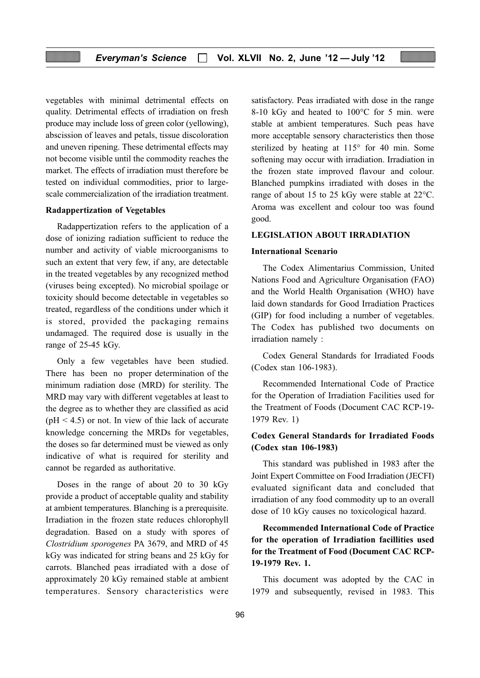vegetables with minimal detrimental effects on quality. Detrimental effects of irradiation on fresh produce may include loss of green color (yellowing), abscission of leaves and petals, tissue discoloration and uneven ripening. These detrimental effects may not become visible until the commodity reaches the market. The effects of irradiation must therefore be tested on individual commodities, prior to largescale commercialization of the irradiation treatment.

#### Radappertization of Vegetables

Radappertization refers to the application of a dose of ionizing radiation sufficient to reduce the number and activity of viable microorganisms to such an extent that very few, if any, are detectable in the treated vegetables by any recognized method (viruses being excepted). No microbial spoilage or toxicity should become detectable in vegetables so treated, regardless of the conditions under which it is stored, provided the packaging remains undamaged. The required dose is usually in the range of 25-45 kGy.

Only a few vegetables have been studied. There has been no proper determination of the minimum radiation dose (MRD) for sterility. The MRD may vary with different vegetables at least to the degree as to whether they are classified as acid  $(pH < 4.5)$  or not. In view of thie lack of accurate knowledge concerning the MRDs for vegetables, the doses so far determined must be viewed as only indicative of what is required for sterility and cannot be regarded as authoritative.

Doses in the range of about 20 to 30 kGy provide a product of acceptable quality and stability at ambient temperatures. Blanching is a prerequisite. Irradiation in the frozen state reduces chlorophyll degradation. Based on a study with spores of Clostridium sporogenes PA 3679, and MRD of 45 kGy was indicated for string beans and 25 kGy for carrots. Blanched peas irradiated with a dose of approximately 20 kGy remained stable at ambient temperatures. Sensory characteristics were satisfactory. Peas irradiated with dose in the range 8-10 kGy and heated to 100°C for 5 min. were stable at ambient temperatures. Such peas have more acceptable sensory characteristics then those sterilized by heating at 115° for 40 min. Some softening may occur with irradiation. Irradiation in the frozen state improved flavour and colour. Blanched pumpkins irradiated with doses in the range of about 15 to 25 kGy were stable at 22°C. Aroma was excellent and colour too was found good.

#### LEGISLATION ABOUT IRRADIATION

#### International Scenario

The Codex Alimentarius Commission, United Nations Food and Agriculture Organisation (FAO) and the World Health Organisation (WHO) have laid down standards for Good Irradiation Practices (GIP) for food including a number of vegetables. The Codex has published two documents on irradiation namely :

Codex General Standards for Irradiated Foods (Codex stan 106-1983).

Recommended International Code of Practice for the Operation of Irradiation Facilities used for the Treatment of Foods (Document CAC RCP-19- 1979 Rev. 1)

# Codex General Standards for Irradiated Foods (Codex stan 106-1983)

This standard was published in 1983 after the Joint Expert Committee on Food Irradiation (JECFI) evaluated significant data and concluded that irradiation of any food commodity up to an overall dose of 10 kGy causes no toxicological hazard.

# Recommended International Code of Practice for the operation of Irradiation facillities used for the Treatment of Food (Document CAC RCP-19-1979 Rev. 1.

This document was adopted by the CAC in 1979 and subsequently, revised in 1983. This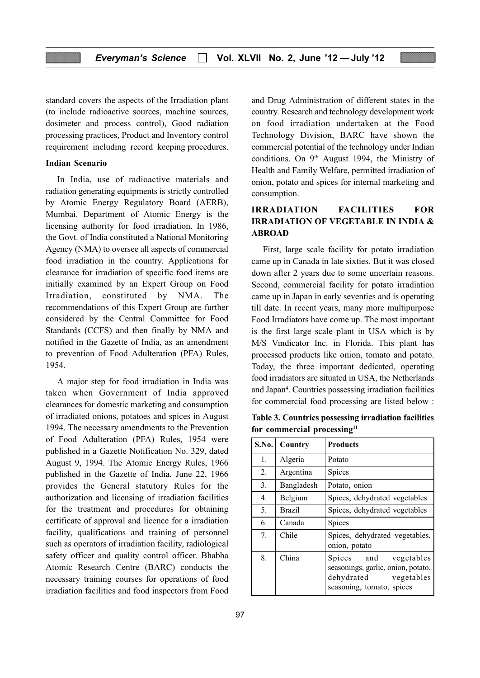standard covers the aspects of the Irradiation plant (to include radioactive sources, machine sources, dosimeter and process control), Good radiation processing practices, Product and Inventory control requirement including record keeping procedures.

### Indian Scenario

In India, use of radioactive materials and radiation generating equipments is strictly controlled by Atomic Energy Regulatory Board (AERB), Mumbai. Department of Atomic Energy is the licensing authority for food irradiation. In 1986, the Govt. of India constituted a National Monitoring Agency (NMA) to oversee all aspects of commercial food irradiation in the country. Applications for clearance for irradiation of specific food items are initially examined by an Expert Group on Food Irradiation, constituted by NMA. The recommendations of this Expert Group are further considered by the Central Committee for Food Standards (CCFS) and then finally by NMA and notified in the Gazette of India, as an amendment to prevention of Food Adulteration (PFA) Rules, 1954.

A major step for food irradiation in India was taken when Government of India approved clearances for domestic marketing and consumption of irradiated onions, potatoes and spices in August 1994. The necessary amendments to the Prevention of Food Adulteration (PFA) Rules, 1954 were published in a Gazette Notification No. 329, dated August 9, 1994. The Atomic Energy Rules, 1966 published in the Gazette of India, June 22, 1966 provides the General statutory Rules for the authorization and licensing of irradiation facilities for the treatment and procedures for obtaining certificate of approval and licence for a irradiation facility, qualifications and training of personnel such as operators of irradiation facility, radiological safety officer and quality control officer. Bhabha Atomic Research Centre (BARC) conducts the necessary training courses for operations of food irradiation facilities and food inspectors from Food and Drug Administration of different states in the country. Research and technology development work on food irradiation undertaken at the Food Technology Division, BARC have shown the commercial potential of the technology under Indian conditions. On 9<sup>th</sup> August 1994, the Ministry of Health and Family Welfare, permitted irradiation of onion, potato and spices for internal marketing and consumption.

# IRRADIATION FACILITIES FOR IRRADIATION OF VEGETABLE IN INDIA & ABROAD

First, large scale facility for potato irradiation came up in Canada in late sixties. But it was closed down after 2 years due to some uncertain reasons. Second, commercial facility for potato irradiation came up in Japan in early seventies and is operating till date. In recent years, many more multipurpose Food Irradiators have come up. The most important is the first large scale plant in USA which is by M/S Vindicator Inc. in Florida. This plant has processed products like onion, tomato and potato. Today, the three important dedicated, operating food irradiators are situated in USA, the Netherlands and Japan4 . Countries possessing irradiation facilities for commercial food processing are listed below :

Table 3. Countries possessing irradiation facilities for commercial processing<sup>11</sup>

| S.No. | Country       | <b>Products</b>                                                                                                         |  |  |
|-------|---------------|-------------------------------------------------------------------------------------------------------------------------|--|--|
| 1.    | Algeria       | Potato                                                                                                                  |  |  |
| 2.    | Argentina     | <b>Spices</b>                                                                                                           |  |  |
| 3.    | Bangladesh    | Potato, onion                                                                                                           |  |  |
| 4.    | Belgium       | Spices, dehydrated vegetables                                                                                           |  |  |
| 5.    | <b>Brazil</b> | Spices, dehydrated vegetables                                                                                           |  |  |
| 6.    | Canada        | <b>Spices</b>                                                                                                           |  |  |
| 7.    | Chile         | Spices, dehydrated vegetables,<br>onion, potato                                                                         |  |  |
| 8.    | China         | Spices and<br>vegetables<br>seasonings, garlic, onion, potato,<br>dehydrated<br>vegetables<br>seasoning, tomato, spices |  |  |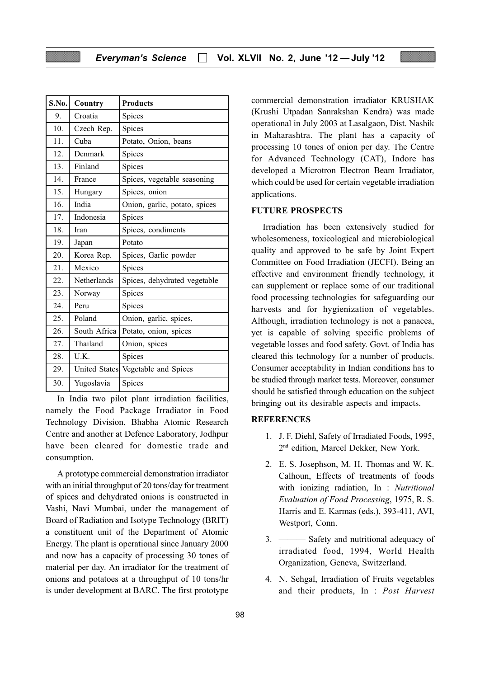| S.No. | Country            | <b>Products</b>               |
|-------|--------------------|-------------------------------|
| 9.    | Croatia            | Spices                        |
| 10.   | Czech Rep.         | Spices                        |
| 11.   | Cuba               | Potato, Onion, beans          |
| 12.   | Denmark            | Spices                        |
| 13.   | Finland            | Spices                        |
| 14.   | France             | Spices, vegetable seasoning   |
| 15.   | Hungary            | Spices, onion                 |
| 16.   | India              | Onion, garlic, potato, spices |
| 17.   | Indonesia          | Spices                        |
| 18.   | Iran               | Spices, condiments            |
| 19.   | Japan              | Potato                        |
| 20.   | Korea Rep.         | Spices, Garlic powder         |
| 21.   | Mexico             | Spices                        |
| 22.   | <b>Netherlands</b> | Spices, dehydrated vegetable  |
| 23.   | Norway             | Spices                        |
| 24.   | Peru               | Spices                        |
| 25.   | Poland             | Onion, garlic, spices,        |
| 26.   | South Africa       | Potato, onion, spices         |
| 27.   | Thailand           | Onion, spices                 |
| 28.   | U.K.               | Spices                        |
| 29.   | United States      | Vegetable and Spices          |
| 30.   | Yugoslavia         | Spices                        |

In India two pilot plant irradiation facilities, namely the Food Package Irradiator in Food Technology Division, Bhabha Atomic Research Centre and another at Defence Laboratory, Jodhpur have been cleared for domestic trade and consumption.

A prototype commercial demonstration irradiator with an initial throughput of 20 tons/day for treatment of spices and dehydrated onions is constructed in Vashi, Navi Mumbai, under the management of Board of Radiation and Isotype Technology (BRIT) a constituent unit of the Department of Atomic Energy. The plant is operational since January 2000 and now has a capacity of processing 30 tones of material per day. An irradiator for the treatment of onions and potatoes at a throughput of 10 tons/hr is under development at BARC. The first prototype

commercial demonstration irradiator KRUSHAK (Krushi Utpadan Sanrakshan Kendra) was made operational in July 2003 at Lasalgaon, Dist. Nashik in Maharashtra. The plant has a capacity of processing 10 tones of onion per day. The Centre for Advanced Technology (CAT), Indore has developed a Microtron Electron Beam Irradiator, which could be used for certain vegetable irradiation applications.

#### FUTURE PROSPECTS

Irradiation has been extensively studied for wholesomeness, toxicological and microbiological quality and approved to be safe by Joint Expert Committee on Food Irradiation (JECFI). Being an effective and environment friendly technology, it can supplement or replace some of our traditional food processing technologies for safeguarding our harvests and for hygienization of vegetables. Although, irradiation technology is not a panacea, yet is capable of solving specific problems of vegetable losses and food safety. Govt. of India has cleared this technology for a number of products. Consumer acceptability in Indian conditions has to be studied through market tests. Moreover, consumer should be satisfied through education on the subject bringing out its desirable aspects and impacts.

#### **REFERENCES**

- 1. J. F. Diehl, Safety of Irradiated Foods, 1995, 2<sup>nd</sup> edition, Marcel Dekker, New York.
- 2. E. S. Josephson, M. H. Thomas and W. K. Calhoun, Effects of treatments of foods with ionizing radiation, In : Nutritional Evaluation of Food Processing, 1975, R. S. Harris and E. Karmas (eds.), 393-411, AVI, Westport, Conn.
- 3. ——— Safety and nutritional adequacy of irradiated food, 1994, World Health Organization, Geneva, Switzerland.
- 4. N. Sehgal, Irradiation of Fruits vegetables and their products, In : Post Harvest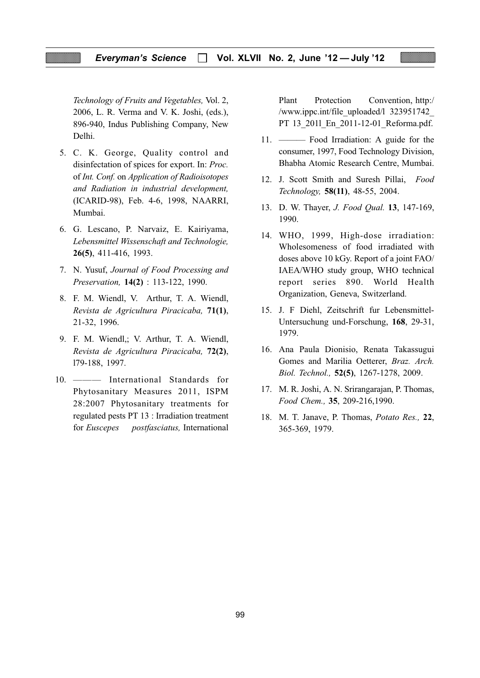Technology of Fruits and Vegetables, Vol. 2, 2006, L. R. Verma and V. K. Joshi, (eds.), 896-940, Indus Publishing Company, New Delhi.

- 5. C. K. George, Quality control and disinfectation of spices for export. In: Proc. of Int. Conf. on Application of Radioisotopes and Radiation in industrial development, (ICARID-98), Feb. 4-6, 1998, NAARRI, Mumbai.
- 6. G. Lescano, P. Narvaiz, E. Kairiyama, Lebensmittel Wissenschaft and Technologie, 26(5), 411-416, 1993.
- 7. N. Yusuf, Journal of Food Processing and Preservation, 14(2) : 113-122, 1990.
- 8. F. M. Wiendl, V. Arthur, T. A. Wiendl, Revista de Agricultura Piracicaba, 71(1), 21-32, 1996.
- 9. F. M. Wiendl,; V. Arthur, T. A. Wiendl, Revista de Agricultura Piracicaba, 72(2), l79-188, 1997.
- 10. ——— International Standards for Phytosanitary Measures 2011, ISPM 28:2007 Phytosanitary treatments for regulated pests PT 13 : Irradiation treatment for Euscepes postfasciatus, International

Plant Protection Convention, http:/ /www.ippc.int/file\_uploaded/l 323951742\_ PT 13\_2011 En\_2011-12-01\_Reforma.pdf.

- 11. ——— Food Irradiation: A guide for the consumer, 1997, Food Technology Division, Bhabha Atomic Research Centre, Mumbai.
- 12. J. Scott Smith and Suresh Pillai, Food Technology, 58(11), 48-55, 2004.
- 13. D. W. Thayer, J. Food Qual. 13, 147-169, 1990.
- 14. WHO, 1999, High-dose irradiation: Wholesomeness of food irradiated with doses above 10 kGy. Report of a joint FAO/ IAEA/WHO study group, WHO technical report series 890. World Health Organization, Geneva, Switzerland.
- 15. J. F Diehl, Zeitschrift fur Lebensmittel-Untersuchung und-Forschung, 168, 29-31, 1979.
- 16. Ana Paula Dionisio, Renata Takassugui Gomes and Marilia Oetterer, Braz. Arch. Biol. Technol., 52(5), 1267-1278, 2009.
- 17. M. R. Joshi, A. N. Srirangarajan, P. Thomas, Food Chem., 35, 209-216,1990.
- 18. M. T. Janave, P. Thomas, Potato Res., 22, 365-369, 1979.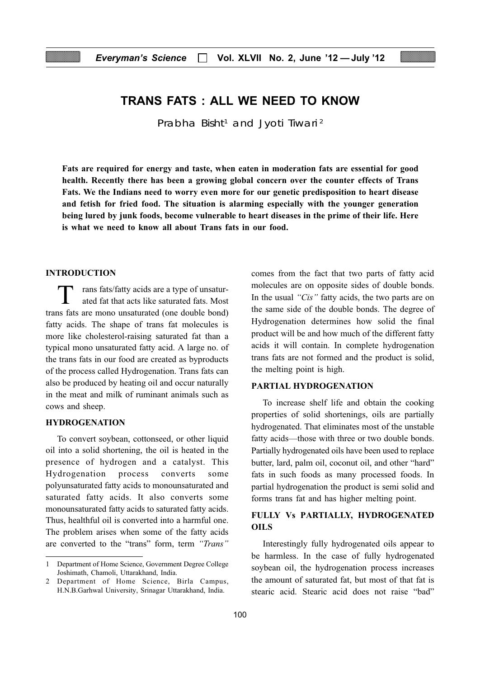# TRANS FATS : ALL WE NEED TO KNOW

Prabha Bisht<sup>1</sup> and Jyoti Tiwari<sup>2</sup>

Fats are required for energy and taste, when eaten in moderation fats are essential for good health. Recently there has been a growing global concern over the counter effects of Trans Fats. We the Indians need to worry even more for our genetic predisposition to heart disease and fetish for fried food. The situation is alarming especially with the younger generation being lured by junk foods, become vulnerable to heart diseases in the prime of their life. Here is what we need to know all about Trans fats in our food.

# INTRODUCTION

rans fats/fatty acids are a type of unsaturated fat that acts like saturated fats. Most trans fats are mono unsaturated (one double bond) fatty acids. The shape of trans fat molecules is more like cholesterol-raising saturated fat than a typical mono unsaturated fatty acid. A large no. of the trans fats in our food are created as byproducts of the process called Hydrogenation. Trans fats can also be produced by heating oil and occur naturally in the meat and milk of ruminant animals such as cows and sheep.

#### HYDROGENATION

To convert soybean, cottonseed, or other liquid oil into a solid shortening, the oil is heated in the presence of hydrogen and a catalyst. This Hydrogenation process converts some polyunsaturated fatty acids to monounsaturated and saturated fatty acids. It also converts some monounsaturated fatty acids to saturated fatty acids. Thus, healthful oil is converted into a harmful one. The problem arises when some of the fatty acids are converted to the "trans" form, term "Trans"

comes from the fact that two parts of fatty acid molecules are on opposite sides of double bonds. In the usual "Cis" fatty acids, the two parts are on the same side of the double bonds. The degree of Hydrogenation determines how solid the final product will be and how much of the different fatty acids it will contain. In complete hydrogenation trans fats are not formed and the product is solid, the melting point is high.

### PARTIAL HYDROGENATION

To increase shelf life and obtain the cooking properties of solid shortenings, oils are partially hydrogenated. That eliminates most of the unstable fatty acids—those with three or two double bonds. Partially hydrogenated oils have been used to replace butter, lard, palm oil, coconut oil, and other "hard" fats in such foods as many processed foods. In partial hydrogenation the product is semi solid and forms trans fat and has higher melting point.

# FULLY Vs PARTIALLY, HYDROGENATED **OILS**

Interestingly fully hydrogenated oils appear to be harmless. In the case of fully hydrogenated soybean oil, the hydrogenation process increases the amount of saturated fat, but most of that fat is stearic acid. Stearic acid does not raise "bad"

<sup>1</sup> Department of Home Science, Government Degree College Joshimath, Chamoli, Uttarakhand, India.

<sup>2</sup> Department of Home Science, Birla Campus, H.N.B.Garhwal University, Srinagar Uttarakhand, India.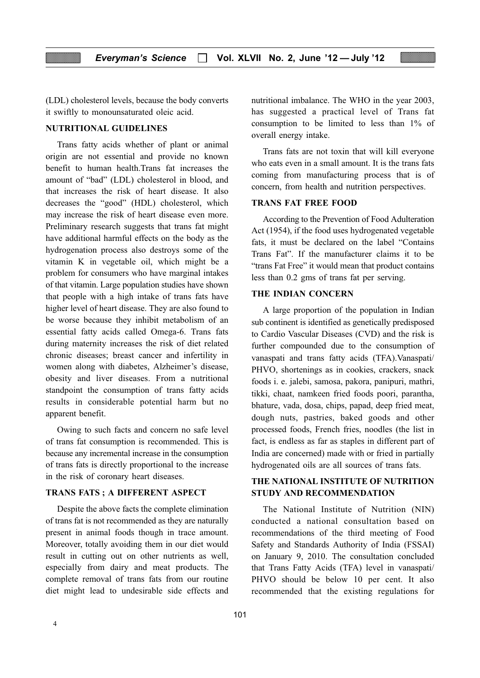(LDL) cholesterol levels, because the body converts it swiftly to monounsaturated oleic acid.

# NUTRITIONAL GUIDELINES

Trans fatty acids whether of plant or animal origin are not essential and provide no known benefit to human health.Trans fat increases the amount of "bad" (LDL) cholesterol in blood, and that increases the risk of heart disease. It also decreases the "good" (HDL) cholesterol, which may increase the risk of heart disease even more. Preliminary research suggests that trans fat might have additional harmful effects on the body as the hydrogenation process also destroys some of the vitamin K in vegetable oil, which might be a problem for consumers who have marginal intakes of that vitamin. Large population studies have shown that people with a high intake of trans fats have higher level of heart disease. They are also found to be worse because they inhibit metabolism of an essential fatty acids called Omega-6. Trans fats during maternity increases the risk of diet related chronic diseases; breast cancer and infertility in women along with diabetes, Alzheimer's disease, obesity and liver diseases. From a nutritional standpoint the consumption of trans fatty acids results in considerable potential harm but no apparent benefit.

Owing to such facts and concern no safe level of trans fat consumption is recommended. This is because any incremental increase in the consumption of trans fats is directly proportional to the increase in the risk of coronary heart diseases.

#### TRANS FATS ; A DIFFERENT ASPECT

Despite the above facts the complete elimination of trans fat is not recommended as they are naturally present in animal foods though in trace amount. Moreover, totally avoiding them in our diet would result in cutting out on other nutrients as well, especially from dairy and meat products. The complete removal of trans fats from our routine diet might lead to undesirable side effects and nutritional imbalance. The WHO in the year 2003, has suggested a practical level of Trans fat consumption to be limited to less than 1% of overall energy intake.

Trans fats are not toxin that will kill everyone who eats even in a small amount. It is the trans fats coming from manufacturing process that is of concern, from health and nutrition perspectives.

#### TRANS FAT FREE FOOD

According to the Prevention of Food Adulteration Act (1954), if the food uses hydrogenated vegetable fats, it must be declared on the label "Contains Trans Fat". If the manufacturer claims it to be "trans Fat Free" it would mean that product contains less than 0.2 gms of trans fat per serving.

#### THE INDIAN CONCERN

A large proportion of the population in Indian sub continent is identified as genetically predisposed to Cardio Vascular Diseases (CVD) and the risk is further compounded due to the consumption of vanaspati and trans fatty acids (TFA).Vanaspati/ PHVO, shortenings as in cookies, crackers, snack foods i. e. jalebi, samosa, pakora, panipuri, mathri, tikki, chaat, namkeen fried foods poori, parantha, bhature, vada, dosa, chips, papad, deep fried meat, dough nuts, pastries, baked goods and other processed foods, French fries, noodles (the list in fact, is endless as far as staples in different part of India are concerned) made with or fried in partially hydrogenated oils are all sources of trans fats.

# THE NATIONAL INSTITUTE OF NUTRITION STUDY AND RECOMMENDATION

The National Institute of Nutrition (NIN) conducted a national consultation based on recommendations of the third meeting of Food Safety and Standards Authority of India (FSSAI) on January 9, 2010. The consultation concluded that Trans Fatty Acids (TFA) level in vanaspati/ PHVO should be below 10 per cent. It also recommended that the existing regulations for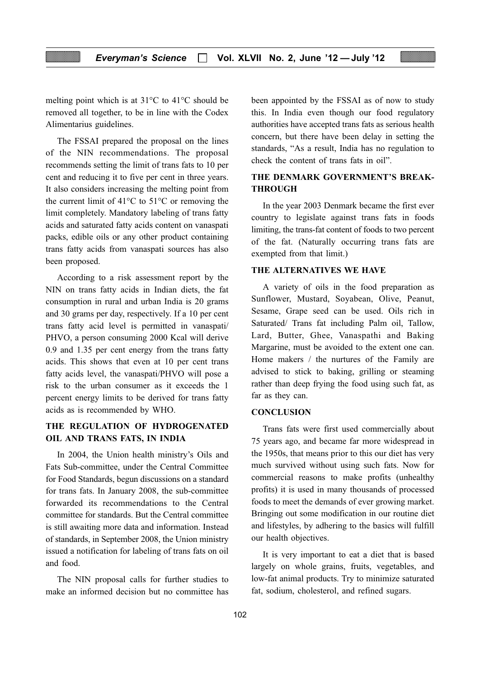melting point which is at 31°C to 41°C should be removed all together, to be in line with the Codex Alimentarius guidelines.

The FSSAI prepared the proposal on the lines of the NIN recommendations. The proposal recommends setting the limit of trans fats to 10 per cent and reducing it to five per cent in three years. It also considers increasing the melting point from the current limit of 41°C to 51°C or removing the limit completely. Mandatory labeling of trans fatty acids and saturated fatty acids content on vanaspati packs, edible oils or any other product containing trans fatty acids from vanaspati sources has also been proposed.

According to a risk assessment report by the NIN on trans fatty acids in Indian diets, the fat consumption in rural and urban India is 20 grams and 30 grams per day, respectively. If a 10 per cent trans fatty acid level is permitted in vanaspati/ PHVO, a person consuming 2000 Kcal will derive 0.9 and 1.35 per cent energy from the trans fatty acids. This shows that even at 10 per cent trans fatty acids level, the vanaspati/PHVO will pose a risk to the urban consumer as it exceeds the 1 percent energy limits to be derived for trans fatty acids as is recommended by WHO.

# THE REGULATION OF HYDROGENATED OIL AND TRANS FATS, IN INDIA

In 2004, the Union health ministry's Oils and Fats Sub-committee, under the Central Committee for Food Standards, begun discussions on a standard for trans fats. In January 2008, the sub-committee forwarded its recommendations to the Central committee for standards. But the Central committee is still awaiting more data and information. Instead of standards, in September 2008, the Union ministry issued a notification for labeling of trans fats on oil and food.

The NIN proposal calls for further studies to make an informed decision but no committee has been appointed by the FSSAI as of now to study this. In India even though our food regulatory authorities have accepted trans fats as serious health concern, but there have been delay in setting the standards, "As a result, India has no regulation to check the content of trans fats in oil".

# THE DENMARK GOVERNMENT'S BREAK-THROUGH

In the year 2003 Denmark became the first ever country to legislate against trans fats in foods limiting, the trans-fat content of foods to two percent of the fat. (Naturally occurring trans fats are exempted from that limit.)

# THE ALTERNATIVES WE HAVE

A variety of oils in the food preparation as Sunflower, Mustard, Soyabean, Olive, Peanut, Sesame, Grape seed can be used. Oils rich in Saturated/ Trans fat including Palm oil, Tallow, Lard, Butter, Ghee, Vanaspathi and Baking Margarine, must be avoided to the extent one can. Home makers / the nurtures of the Family are advised to stick to baking, grilling or steaming rather than deep frying the food using such fat, as far as they can.

#### **CONCLUSION**

Trans fats were first used commercially about 75 years ago, and became far more widespread in the 1950s, that means prior to this our diet has very much survived without using such fats. Now for commercial reasons to make profits (unhealthy profits) it is used in many thousands of processed foods to meet the demands of ever growing market. Bringing out some modification in our routine diet and lifestyles, by adhering to the basics will fulfill our health objectives.

It is very important to eat a diet that is based largely on whole grains, fruits, vegetables, and low-fat animal products. Try to minimize saturated fat, sodium, cholesterol, and refined sugars.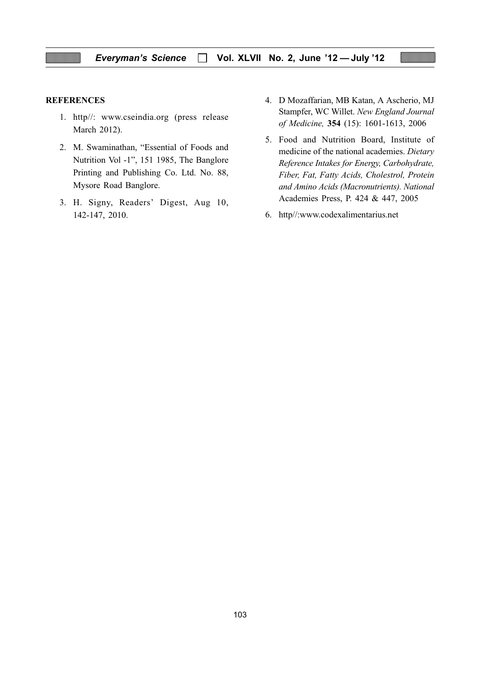# **REFERENCES**

- 1. http//: www.cseindia.org (press release March 2012).
- 2. M. Swaminathan, "Essential of Foods and Nutrition Vol -1", 151 1985, The Banglore Printing and Publishing Co. Ltd. No. 88, Mysore Road Banglore.
- 3. H. Signy, Readers' Digest, Aug 10, 142-147, 2010.
- 4. D Mozaffarian, MB Katan, A Ascherio, MJ Stampfer, WC Willet. New England Journal of Medicine, 354 (15): 1601-1613, 2006
- 5. Food and Nutrition Board, Institute of medicine of the national academies. Dietary Reference Intakes for Energy, Carbohydrate, Fiber, Fat, Fatty Acids, Cholestrol, Protein and Amino Acids (Macronutrients). National Academies Press, P. 424 & 447, 2005
- 6. http//:www.codexalimentarius.net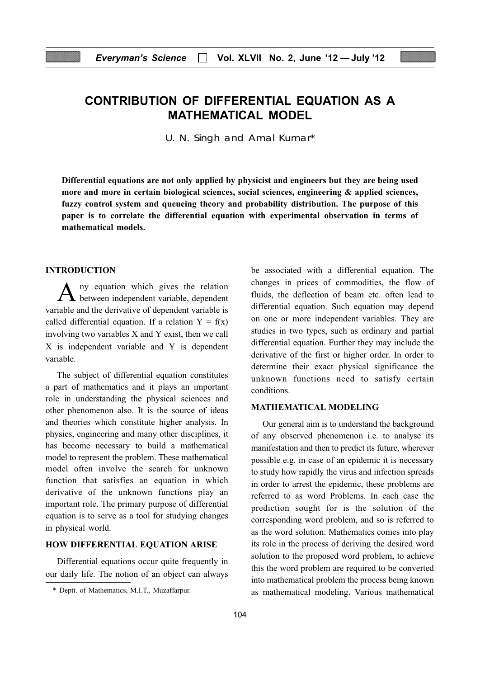# CONTRIBUTION OF DIFFERENTIAL EQUATION AS A MATHEMATICAL MODEL

U. N. Singh and Amal Kumar\*

Differential equations are not only applied by physicist and engineers but they are being used more and more in certain biological sciences, social sciences, engineering & applied sciences, fuzzy control system and queueing theory and probability distribution. The purpose of this paper is to correlate the differential equation with experimental observation in terms of mathematical models.

#### INTRODUCTION

ny equation which gives the relation between independent variable, dependent variable and the derivative of dependent variable is called differential equation. If a relation  $Y = f(x)$ involving two variables X and Y exist, then we call X is independent variable and Y is dependent variable.

The subject of differential equation constitutes a part of mathematics and it plays an important role in understanding the physical sciences and other phenomenon also. It is the source of ideas and theories which constitute higher analysis. In physics, engineering and many other disciplines, it has become necessary to build a mathematical model to represent the problem. These mathematical model often involve the search for unknown function that satisfies an equation in which derivative of the unknown functions play an important role. The primary purpose of differential equation is to serve as a tool for studying changes in physical world.

#### HOW DIFFERENTIAL EQUATION ARISE

Differential equations occur quite frequently in our daily life. The notion of an object can always be associated with a differential equation. The changes in prices of commodities, the flow of fluids, the deflection of beam etc. often lead to differential equation. Such equation may depend on one or more independent variables. They are studies in two types, such as ordinary and partial differential equation. Further they may include the derivative of the first or higher order. In order to determine their exact physical significance the unknown functions need to satisfy certain conditions.

# MATHEMATICAL MODELING

Our general aim is to understand the background of any observed phenomenon i.e. to analyse its manifestation and then to predict its future, wherever possible e.g. in case of an epidemic it is necessary to study how rapidly the virus and infection spreads in order to arrest the epidemic, these problems are referred to as word Problems. In each case the prediction sought for is the solution of the corresponding word problem, and so is referred to as the word solution. Mathematics comes into play its role in the process of deriving the desired word solution to the proposed word problem, to achieve this the word problem are required to be converted into mathematical problem the process being known \* Deptt. of Mathematics, M.I.T., Muzaffarpur. <br>as mathematical modeling. Various mathematical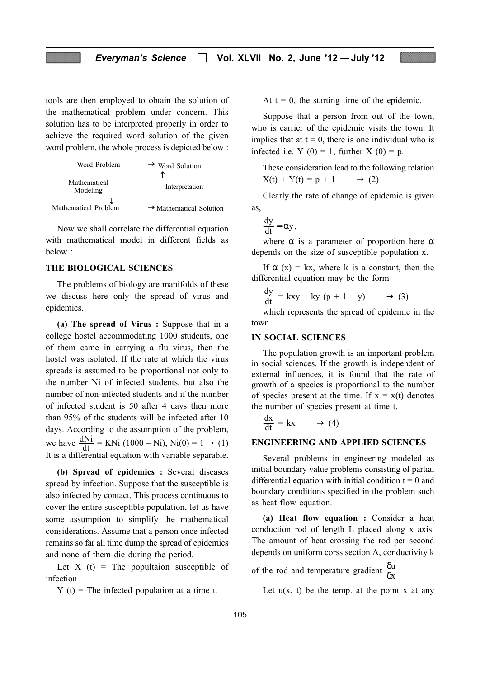tools are then employed to obtain the solution of the mathematical problem under concern. This solution has to be interpreted properly in order to achieve the required word solution of the given word problem, the whole process is depicted below :



Now we shall correlate the differential equation with mathematical model in different fields as below :

#### THE BIOLOGICAL SCIENCES

The problems of biology are manifolds of these we discuss here only the spread of virus and epidemics.

(a) The spread of Virus : Suppose that in a college hostel accommodating 1000 students, one of them came in carrying a flu virus, then the hostel was isolated. If the rate at which the virus spreads is assumed to be proportional not only to the number Ni of infected students, but also the number of non-infected students and if the number of infected student is 50 after 4 days then more than 95% of the students will be infected after 10 days. According to the assumption of the problem, we have  $\frac{dNi}{dt}$  = KNi (1000 – Ni), Ni(0) = 1  $\rightarrow$  (1) It is a differential equation with variable separable.

(b) Spread of epidemics : Several diseases spread by infection. Suppose that the susceptible is also infected by contact. This process continuous to cover the entire susceptible population, let us have some assumption to simplify the mathematical considerations. Assume that a person once infected remains so far all time dump the spread of epidemics and none of them die during the period.

Let  $X(t)$  = The popultaion susceptible of infection

 $Y(t)$  = The infected population at a time t.

At  $t = 0$ , the starting time of the epidemic.

Suppose that a person from out of the town, who is carrier of the epidemic visits the town. It implies that at  $t = 0$ , there is one individual who is infected i.e. Y (0) = 1, further X (0) = p.

These consideration lead to the following relation  $X(t) + Y(t) = p + 1 \longrightarrow (2)$ 

Clearly the rate of change of epidemic is given as,

$$
\frac{dy}{dt} = \alpha y,
$$

where  $\alpha$  is a parameter of proportion here  $\alpha$ depends on the size of susceptible population x.

If  $\alpha$  (x) = kx, where k is a constant, then the differential equation may be the form

$$
\frac{dy}{dt} = kxy - ky (p + 1 - y) \longrightarrow (3)
$$

which represents the spread of epidemic in the town.

# IN SOCIAL SCIENCES

The population growth is an important problem in social sciences. If the growth is independent of external influences, it is found that the rate of growth of a species is proportional to the number of species present at the time. If  $x = x(t)$  denotes the number of species present at time t,

 $\frac{dx}{dt} = kx \longrightarrow (4)$ 

#### ENGINEERING AND APPLIED SCIENCES

Several problems in engineering modeled as initial boundary value problems consisting of partial differential equation with initial condition  $t = 0$  and boundary conditions specified in the problem such as heat flow equation.

(a) Heat flow equation : Consider a heat conduction rod of length L placed along x axis. The amount of heat crossing the rod per second depends on uniform corss section A, conductivity k

of the rod and temperature gradient  $\frac{\delta}{\delta}$  $\overline{\mathbf{u}}$  $\mathbf x$ 

Let  $u(x, t)$  be the temp. at the point x at any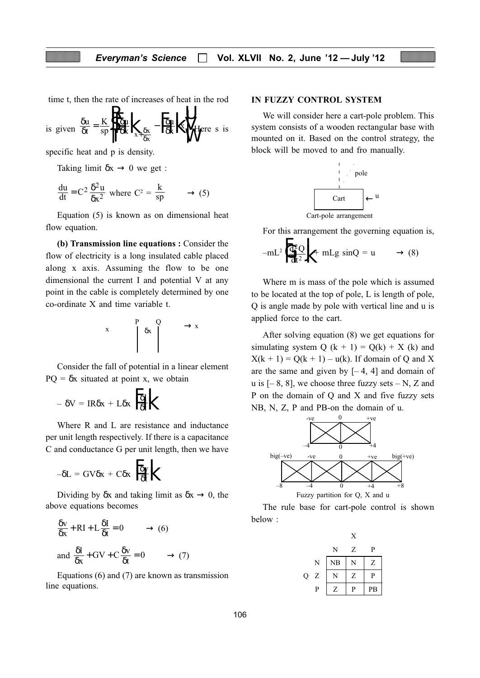time t, then the rate of increases of heat in the rod

is given 
$$
\frac{\delta u}{\delta t} = \frac{K}{sp} \prod_{n = \delta x}^{\delta u} \left| \frac{\delta u}{\delta x} \right|_{x + \frac{\delta x}{\delta x}} - \prod_{n = \delta x}^{\delta u} \left| x \right|_{x}
$$
 Here s is

specific heat and p is density.

Taking limit  $\delta x \rightarrow 0$  we get :

$$
\frac{du}{dt} = C^2 \frac{\delta^2 u}{\delta x^2}
$$
 where  $C^2 = \frac{k}{sp}$  (5)

Equation (5) is known as on dimensional heat flow equation.

(b) Transmission line equations : Consider the flow of electricity is a long insulated cable placed along x axis. Assuming the flow to be one dimensional the current I and potential V at any point in the cable is completely determined by one co-ordinate X and time variable t.



Consider the fall of potential in a linear element  $PQ = \delta x$  situated at point x, we obtain

$$
-\delta V = IR\delta x + L\delta x \left|\frac{\delta l}{\delta t}\right|
$$

Where R and L are resistance and inductance per unit length respectively. If there is a capacitance C and conductance G per unit length, then we have

$$
-\delta L = G V \delta x + C \delta x \left| \frac{\delta v}{\delta t} \right|
$$

Dividing by  $\delta x$  and taking limit as  $\delta x \rightarrow 0$ , the above equations becomes

$$
\frac{\delta v}{\delta x} + RI + L \frac{\delta I}{\delta t} = 0 \longrightarrow (6)
$$
  
and 
$$
\frac{\delta l}{\delta x} + GV + C \frac{\delta v}{\delta t} = 0 \longrightarrow (7)
$$

Equations (6) and (7) are known as transmission line equations.

#### IN FUZZY CONTROL SYSTEM

We will consider here a cart-pole problem. This system consists of a wooden rectangular base with mounted on it. Based on the control strategy, the block will be moved to and fro manually.



For this arrangement the governing equation is,

$$
-mL^{2}\left\{\frac{d^{2}Q}{dt^{2}}\right\} + mLg \sin Q = u \longrightarrow (8)
$$

Where m is mass of the pole which is assumed to be located at the top of pole, L is length of pole, Q is angle made by pole with vertical line and u is applied force to the cart.

After solving equation (8) we get equations for simulating system Q  $(k + 1) = Q(k) + X(k)$  and  $X(k + 1) = Q(k + 1) - u(k)$ . If domain of Q and X are the same and given by  $[-4, 4]$  and domain of u is  $[-8, 8]$ , we choose three fuzzy sets  $- N$ , Z and P on the domain of Q and X and five fuzzy sets NB, N, Z, P and PB-on the domain of u.



The rule base for cart-pole control is shown below :

|   |   |    | Х |    |
|---|---|----|---|----|
|   |   | N  | Z | P  |
|   | N | NB | N | Z  |
| O | Z | N  | Z | P  |
|   | P | Z  | P | PB |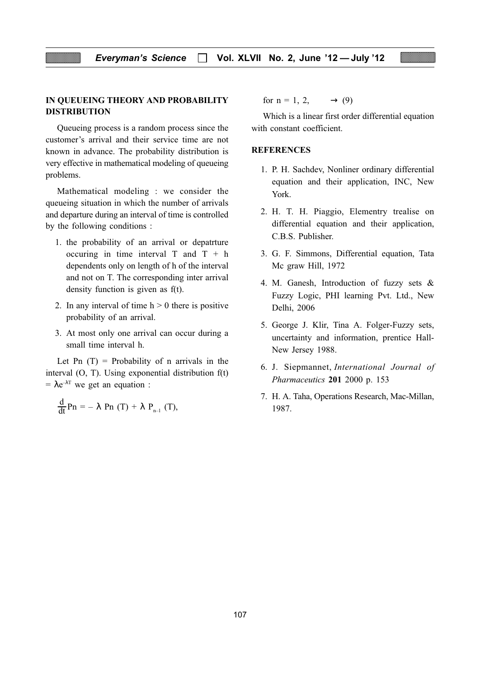# IN QUEUEING THEORY AND PROBABILITY DISTRIBUTION

Queueing process is a random process since the customer's arrival and their service time are not known in advance. The probability distribution is very effective in mathematical modeling of queueing problems.

Mathematical modeling : we consider the queueing situation in which the number of arrivals and departure during an interval of time is controlled by the following conditions :

- 1. the probability of an arrival or depatrture occuring in time interval  $T$  and  $T + h$ dependents only on length of h of the interval and not on T. The corresponding inter arrival density function is given as f(t).
- 2. In any interval of time  $h > 0$  there is positive probability of an arrival.
- 3. At most only one arrival can occur during a small time interval h.

Let Pn  $(T)$  = Probability of n arrivals in the interval (O, T). Using exponential distribution f(t) =  $\lambda e^{-\lambda T}$  we get an equation :

$$
\frac{d}{dt}Pn=-\lambda\ Pn\ (T)+\lambda\ P_{_{n-1}}\ (T),
$$

for  $n = 1, 2, \longrightarrow (9)$ 

Which is a linear first order differential equation with constant coefficient.

#### **REFERENCES**

- 1. P. H. Sachdev, Nonliner ordinary differential equation and their application, INC, New York.
- 2. H. T. H. Piaggio, Elementry trealise on differential equation and their application, C.B.S. Publisher.
- 3. G. F. Simmons, Differential equation, Tata Mc graw Hill, 1972
- 4. M. Ganesh, Introduction of fuzzy sets & Fuzzy Logic, PHI learning Pvt. Ltd., New Delhi, 2006
- 5. George J. Klir, Tina A. Folger-Fuzzy sets, uncertainty and information, prentice Hall-New Jersey 1988.
- 6. J. Siepmannet, International Journal of Pharmaceutics 201 2000 p. 153
- 7. H. A. Taha, Operations Research, Mac-Millan, 1987.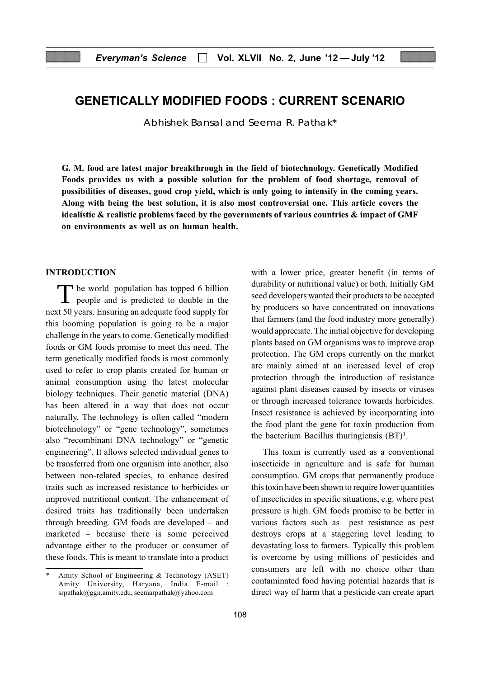# GENETICALLY MODIFIED FOODS : CURRENT SCENARIO

Abhishek Bansal and Seema R. Pathak\*

G. M. food are latest major breakthrough in the field of biotechnology. Genetically Modified Foods provides us with a possible solution for the problem of food shortage, removal of possibilities of diseases, good crop yield, which is only going to intensify in the coming years. Along with being the best solution, it is also most controversial one. This article covers the idealistic  $\&$  realistic problems faced by the governments of various countries  $\&$  impact of GMF on environments as well as on human health.

# INTRODUCTION

The world population has topped 6 billion<br>people and is predicted to double in the next 50 years. Ensuring an adequate food supply for this booming population is going to be a major challenge in the years to come. Genetically modified foods or GM foods promise to meet this need. The term genetically modified foods is most commonly used to refer to crop plants created for human or animal consumption using the latest molecular biology techniques. Their genetic material (DNA) has been altered in a way that does not occur naturally. The technology is often called "modern biotechnology" or "gene technology", sometimes also "recombinant DNA technology" or "genetic engineering". It allows selected individual genes to be transferred from one organism into another, also between non-related species, to enhance desired traits such as increased resistance to herbicides or improved nutritional content. The enhancement of desired traits has traditionally been undertaken through breeding. GM foods are developed – and marketed – because there is some perceived advantage either to the producer or consumer of these foods. This is meant to translate into a product with a lower price, greater benefit (in terms of durability or nutritional value) or both. Initially GM seed developers wanted their products to be accepted by producers so have concentrated on innovations that farmers (and the food industry more generally) would appreciate. The initial objective for developing plants based on GM organisms was to improve crop protection. The GM crops currently on the market are mainly aimed at an increased level of crop protection through the introduction of resistance against plant diseases caused by insects or viruses or through increased tolerance towards herbicides. Insect resistance is achieved by incorporating into the food plant the gene for toxin production from the bacterium Bacillus thuringiensis  $(BT)^1$ .

This toxin is currently used as a conventional insecticide in agriculture and is safe for human consumption. GM crops that permanently produce this toxin have been shown to require lower quantities of insecticides in specific situations, e.g. where pest pressure is high. GM foods promise to be better in various factors such as pest resistance as pest destroys crops at a staggering level leading to devastating loss to farmers. Typically this problem is overcome by using millions of pesticides and consumers are left with no choice other than contaminated food having potential hazards that is direct way of harm that a pesticide can create apart

Amity School of Engineering & Technology (ASET) Amity University, Haryana, India E-mail : srpathak@ggn.amity.edu, seemarpathak@yahoo.com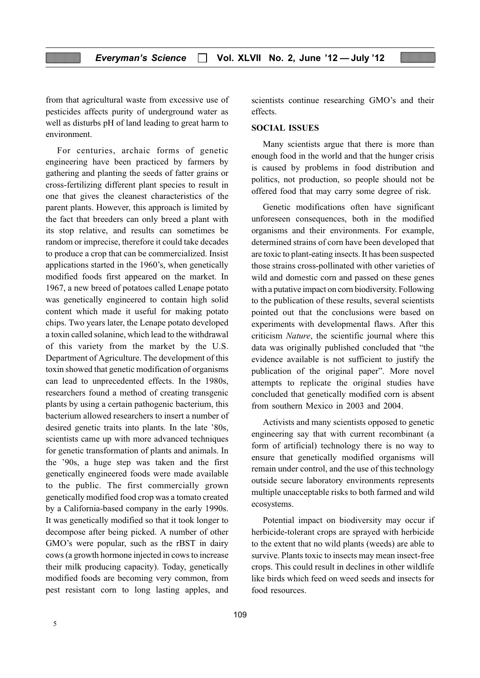from that agricultural waste from excessive use of pesticides affects purity of underground water as well as disturbs pH of land leading to great harm to environment.

For centuries, archaic forms of genetic engineering have been practiced by farmers by gathering and planting the seeds of fatter grains or cross-fertilizing different plant species to result in one that gives the cleanest characteristics of the parent plants. However, this approach is limited by the fact that breeders can only breed a plant with its stop relative, and results can sometimes be random or imprecise, therefore it could take decades to produce a crop that can be commercialized. Insist applications started in the 1960's, when genetically modified foods first appeared on the market. In 1967, a new breed of potatoes called Lenape potato was genetically engineered to contain high solid content which made it useful for making potato chips. Two years later, the Lenape potato developed a toxin called solanine, which lead to the withdrawal of this variety from the market by the U.S. Department of Agriculture. The development of this toxin showed that genetic modification of organisms can lead to unprecedented effects. In the 1980s, researchers found a method of creating transgenic plants by using a certain pathogenic bacterium, this bacterium allowed researchers to insert a number of desired genetic traits into plants. In the late '80s, scientists came up with more advanced techniques for genetic transformation of plants and animals. In the '90s, a huge step was taken and the first genetically engineered foods were made available to the public. The first commercially grown genetically modified food crop was a tomato created by a California-based company in the early 1990s. It was genetically modified so that it took longer to decompose after being picked. A number of other GMO's were popular, such as the rBST in dairy cows (a growth hormone injected in cows to increase their milk producing capacity). Today, genetically modified foods are becoming very common, from pest resistant corn to long lasting apples, and

scientists continue researching GMO's and their effects.

#### SOCIAL ISSUES

Many scientists argue that there is more than enough food in the world and that the hunger crisis is caused by problems in food distribution and politics, not production, so people should not be offered food that may carry some degree of risk.

Genetic modifications often have significant unforeseen consequences, both in the modified organisms and their environments. For example, determined strains of corn have been developed that are toxic to plant-eating insects. It has been suspected those strains cross-pollinated with other varieties of wild and domestic corn and passed on these genes with a putative impact on corn biodiversity. Following to the publication of these results, several scientists pointed out that the conclusions were based on experiments with developmental flaws. After this criticism Nature, the scientific journal where this data was originally published concluded that "the evidence available is not sufficient to justify the publication of the original paper". More novel attempts to replicate the original studies have concluded that genetically modified corn is absent from southern Mexico in 2003 and 2004.

Activists and many scientists opposed to genetic engineering say that with current recombinant (a form of artificial) technology there is no way to ensure that genetically modified organisms will remain under control, and the use of this technology outside secure laboratory environments represents multiple unacceptable risks to both farmed and wild ecosystems.

Potential impact on biodiversity may occur if herbicide-tolerant crops are sprayed with herbicide to the extent that no wild plants (weeds) are able to survive. Plants toxic to insects may mean insect-free crops. This could result in declines in other wildlife like birds which feed on weed seeds and insects for food resources.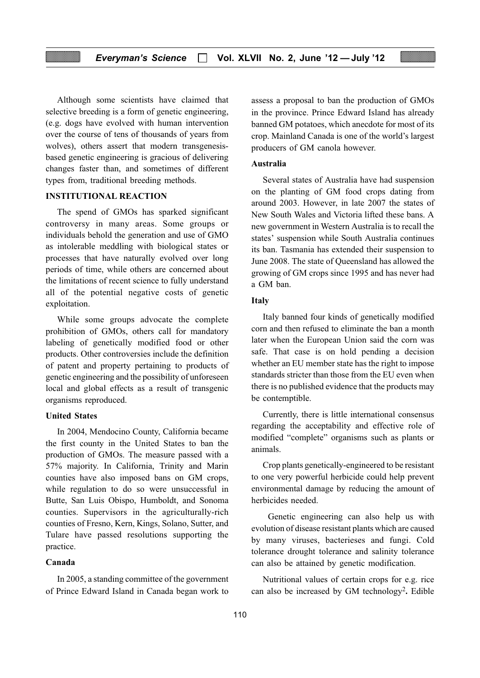Although some scientists have claimed that selective breeding is a form of genetic engineering, (e.g. dogs have evolved with human intervention over the course of tens of thousands of years from wolves), others assert that modern transgenesisbased genetic engineering is gracious of delivering changes faster than, and sometimes of different types from, traditional breeding methods.

# INSTITUTIONAL REACTION

The spend of GMOs has sparked significant controversy in many areas. Some groups or individuals behold the generation and use of GMO as intolerable meddling with biological states or processes that have naturally evolved over long periods of time, while others are concerned about the limitations of recent science to fully understand all of the potential negative costs of genetic exploitation.

While some groups advocate the complete prohibition of GMOs, others call for mandatory labeling of genetically modified food or other products. Other controversies include the definition of patent and property pertaining to products of genetic engineering and the possibility of unforeseen local and global effects as a result of transgenic organisms reproduced.

# United States

In 2004, Mendocino County, California became the first county in the United States to ban the production of GMOs. The measure passed with a 57% majority. In California, Trinity and Marin counties have also imposed bans on GM crops, while regulation to do so were unsuccessful in Butte, San Luis Obispo, Humboldt, and Sonoma counties. Supervisors in the agriculturally-rich counties of Fresno, Kern, Kings, Solano, Sutter, and Tulare have passed resolutions supporting the practice.

# Canada

In 2005, a standing committee of the government of Prince Edward Island in Canada began work to

assess a proposal to ban the production of GMOs in the province. Prince Edward Island has already banned GM potatoes, which anecdote for most of its crop. Mainland Canada is one of the world's largest producers of GM canola however.

#### Australia

Several states of Australia have had suspension on the planting of GM food crops dating from around 2003. However, in late 2007 the states of New South Wales and Victoria lifted these bans. A new government in Western Australia is to recall the states' suspension while South Australia continues its ban. Tasmania has extended their suspension to June 2008. The state of Queensland has allowed the growing of GM crops since 1995 and has never had a GM ban.

# Italy

Italy banned four kinds of genetically modified corn and then refused to eliminate the ban a month later when the European Union said the corn was safe. That case is on hold pending a decision whether an EU member state has the right to impose standards stricter than those from the EU even when there is no published evidence that the products may be contemptible.

Currently, there is little international consensus regarding the acceptability and effective role of modified "complete" organisms such as plants or animals.

Crop plants genetically-engineered to be resistant to one very powerful herbicide could help prevent environmental damage by reducing the amount of herbicides needed.

 Genetic engineering can also help us with evolution of disease resistant plants which are caused by many viruses, bacterieses and fungi. Cold tolerance drought tolerance and salinity tolerance can also be attained by genetic modification.

Nutritional values of certain crops for e.g. rice can also be increased by GM technology<sup>2</sup>. Edible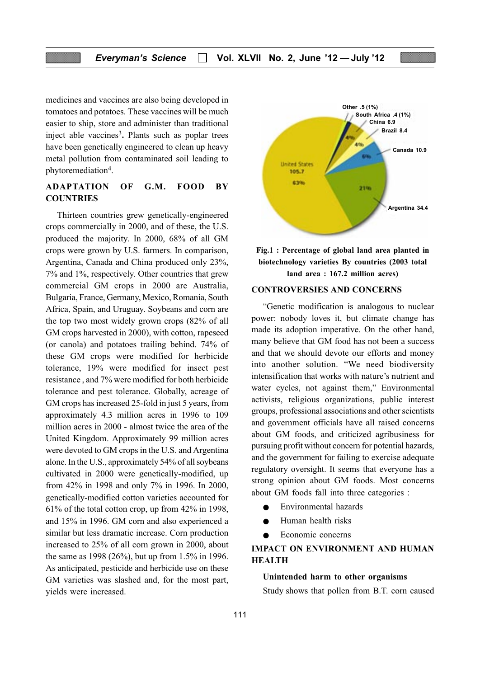medicines and vaccines are also being developed in tomatoes and potatoes. These vaccines will be much easier to ship, store and administer than traditional inject able vaccines<sup>3</sup>. Plants such as poplar trees have been genetically engineered to clean up heavy metal pollution from contaminated soil leading to phytoremediation<sup>4</sup>.

# ADAPTATION OF G.M. FOOD BY **COUNTRIES**

Thirteen countries grew genetically-engineered crops commercially in 2000, and of these, the U.S. produced the majority. In 2000, 68% of all GM crops were grown by U.S. farmers. In comparison, Argentina, Canada and China produced only 23%, 7% and 1%, respectively. Other countries that grew commercial GM crops in 2000 are Australia, Bulgaria, France, Germany, Mexico, Romania, South Africa, Spain, and Uruguay. Soybeans and corn are the top two most widely grown crops (82% of all GM crops harvested in 2000), with cotton, rapeseed (or canola) and potatoes trailing behind. 74% of these GM crops were modified for herbicide tolerance, 19% were modified for insect pest resistance , and 7% were modified for both herbicide tolerance and pest tolerance. Globally, acreage of GM crops has increased 25-fold in just 5 years, from approximately 4.3 million acres in 1996 to 109 million acres in 2000 - almost twice the area of the United Kingdom. Approximately 99 million acres were devoted to GM crops in the U.S. and Argentina alone. In the U.S., approximately 54% of all soybeans cultivated in 2000 were genetically-modified, up from 42% in 1998 and only 7% in 1996. In 2000, genetically-modified cotton varieties accounted for 61% of the total cotton crop, up from 42% in 1998, and 15% in 1996. GM corn and also experienced a similar but less dramatic increase. Corn production increased to 25% of all corn grown in 2000, about the same as 1998 (26%), but up from 1.5% in 1996. As anticipated, pesticide and herbicide use on these GM varieties was slashed and, for the most part, yields were increased.





#### CONTROVERSIES AND CONCERNS

"Genetic modification is analogous to nuclear power: nobody loves it, but climate change has made its adoption imperative. On the other hand, many believe that GM food has not been a success and that we should devote our efforts and money into another solution. "We need biodiversity intensification that works with nature's nutrient and water cycles, not against them," Environmental activists, religious organizations, public interest groups, professional associations and other scientists and government officials have all raised concerns about GM foods, and criticized agribusiness for pursuing profit without concern for potential hazards, and the government for failing to exercise adequate regulatory oversight. It seems that everyone has a strong opinion about GM foods. Most concerns about GM foods fall into three categories :

- Environmental hazards
- Human health risks
- Economic concerns

# IMPACT ON ENVIRONMENT AND HUMAN HEALTH

#### Unintended harm to other organisms

Study shows that pollen from B.T. corn caused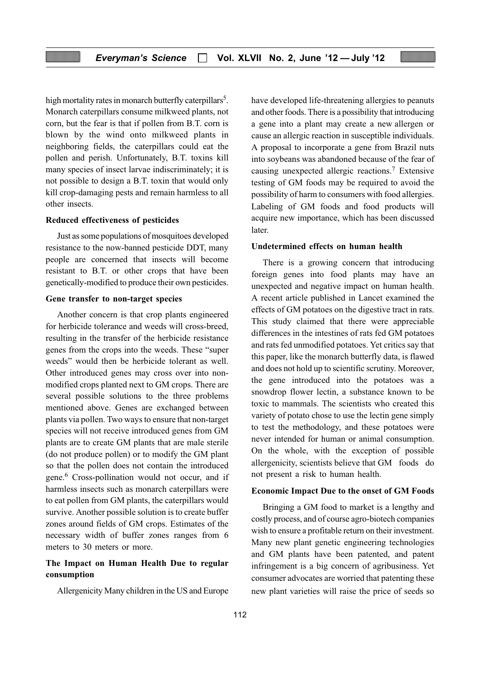high mortality rates in monarch butterfly caterpillars<sup>5</sup>. Monarch caterpillars consume milkweed plants, not corn, but the fear is that if pollen from B.T. corn is blown by the wind onto milkweed plants in neighboring fields, the caterpillars could eat the pollen and perish. Unfortunately, B.T. toxins kill many species of insect larvae indiscriminately; it is not possible to design a B.T. toxin that would only kill crop-damaging pests and remain harmless to all other insects.

#### Reduced effectiveness of pesticides

Just as some populations of mosquitoes developed resistance to the now-banned pesticide DDT, many people are concerned that insects will become resistant to B.T. or other crops that have been genetically-modified to produce their own pesticides.

#### Gene transfer to non-target species

Another concern is that crop plants engineered for herbicide tolerance and weeds will cross-breed, resulting in the transfer of the herbicide resistance genes from the crops into the weeds. These "super weeds" would then be herbicide tolerant as well. Other introduced genes may cross over into nonmodified crops planted next to GM crops. There are several possible solutions to the three problems mentioned above. Genes are exchanged between plants via pollen. Two ways to ensure that non-target species will not receive introduced genes from GM plants are to create GM plants that are male sterile (do not produce pollen) or to modify the GM plant so that the pollen does not contain the introduced gene.6 Cross-pollination would not occur, and if harmless insects such as monarch caterpillars were to eat pollen from GM plants, the caterpillars would survive. Another possible solution is to create buffer zones around fields of GM crops. Estimates of the necessary width of buffer zones ranges from 6 meters to 30 meters or more.

# The Impact on Human Health Due to regular consumption

Allergenicity Many children in the US and Europe

have developed life-threatening allergies to peanuts and other foods. There is a possibility that introducing a gene into a plant may create a new allergen or cause an allergic reaction in susceptible individuals. A proposal to incorporate a gene from Brazil nuts into soybeans was abandoned because of the fear of causing unexpected allergic reactions.7 Extensive testing of GM foods may be required to avoid the possibility of harm to consumers with food allergies. Labeling of GM foods and food products will acquire new importance, which has been discussed later.

#### Undetermined effects on human health

There is a growing concern that introducing foreign genes into food plants may have an unexpected and negative impact on human health. A recent article published in Lancet examined the effects of GM potatoes on the digestive tract in rats. This study claimed that there were appreciable differences in the intestines of rats fed GM potatoes and rats fed unmodified potatoes. Yet critics say that this paper, like the monarch butterfly data, is flawed and does not hold up to scientific scrutiny. Moreover, the gene introduced into the potatoes was a snowdrop flower lectin, a substance known to be toxic to mammals. The scientists who created this variety of potato chose to use the lectin gene simply to test the methodology, and these potatoes were never intended for human or animal consumption. On the whole, with the exception of possible allergenicity, scientists believe that GM foods do not present a risk to human health.

#### Economic Impact Due to the onset of GM Foods

Bringing a GM food to market is a lengthy and costly process, and of course agro-biotech companies wish to ensure a profitable return on their investment. Many new plant genetic engineering technologies and GM plants have been patented, and patent infringement is a big concern of agribusiness. Yet consumer advocates are worried that patenting these new plant varieties will raise the price of seeds so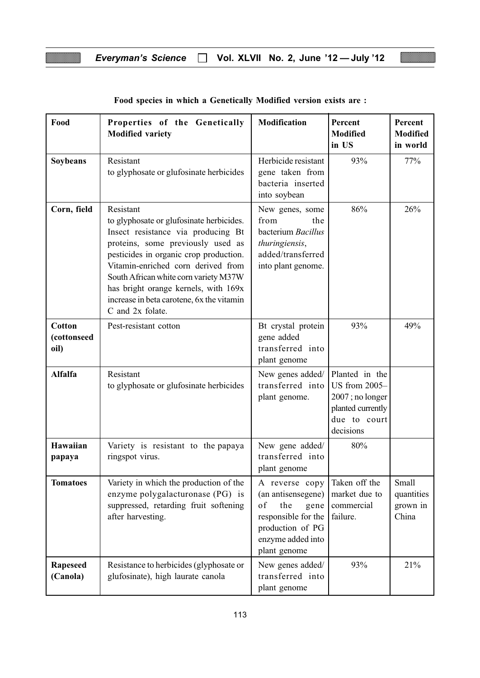# Everyman's Science □ Vol. XLVII No. 2, June '12 - July '12

| Food                                 | Properties of the Genetically<br><b>Modified variety</b>                                                                                                                                                                                                                                                                                                           | Modification                                                                                                                              | Percent<br><b>Modified</b><br>in US                                                                  | Percent<br><b>Modified</b><br>in world   |
|--------------------------------------|--------------------------------------------------------------------------------------------------------------------------------------------------------------------------------------------------------------------------------------------------------------------------------------------------------------------------------------------------------------------|-------------------------------------------------------------------------------------------------------------------------------------------|------------------------------------------------------------------------------------------------------|------------------------------------------|
| Soybeans                             | Resistant<br>to glyphosate or glufosinate herbicides                                                                                                                                                                                                                                                                                                               | Herbicide resistant<br>gene taken from<br>bacteria inserted<br>into soybean                                                               | 93%                                                                                                  | 77%                                      |
| Corn, field                          | Resistant<br>to glyphosate or glufosinate herbicides.<br>Insect resistance via producing Bt<br>proteins, some previously used as<br>pesticides in organic crop production.<br>Vitamin-enriched corn derived from<br>South African white corn variety M37W<br>has bright orange kernels, with 169x<br>increase in beta carotene, 6x the vitamin<br>C and 2x folate. | New genes, some<br>from<br>the<br>bacterium Bacillus<br>thuringiensis,<br>added/transferred<br>into plant genome.                         | 86%                                                                                                  | 26%                                      |
| <b>Cotton</b><br>(cottonseed<br>oil) | Pest-resistant cotton                                                                                                                                                                                                                                                                                                                                              | Bt crystal protein<br>gene added<br>transferred into<br>plant genome                                                                      | 93%                                                                                                  | 49%                                      |
| <b>Alfalfa</b>                       | Resistant<br>to glyphosate or glufosinate herbicides                                                                                                                                                                                                                                                                                                               | New genes added/<br>transferred into<br>plant genome.                                                                                     | Planted in the<br>US from 2005-<br>2007; no longer<br>planted currently<br>due to court<br>decisions |                                          |
| Hawaiian<br>papaya                   | Variety is resistant to the papaya<br>ringspot virus.                                                                                                                                                                                                                                                                                                              | New gene added/<br>transferred into<br>plant genome                                                                                       | 80%                                                                                                  |                                          |
| <b>Tomatoes</b>                      | Variety in which the production of the<br>enzyme polygalacturonase (PG) is<br>suppressed, retarding fruit softening<br>after harvesting.                                                                                                                                                                                                                           | A reverse copy<br>(an antisensegene)<br>of<br>the<br>gene<br>responsible for the<br>production of PG<br>enzyme added into<br>plant genome | Taken off the<br>market due to<br>commercial<br>failure.                                             | Small<br>quantities<br>grown in<br>China |
| Rapeseed<br>(Canola)                 | Resistance to herbicides (glyphosate or<br>glufosinate), high laurate canola                                                                                                                                                                                                                                                                                       | New genes added/<br>transferred into<br>plant genome                                                                                      | 93%                                                                                                  | 21%                                      |

# Food species in which a Genetically Modified version exists are :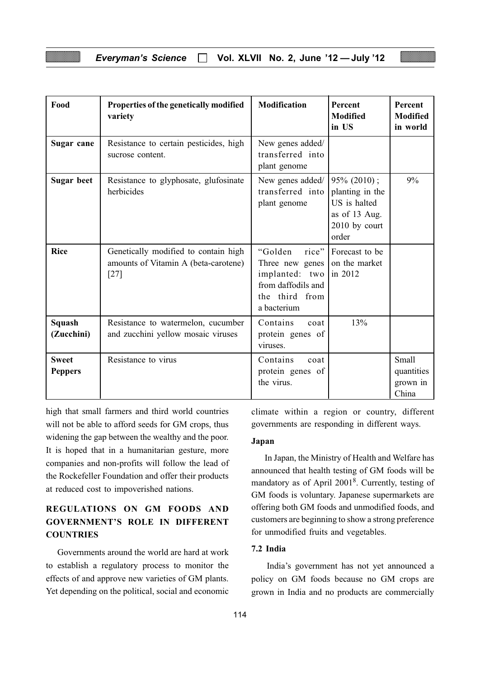| <b>Everyman's Science</b> |  | Vol. XLVII No. 2, June '12 - July '12 |  |  |  |
|---------------------------|--|---------------------------------------|--|--|--|
|---------------------------|--|---------------------------------------|--|--|--|

| Food                           | Properties of the genetically modified<br>variety                                      | <b>Modification</b>                                                                                          | <b>Percent</b><br><b>Modified</b><br>in US                                                | Percent<br><b>Modified</b><br>in world   |
|--------------------------------|----------------------------------------------------------------------------------------|--------------------------------------------------------------------------------------------------------------|-------------------------------------------------------------------------------------------|------------------------------------------|
| Sugar cane                     | Resistance to certain pesticides, high<br>sucrose content.                             | New genes added/<br>transferred into<br>plant genome                                                         |                                                                                           |                                          |
| Sugar beet                     | Resistance to glyphosate, glufosinate<br>herbicides                                    | New genes added/<br>transferred into<br>plant genome                                                         | 95% (2010);<br>planting in the<br>US is halted<br>as of 13 Aug.<br>2010 by court<br>order | 9%                                       |
| <b>Rice</b>                    | Genetically modified to contain high<br>amounts of Vitamin A (beta-carotene)<br>$[27]$ | "Golden<br>rice"<br>Three new genes<br>implanted: two<br>from daffodils and<br>the third from<br>a bacterium | Forecast to be<br>on the market<br>in 2012                                                |                                          |
| Squash<br>(Zucchini)           | Resistance to watermelon, cucumber<br>and zucchini yellow mosaic viruses               | Contains<br>coat<br>protein genes of<br>viruses.                                                             | 13%                                                                                       |                                          |
| <b>Sweet</b><br><b>Peppers</b> | Resistance to virus                                                                    | Contains<br>coat<br>protein genes of<br>the virus.                                                           |                                                                                           | Small<br>quantities<br>grown in<br>China |

high that small farmers and third world countries will not be able to afford seeds for GM crops, thus widening the gap between the wealthy and the poor. It is hoped that in a humanitarian gesture, more companies and non-profits will follow the lead of the Rockefeller Foundation and offer their products at reduced cost to impoverished nations.

# REGULATIONS ON GM FOODS AND GOVERNMENT'S ROLE IN DIFFERENT **COUNTRIES**

Governments around the world are hard at work to establish a regulatory process to monitor the effects of and approve new varieties of GM plants. Yet depending on the political, social and economic climate within a region or country, different governments are responding in different ways.

# Japan

 In Japan, the Ministry of Health and Welfare has announced that health testing of GM foods will be mandatory as of April 20018. Currently, testing of GM foods is voluntary. Japanese supermarkets are offering both GM foods and unmodified foods, and customers are beginning to show a strong preference for unmodified fruits and vegetables.

# 7.2 India

 India's government has not yet announced a policy on GM foods because no GM crops are grown in India and no products are commercially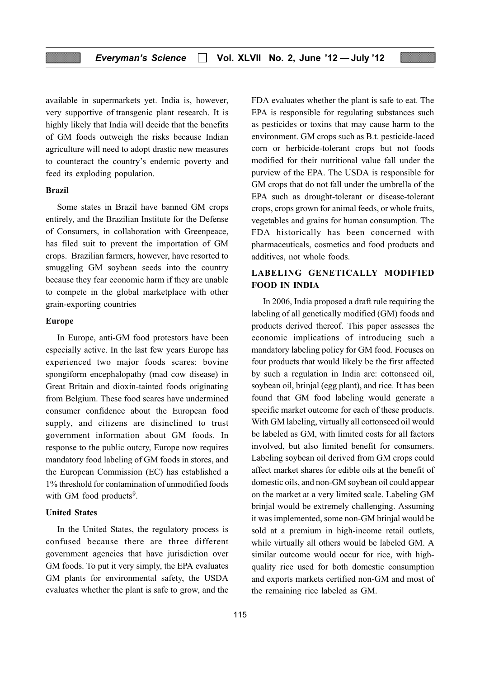available in supermarkets yet. India is, however, very supportive of transgenic plant research. It is highly likely that India will decide that the benefits of GM foods outweigh the risks because Indian agriculture will need to adopt drastic new measures to counteract the country's endemic poverty and feed its exploding population.

# Brazil

Some states in Brazil have banned GM crops entirely, and the Brazilian Institute for the Defense of Consumers, in collaboration with Greenpeace, has filed suit to prevent the importation of GM crops. Brazilian farmers, however, have resorted to smuggling GM soybean seeds into the country because they fear economic harm if they are unable to compete in the global marketplace with other grain-exporting countries

### Europe

In Europe, anti-GM food protestors have been especially active. In the last few years Europe has experienced two major foods scares: bovine spongiform encephalopathy (mad cow disease) in Great Britain and dioxin-tainted foods originating from Belgium. These food scares have undermined consumer confidence about the European food supply, and citizens are disinclined to trust government information about GM foods. In response to the public outcry, Europe now requires mandatory food labeling of GM foods in stores, and the European Commission (EC) has established a 1% threshold for contamination of unmodified foods with GM food products<sup>9</sup>.

# United States

In the United States, the regulatory process is confused because there are three different government agencies that have jurisdiction over GM foods. To put it very simply, the EPA evaluates GM plants for environmental safety, the USDA evaluates whether the plant is safe to grow, and the

FDA evaluates whether the plant is safe to eat. The EPA is responsible for regulating substances such as pesticides or toxins that may cause harm to the environment. GM crops such as B.t. pesticide-laced corn or herbicide-tolerant crops but not foods modified for their nutritional value fall under the purview of the EPA. The USDA is responsible for GM crops that do not fall under the umbrella of the EPA such as drought-tolerant or disease-tolerant crops, crops grown for animal feeds, or whole fruits, vegetables and grains for human consumption. The FDA historically has been concerned with pharmaceuticals, cosmetics and food products and additives, not whole foods.

# LABELING GENETICALLY MODIFIED FOOD IN INDIA

In 2006, India proposed a draft rule requiring the labeling of all genetically modified (GM) foods and products derived thereof. This paper assesses the economic implications of introducing such a mandatory labeling policy for GM food. Focuses on four products that would likely be the first affected by such a regulation in India are: cottonseed oil, soybean oil, brinjal (egg plant), and rice. It has been found that GM food labeling would generate a specific market outcome for each of these products. With GM labeling, virtually all cottonseed oil would be labeled as GM, with limited costs for all factors involved, but also limited benefit for consumers. Labeling soybean oil derived from GM crops could affect market shares for edible oils at the benefit of domestic oils, and non-GM soybean oil could appear on the market at a very limited scale. Labeling GM brinjal would be extremely challenging. Assuming it was implemented, some non-GM brinjal would be sold at a premium in high-income retail outlets, while virtually all others would be labeled GM. A similar outcome would occur for rice, with highquality rice used for both domestic consumption and exports markets certified non-GM and most of the remaining rice labeled as GM.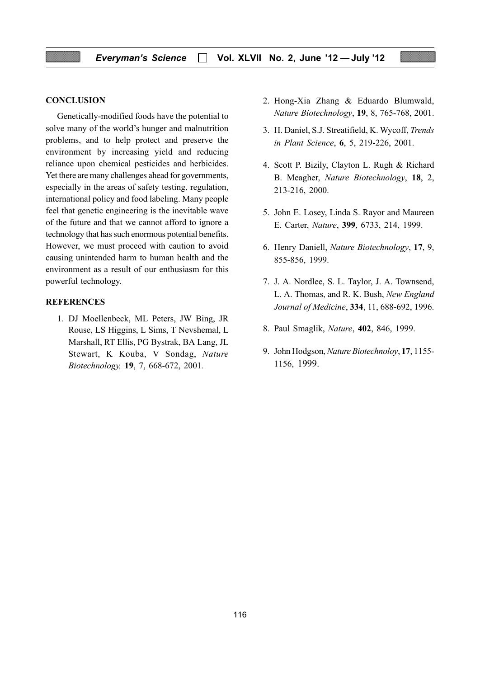# **CONCLUSION**

Genetically-modified foods have the potential to solve many of the world's hunger and malnutrition problems, and to help protect and preserve the environment by increasing yield and reducing reliance upon chemical pesticides and herbicides. Yet there are many challenges ahead for governments, especially in the areas of safety testing, regulation, international policy and food labeling. Many people feel that genetic engineering is the inevitable wave of the future and that we cannot afford to ignore a technology that has such enormous potential benefits. However, we must proceed with caution to avoid causing unintended harm to human health and the environment as a result of our enthusiasm for this powerful technology.

# **REFERENCES**

1. DJ Moellenbeck, ML Peters, JW Bing, JR Rouse, LS Higgins, L Sims, T Nevshemal, L Marshall, RT Ellis, PG Bystrak, BA Lang, JL Stewart, K Kouba, V Sondag, Nature Biotechnology, 19, 7, 668-672, 2001.

- 2. Hong-Xia Zhang & Eduardo Blumwald, Nature Biotechnology, 19, 8, 765-768, 2001.
- 3. H. Daniel, S.J. Streatifield, K. Wycoff, Trends in Plant Science, 6, 5, 219-226, 2001.
- 4. Scott P. Bizily, Clayton L. Rugh & Richard B. Meagher, Nature Biotechnology, 18, 2, 213-216, 2000.
- 5. John E. Losey, Linda S. Rayor and Maureen E. Carter, Nature, 399, 6733, 214, 1999.
- 6. Henry Daniell, Nature Biotechnology, 17, 9, 855-856, 1999.
- 7. J. A. Nordlee, S. L. Taylor, J. A. Townsend, L. A. Thomas, and R. K. Bush, New England Journal of Medicine, 334, 11, 688-692, 1996.
- 8. Paul Smaglik, Nature, 402, 846, 1999.
- 9. John Hodgson, Nature Biotechnoloy, 17, 1155- 1156, 1999.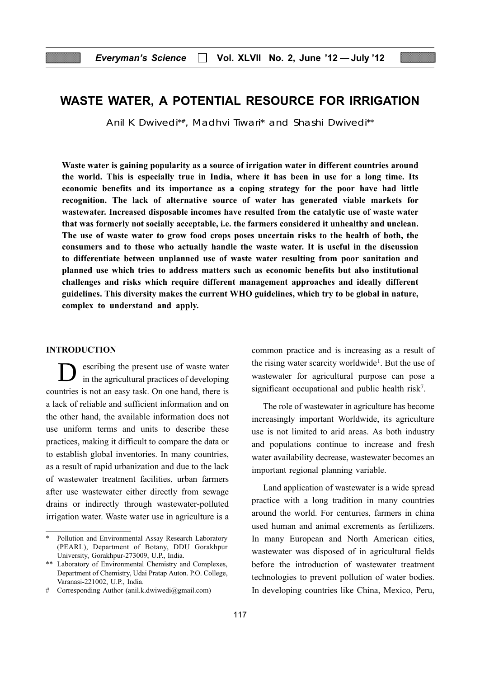# WASTE WATER, A POTENTIAL RESOURCE FOR IRRIGATION

Anil K Dwivedi\*#, Madhvi Tiwari\* and Shashi Dwivedi\*\*

Waste water is gaining popularity as a source of irrigation water in different countries around the world. This is especially true in India, where it has been in use for a long time. Its economic benefits and its importance as a coping strategy for the poor have had little recognition. The lack of alternative source of water has generated viable markets for wastewater. Increased disposable incomes have resulted from the catalytic use of waste water that was formerly not socially acceptable, i.e. the farmers considered it unhealthy and unclean. The use of waste water to grow food crops poses uncertain risks to the health of both, the consumers and to those who actually handle the waste water. It is useful in the discussion to differentiate between unplanned use of waste water resulting from poor sanitation and planned use which tries to address matters such as economic benefits but also institutional challenges and risks which require different management approaches and ideally different guidelines. This diversity makes the current WHO guidelines, which try to be global in nature, complex to understand and apply.

#### INTRODUCTION

escribing the present use of waste water in the agricultural practices of developing countries is not an easy task. On one hand, there is a lack of reliable and sufficient information and on the other hand, the available information does not use uniform terms and units to describe these practices, making it difficult to compare the data or to establish global inventories. In many countries, as a result of rapid urbanization and due to the lack of wastewater treatment facilities, urban farmers after use wastewater either directly from sewage drains or indirectly through wastewater-polluted irrigation water. Waste water use in agriculture is a

common practice and is increasing as a result of the rising water scarcity worldwide<sup>1</sup>. But the use of wastewater for agricultural purpose can pose a significant occupational and public health risk<sup>7</sup>.

The role of wastewater in agriculture has become increasingly important Worldwide, its agriculture use is not limited to arid areas. As both industry and populations continue to increase and fresh water availability decrease, wastewater becomes an important regional planning variable.

Land application of wastewater is a wide spread practice with a long tradition in many countries around the world. For centuries, farmers in china used human and animal excrements as fertilizers. In many European and North American cities, wastewater was disposed of in agricultural fields before the introduction of wastewater treatment technologies to prevent pollution of water bodies. In developing countries like China, Mexico, Peru,

Pollution and Environmental Assay Research Laboratory (PEARL), Department of Botany, DDU Gorakhpur University, Gorakhpur-273009, U.P., India.

<sup>\*\*</sup> Laboratory of Environmental Chemistry and Complexes, Department of Chemistry, Udai Pratap Auton. P.O. College, Varanasi-221002, U.P., India.

<sup>#</sup> Corresponding Author (anil.k.dwiwedi@gmail.com)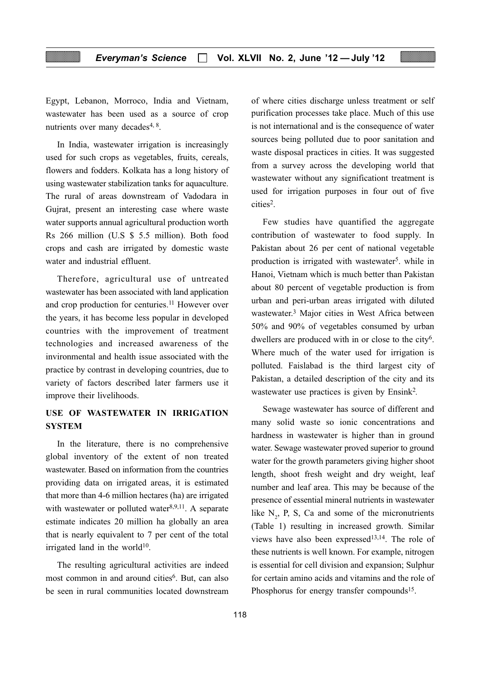Egypt, Lebanon, Morroco, India and Vietnam, wastewater has been used as a source of crop nutrients over many decades<sup>4, 8</sup>.

In India, wastewater irrigation is increasingly used for such crops as vegetables, fruits, cereals, flowers and fodders. Kolkata has a long history of using wastewater stabilization tanks for aquaculture. The rural of areas downstream of Vadodara in Gujrat, present an interesting case where waste water supports annual agricultural production worth Rs 266 million (U.S \$ 5.5 million). Both food crops and cash are irrigated by domestic waste water and industrial effluent.

Therefore, agricultural use of untreated wastewater has been associated with land application and crop production for centuries.<sup>11</sup> However over the years, it has become less popular in developed countries with the improvement of treatment technologies and increased awareness of the invironmental and health issue associated with the practice by contrast in developing countries, due to variety of factors described later farmers use it improve their livelihoods.

# USE OF WASTEWATER IN IRRIGATION **SYSTEM**

In the literature, there is no comprehensive global inventory of the extent of non treated wastewater. Based on information from the countries providing data on irrigated areas, it is estimated that more than 4-6 million hectares (ha) are irrigated with wastewater or polluted water $8,9,11$ . A separate estimate indicates 20 million ha globally an area that is nearly equivalent to 7 per cent of the total irrigated land in the world $10$ .

The resulting agricultural activities are indeed most common in and around cities<sup>6</sup>. But, can also be seen in rural communities located downstream of where cities discharge unless treatment or self purification processes take place. Much of this use is not international and is the consequence of water sources being polluted due to poor sanitation and waste disposal practices in cities. It was suggested from a survey across the developing world that wastewater without any significationt treatment is used for irrigation purposes in four out of five cities2.

Few studies have quantified the aggregate contribution of wastewater to food supply. In Pakistan about 26 per cent of national vegetable production is irrigated with wastewater<sup>5</sup>, while in Hanoi, Vietnam which is much better than Pakistan about 80 percent of vegetable production is from urban and peri-urban areas irrigated with diluted wastewater.3 Major cities in West Africa between 50% and 90% of vegetables consumed by urban dwellers are produced with in or close to the city<sup>6</sup>. Where much of the water used for irrigation is polluted. Faislabad is the third largest city of Pakistan, a detailed description of the city and its wastewater use practices is given by Ensink<sup>2</sup>.

Sewage wastewater has source of different and many solid waste so ionic concentrations and hardness in wastewater is higher than in ground water. Sewage wastewater proved superior to ground water for the growth parameters giving higher shoot length, shoot fresh weight and dry weight, leaf number and leaf area. This may be because of the presence of essential mineral nutrients in wastewater like  $N_2$ , P, S, Ca and some of the micronutrients (Table 1) resulting in increased growth. Similar views have also been expressed $13,14$ . The role of these nutrients is well known. For example, nitrogen is essential for cell division and expansion; Sulphur for certain amino acids and vitamins and the role of Phosphorus for energy transfer compounds<sup>15</sup>.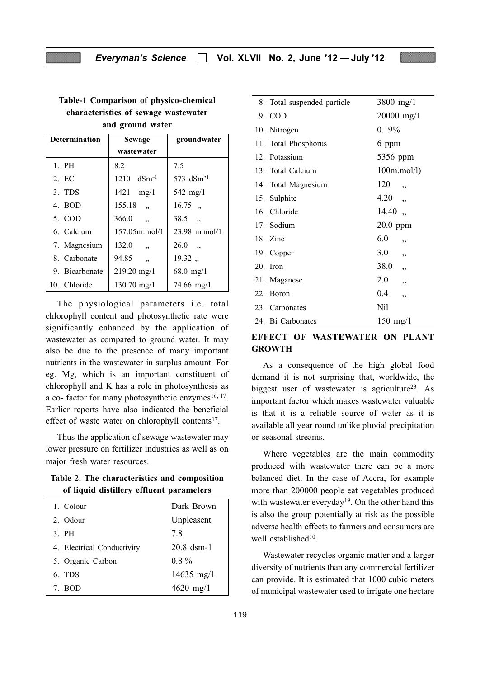| Table-1 Comparison of physico-chemical |
|----------------------------------------|
| characteristics of sewage wastewater   |
| and ground water                       |

| <b>Determination</b> | Sewage                  | groundwater            |
|----------------------|-------------------------|------------------------|
|                      | wastewater              |                        |
| 1. PH                | 8.2                     | 7.5                    |
| 2. EC                | $1210 \text{ dSm}^{-1}$ | 573 $dSm$ <sup>1</sup> |
| 3. TDS               | $1421 \text{ mg}/1$     | 542 mg/1               |
| 4. BOD               | $155.18$ ,              | 16.75,                 |
| 5. COD               | 366.0<br>,              | 38.5,                  |
| 6. Calcium           | $157.05$ m.mol/1        | 23.98 m.mol/1          |
| 7. Magnesium         | 132.0<br>,              | $26.0$ ,               |
| 8. Carbonate         | 94.85<br>,              | 19.32,                 |
| 9. Bicarbonate       | $219.20$ mg/1           | $68.0$ mg/1            |
| 10. Chloride         | $130.70$ mg/1           | 74.66 $mg/1$           |

The physiological parameters i.e. total chlorophyll content and photosynthetic rate were significantly enhanced by the application of wastewater as compared to ground water. It may also be due to the presence of many important nutrients in the wastewater in surplus amount. For eg. Mg, which is an important constituent of chlorophyll and K has a role in photosynthesis as a co- factor for many photosynthetic enzymes $16, 17$ . Earlier reports have also indicated the beneficial effect of waste water on chlorophyll contents<sup>17</sup>.

Thus the application of sewage wastewater may lower pressure on fertilizer industries as well as on major fresh water resources.

Table 2. The characteristics and composition of liquid distillery effluent parameters

| 1. Colour                  | Dark Brown          |
|----------------------------|---------------------|
| 2. Odour                   | Unpleasent          |
| 3. PH                      | 7.8                 |
| 4. Electrical Conductivity | $20.8$ dsm-1        |
| 5. Organic Carbon          | $0.8\%$             |
| 6. TDS                     | $14635$ mg/1        |
| 7. BOD                     | $4620 \text{ mg}/1$ |

| 8. Total suspended particle | 3800 mg/1          |
|-----------------------------|--------------------|
| 9. COD                      | $20000$ mg/1       |
| 10. Nitrogen                | $0.19\%$           |
| 11. Total Phosphorus        | 6 ppm              |
| 12. Potassium               | 5356 ppm           |
| 13. Total Calcium           | 100m.mol/l)        |
| 14. Total Magnesium         | 120<br>,           |
| 15. Sulphite                | 4.20<br>,          |
| 16. Chloride                | 14.40,             |
| 17. Sodium                  | $20.0$ ppm         |
| 18. Zinc                    | 6.0<br>,,          |
| 19. Copper                  | 3.0<br>,,          |
| 20. Iron                    | 38.0<br>,          |
| 21. Maganese                | 2.0<br>,,          |
| 22. Boron                   | $0.4\degree$<br>,, |
| 23. Carbonates              | Nil                |
| 24. Bi Carbonates           | $150$ mg/l         |

# EFFECT OF WASTEWATER ON PLANT GROWTH

As a consequence of the high global food demand it is not surprising that, worldwide, the biggest user of wastewater is agriculture<sup>23</sup>. As important factor which makes wastewater valuable is that it is a reliable source of water as it is available all year round unlike pluvial precipitation or seasonal streams.

Where vegetables are the main commodity produced with wastewater there can be a more balanced diet. In the case of Accra, for example more than 200000 people eat vegetables produced with wastewater everyday<sup>19</sup>. On the other hand this is also the group potentially at risk as the possible adverse health effects to farmers and consumers are well established<sup>10</sup>.

Wastewater recycles organic matter and a larger diversity of nutrients than any commercial fertilizer can provide. It is estimated that 1000 cubic meters of municipal wastewater used to irrigate one hectare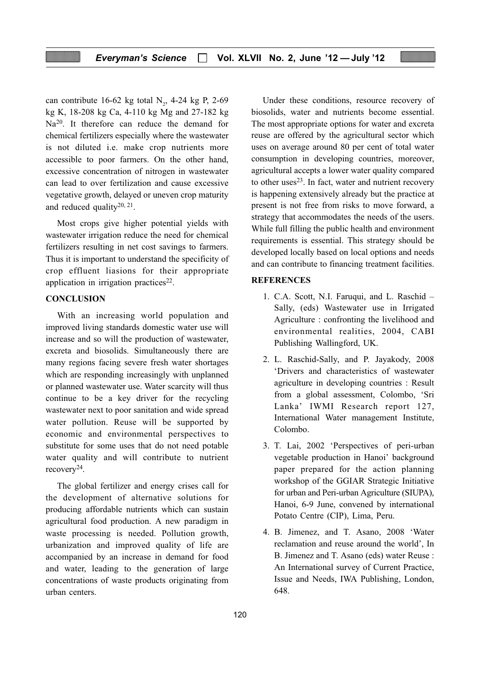# Everyman's Science  $\Box$  Vol. XLVII No. 2, June '12 - July '12

can contribute 16-62 kg total  $N_2$ , 4-24 kg P, 2-69 kg K, 18-208 kg Ca, 4-110 kg Mg and 27-182 kg Na20. It therefore can reduce the demand for chemical fertilizers especially where the wastewater is not diluted i.e. make crop nutrients more accessible to poor farmers. On the other hand, excessive concentration of nitrogen in wastewater can lead to over fertilization and cause excessive vegetative growth, delayed or uneven crop maturity and reduced quality<sup>20, 21</sup>.

Most crops give higher potential yields with wastewater irrigation reduce the need for chemical fertilizers resulting in net cost savings to farmers. Thus it is important to understand the specificity of crop effluent liasions for their appropriate application in irrigation practices $22$ .

# **CONCLUSION**

With an increasing world population and improved living standards domestic water use will increase and so will the production of wastewater, excreta and biosolids. Simultaneously there are many regions facing severe fresh water shortages which are responding increasingly with unplanned or planned wastewater use. Water scarcity will thus continue to be a key driver for the recycling wastewater next to poor sanitation and wide spread water pollution. Reuse will be supported by economic and environmental perspectives to substitute for some uses that do not need potable water quality and will contribute to nutrient recovery24.

The global fertilizer and energy crises call for the development of alternative solutions for producing affordable nutrients which can sustain agricultural food production. A new paradigm in waste processing is needed. Pollution growth, urbanization and improved quality of life are accompanied by an increase in demand for food and water, leading to the generation of large concentrations of waste products originating from urban centers.

Under these conditions, resource recovery of biosolids, water and nutrients become essential. The most appropriate options for water and excreta reuse are offered by the agricultural sector which uses on average around 80 per cent of total water consumption in developing countries, moreover, agricultural accepts a lower water quality compared to other uses<sup>23</sup>. In fact, water and nutrient recovery is happening extensively already but the practice at present is not free from risks to move forward, a strategy that accommodates the needs of the users. While full filling the public health and environment requirements is essential. This strategy should be developed locally based on local options and needs and can contribute to financing treatment facilities.

# **REFERENCES**

- 1. C.A. Scott, N.I. Faruqui, and L. Raschid Sally, (eds) Wastewater use in Irrigated Agriculture : confronting the livelihood and environmental realities, 2004, CABI Publishing Wallingford, UK.
- 2. L. Raschid-Sally, and P. Jayakody, 2008 'Drivers and characteristics of wastewater agriculture in developing countries : Result from a global assessment, Colombo, 'Sri Lanka' IWMI Research report 127, International Water management Institute, Colombo.
- 3. T. Lai, 2002 'Perspectives of peri-urban vegetable production in Hanoi' background paper prepared for the action planning workshop of the GGIAR Strategic Initiative for urban and Peri-urban Agriculture (SIUPA), Hanoi, 6-9 June, convened by international Potato Centre (CIP), Lima, Peru.
- 4. B. Jimenez, and T. Asano, 2008 'Water reclamation and reuse around the world', In B. Jimenez and T. Asano (eds) water Reuse : An International survey of Current Practice, Issue and Needs, IWA Publishing, London, 648.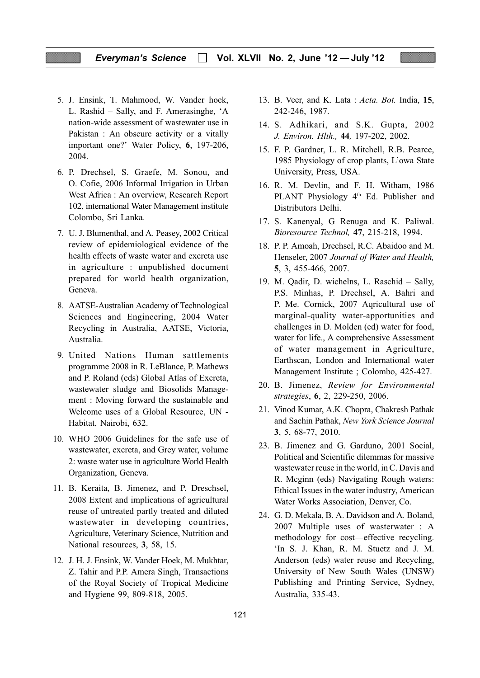# Everyman's Science  $\Box$  Vol. XLVII No. 2, June '12 — July '12

- 5. J. Ensink, T. Mahmood, W. Vander hoek, L. Rashid – Sally, and F. Amerasinghe, 'A nation-wide assessment of wastewater use in Pakistan : An obscure activity or a vitally important one?' Water Policy, 6, 197-206, 2004.
- 6. P. Drechsel, S. Graefe, M. Sonou, and O. Cofie, 2006 Informal Irrigation in Urban West Africa : An overview, Research Report 102, international Water Management institute Colombo, Sri Lanka.
- 7. U. J. Blumenthal, and A. Peasey, 2002 Critical review of epidemiological evidence of the health effects of waste water and excreta use in agriculture : unpublished document prepared for world health organization, Geneva.
- 8. AATSE-Australian Academy of Technological Sciences and Engineering, 2004 Water Recycling in Australia, AATSE, Victoria, Australia.
- 9. United Nations Human sattlements programme 2008 in R. LeBlance, P. Mathews and P. Roland (eds) Global Atlas of Excreta, wastewater sludge and Biosolids Management : Moving forward the sustainable and Welcome uses of a Global Resource, UN - Habitat, Nairobi, 632.
- 10. WHO 2006 Guidelines for the safe use of wastewater, excreta, and Grey water, volume 2: waste water use in agriculture World Health Organization, Geneva.
- 11. B. Keraita, B. Jimenez, and P. Dreschsel, 2008 Extent and implications of agricultural reuse of untreated partly treated and diluted wastewater in developing countries, Agriculture, Veterinary Science, Nutrition and National resources, 3, 58, 15.
- 12. J. H. J. Ensink, W. Vander Hoek, M. Mukhtar, Z. Tahir and P.P. Amera Singh, Transactions of the Royal Society of Tropical Medicine and Hygiene 99, 809-818, 2005.
- 13. B. Veer, and K. Lata : Acta. Bot. India, 15, 242-246, 1987.
- 14. S. Adhikari, and S.K. Gupta, 2002 J. Environ. Hlth., 44, 197-202, 2002.
- 15. F. P. Gardner, L. R. Mitchell, R.B. Pearce, 1985 Physiology of crop plants, L'owa State University, Press, USA.
- 16. R. M. Devlin, and F. H. Witham, 1986 PLANT Physiology 4<sup>th</sup> Ed. Publisher and Distributors Delhi.
- 17. S. Kanenyal, G Renuga and K. Paliwal. Bioresource Technol, 47, 215-218, 1994.
- 18. P. P. Amoah, Drechsel, R.C. Abaidoo and M. Henseler, 2007 Journal of Water and Health, 5, 3, 455-466, 2007.
- 19. M. Qadir, D. wichelns, L. Raschid Sally, P.S. Minhas, P. Drechsel, A. Bahri and P. Me. Cornick, 2007 Aqricultural use of marginal-quality water-apportunities and challenges in D. Molden (ed) water for food, water for life., A comprehensive Assessment of water management in Agriculture, Earthscan, London and International water Management Institute ; Colombo, 425-427.
- 20. B. Jimenez, Review for Environmental strategies, 6, 2, 229-250, 2006.
- 21. Vinod Kumar, A.K. Chopra, Chakresh Pathak and Sachin Pathak, New York Science Journal 3, 5, 68-77, 2010.
- 23. B. Jimenez and G. Garduno, 2001 Social, Political and Scientific dilemmas for massive wastewater reuse in the world, in C. Davis and R. Mcginn (eds) Navigating Rough waters: Ethical Issues in the water industry, American Water Works Association, Denver, Co.
- 24. G. D. Mekala, B. A. Davidson and A. Boland, 2007 Multiple uses of wasterwater : A methodology for cost—effective recycling. 'In S. J. Khan, R. M. Stuetz and J. M. Anderson (eds) water reuse and Recycling, University of New South Wales (UNSW) Publishing and Printing Service, Sydney, Australia, 335-43.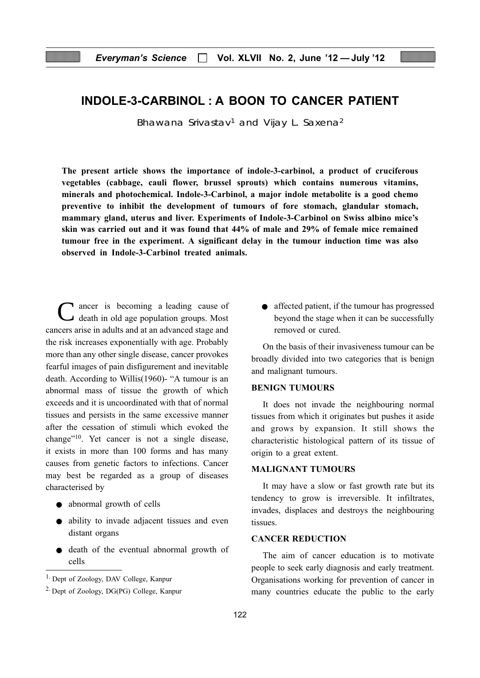# INDOLE-3-CARBINOL : A BOON TO CANCER PATIENT

Bhawana Srivastav<sup>1</sup> and Vijay L. Saxena<sup>2</sup>

The present article shows the importance of indole-3-carbinol, a product of cruciferous vegetables (cabbage, cauli flower, brussel sprouts) which contains numerous vitamins, minerals and photochemical. Indole-3-Carbinol, a major indole metabolite is a good chemo preventive to inhibit the development of tumours of fore stomach, glandular stomach, mammary gland, uterus and liver. Experiments of Indole-3-Carbinol on Swiss albino mice's skin was carried out and it was found that 44% of male and 29% of female mice remained tumour free in the experiment. A significant delay in the tumour induction time was also observed in Indole-3-Carbinol treated animals.

C ancer is becoming a leading cause of death in old age population groups. Most cancers arise in adults and at an advanced stage and the risk increases exponentially with age. Probably more than any other single disease, cancer provokes fearful images of pain disfigurement and inevitable death. According to Willis(1960)- "A tumour is an abnormal mass of tissue the growth of which exceeds and it is uncoordinated with that of normal tissues and persists in the same excessive manner after the cessation of stimuli which evoked the change"10. Yet cancer is not a single disease, it exists in more than 100 forms and has many causes from genetic factors to infections. Cancer may best be regarded as a group of diseases characterised by

- abnormal growth of cells
- ability to invade adjacent tissues and even distant organs
- death of the eventual abnormal growth of cells

● affected patient, if the tumour has progressed beyond the stage when it can be successfully removed or cured.

On the basis of their invasiveness tumour can be broadly divided into two categories that is benign and malignant tumours.

# BENIGN TUMOURS

It does not invade the neighbouring normal tissues from which it originates but pushes it aside and grows by expansion. It still shows the characteristic histological pattern of its tissue of origin to a great extent.

# MALIGNANT TUMOURS

It may have a slow or fast growth rate but its tendency to grow is irreversible. It infiltrates, invades, displaces and destroys the neighbouring tissues.

# CANCER REDUCTION

The aim of cancer education is to motivate people to seek early diagnosis and early treatment. Organisations working for prevention of cancer in many countries educate the public to the early

<sup>1.</sup> Dept of Zoology, DAV College, Kanpur

<sup>2.</sup> Dept of Zoology, DG(PG) College, Kanpur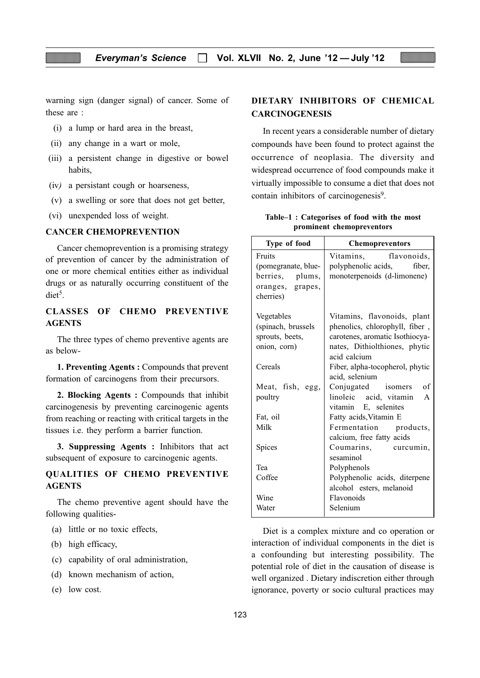warning sign (danger signal) of cancer. Some of these are :

- (i) a lump or hard area in the breast,
- (ii) any change in a wart or mole,
- (iii) a persistent change in digestive or bowel habits,
- (iv) a persistant cough or hoarseness,
- (v) a swelling or sore that does not get better,
- (vi) unexpended loss of weight.

# CANCER CHEMOPREVENTION

Cancer chemoprevention is a promising strategy of prevention of cancer by the administration of one or more chemical entities either as individual drugs or as naturally occurring constituent of the  $\text{dist}^5$ .

# CLASSES OF CHEMO PREVENTIVE AGENTS

The three types of chemo preventive agents are as below-

1. Preventing Agents : Compounds that prevent formation of carcinogens from their precursors.

2. Blocking Agents : Compounds that inhibit carcinogenesis by preventing carcinogenic agents from reaching or reacting with critical targets in the tissues i.e. they perform a barrier function.

3. Suppressing Agents : Inhibitors that act subsequent of exposure to carcinogenic agents.

# QUALITIES OF CHEMO PREVENTIVE AGENTS

The chemo preventive agent should have the following qualities-

- (a) little or no toxic effects,
- (b) high efficacy,
- (c) capability of oral administration,
- (d) known mechanism of action,
- (e) low cost.

# DIETARY INHIBITORS OF CHEMICAL **CARCINOGENESIS**

In recent years a considerable number of dietary compounds have been found to protect against the occurrence of neoplasia. The diversity and widespread occurrence of food compounds make it virtually impossible to consume a diet that does not contain inhibitors of carcinogenesis<sup>9</sup>.

| Table–1: Categorises of food with the most |                           |  |  |  |  |
|--------------------------------------------|---------------------------|--|--|--|--|
|                                            | prominent chemopreventors |  |  |  |  |

| <b>Chemopreventors</b>                 |
|----------------------------------------|
| Vitamins,<br>flavonoids,               |
| polyphenolic acids,<br>fiber,          |
| monoterpenoids (d-limonene)            |
|                                        |
|                                        |
| Vitamins, flavonoids, plant            |
| phenolics, chlorophyll, fiber,         |
|                                        |
| carotenes, aromatic Isothiocya-        |
| nates, Dithiolthiones, phytic          |
| acid calcium                           |
| Fiber, alpha-tocopherol, phytic        |
| acid, selenium                         |
| Conjugated isomers<br>of               |
| linoleic acid, vitamin<br>$\mathsf{A}$ |
| vitamin E, selenites                   |
| Fatty acids, Vitamin E                 |
| Fermentation products,                 |
| calcium, free fatty acids              |
| Coumarins, curcumin,                   |
| sesaminol                              |
| Polyphenols                            |
| Polyphenolic acids, diterpene          |
| alcohol esters, melanoid               |
| Flavonoids                             |
|                                        |
|                                        |

Diet is a complex mixture and co operation or interaction of individual components in the diet is a confounding but interesting possibility. The potential role of diet in the causation of disease is well organized . Dietary indiscretion either through ignorance, poverty or socio cultural practices may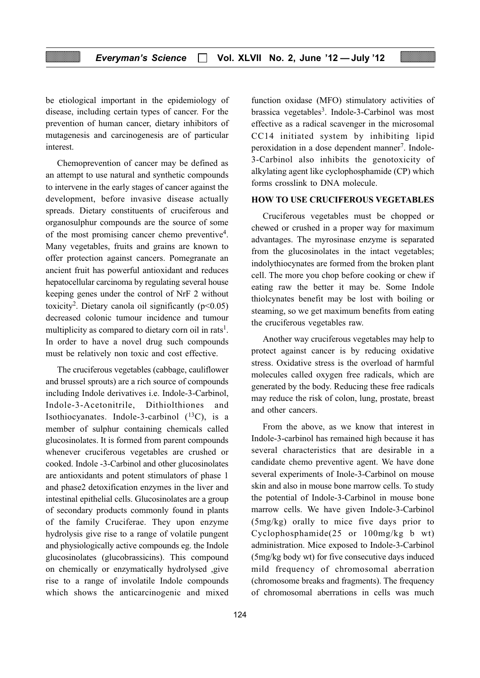be etiological important in the epidemiology of disease, including certain types of cancer. For the prevention of human cancer, dietary inhibitors of mutagenesis and carcinogenesis are of particular interest.

Chemoprevention of cancer may be defined as an attempt to use natural and synthetic compounds to intervene in the early stages of cancer against the development, before invasive disease actually spreads. Dietary constituents of cruciferous and organosulphur compounds are the source of some of the most promising cancer chemo preventive4. Many vegetables, fruits and grains are known to offer protection against cancers. Pomegranate an ancient fruit has powerful antioxidant and reduces hepatocellular carcinoma by regulating several house keeping genes under the control of NrF 2 without toxicity<sup>2</sup>. Dietary canola oil significantly ( $p$ <0.05) decreased colonic tumour incidence and tumour multiplicity as compared to dietary corn oil in rats<sup>1</sup>. In order to have a novel drug such compounds must be relatively non toxic and cost effective.

The cruciferous vegetables (cabbage, cauliflower and brussel sprouts) are a rich source of compounds including Indole derivatives i.e. Indole-3-Carbinol, Indole-3-Acetonitrile, Dithiolthiones and Isothiocyanates. Indole-3-carbinol  $(^{13}C)$ , is a member of sulphur containing chemicals called glucosinolates. It is formed from parent compounds whenever cruciferous vegetables are crushed or cooked. Indole -3-Carbinol and other glucosinolates are antioxidants and potent stimulators of phase 1 and phase2 detoxification enzymes in the liver and intestinal epithelial cells. Glucosinolates are a group of secondary products commonly found in plants of the family Cruciferae. They upon enzyme hydrolysis give rise to a range of volatile pungent and physiologically active compounds eg. the Indole glucosinolates (glucobrassicins). This compound on chemically or enzymatically hydrolysed ,give rise to a range of involatile Indole compounds which shows the anticarcinogenic and mixed

function oxidase (MFO) stimulatory activities of brassica vegetables<sup>3</sup>. Indole-3-Carbinol was most effective as a radical scavenger in the microsomal CC14 initiated system by inhibiting lipid peroxidation in a dose dependent manner<sup>7</sup>. Indole-3-Carbinol also inhibits the genotoxicity of alkylating agent like cyclophosphamide (CP) which forms crosslink to DNA molecule.

# HOW TO USE CRUCIFEROUS VEGETABLES

Cruciferous vegetables must be chopped or chewed or crushed in a proper way for maximum advantages. The myrosinase enzyme is separated from the glucosinolates in the intact vegetables; indolythiocynates are formed from the broken plant cell. The more you chop before cooking or chew if eating raw the better it may be. Some Indole thiolcynates benefit may be lost with boiling or steaming, so we get maximum benefits from eating the cruciferous vegetables raw.

Another way cruciferous vegetables may help to protect against cancer is by reducing oxidative stress. Oxidative stress is the overload of harmful molecules called oxygen free radicals, which are generated by the body. Reducing these free radicals may reduce the risk of colon, lung, prostate, breast and other cancers.

From the above, as we know that interest in Indole-3-carbinol has remained high because it has several characteristics that are desirable in a candidate chemo preventive agent. We have done several experiments of Inole-3-Carbinol on mouse skin and also in mouse bone marrow cells. To study the potential of Indole-3-Carbinol in mouse bone marrow cells. We have given Indole-3-Carbinol (5mg/kg) orally to mice five days prior to Cyclophosphamide(25 or 100mg/kg b wt) administration. Mice exposed to Indole-3-Carbinol (5mg/kg body wt) for five consecutive days induced mild frequency of chromosomal aberration (chromosome breaks and fragments). The frequency of chromosomal aberrations in cells was much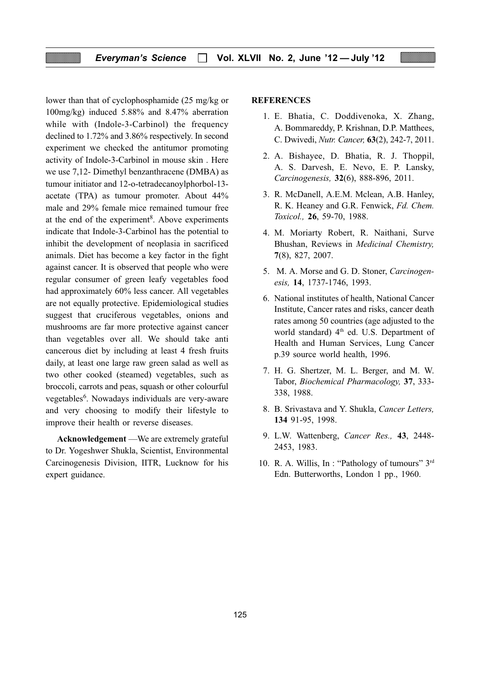lower than that of cyclophosphamide (25 mg/kg or 100mg/kg) induced 5.88% and 8.47% aberration while with (Indole-3-Carbinol) the frequency declined to 1.72% and 3.86% respectively. In second experiment we checked the antitumor promoting activity of Indole-3-Carbinol in mouse skin . Here we use 7,12- Dimethyl benzanthracene (DMBA) as tumour initiator and 12-o-tetradecanoylphorbol-13 acetate (TPA) as tumour promoter. About 44% male and 29% female mice remained tumour free at the end of the experiment<sup>8</sup>. Above experiments indicate that Indole-3-Carbinol has the potential to inhibit the development of neoplasia in sacrificed animals. Diet has become a key factor in the fight against cancer. It is observed that people who were regular consumer of green leafy vegetables food had approximately 60% less cancer. All vegetables are not equally protective. Epidemiological studies suggest that cruciferous vegetables, onions and mushrooms are far more protective against cancer than vegetables over all. We should take anti cancerous diet by including at least 4 fresh fruits daily, at least one large raw green salad as well as two other cooked (steamed) vegetables, such as broccoli, carrots and peas, squash or other colourful vegetables<sup>6</sup>. Nowadays individuals are very-aware and very choosing to modify their lifestyle to improve their health or reverse diseases.

Acknowledgement —We are extremely grateful to Dr. Yogeshwer Shukla, Scientist, Environmental Carcinogenesis Division, IITR, Lucknow for his expert guidance.

#### **REFERENCES**

- 1. E. Bhatia, C. Doddivenoka, X. Zhang, A. Bommareddy, P. Krishnan, D.P. Matthees, C. Dwivedi, Nutr. Cancer, 63(2), 242-7, 2011.
- 2. A. Bishayee, D. Bhatia, R. J. Thoppil, A. S. Darvesh, E. Nevo, E. P. Lansky, Carcinogenesis, 32(6), 888-896, 2011.
- 3. R. McDanell, A.E.M. Mclean, A.B. Hanley, R. K. Heaney and G.R. Fenwick, Fd. Chem. Toxicol., 26, 59-70, 1988.
- 4. M. Moriarty Robert, R. Naithani, Surve Bhushan, Reviews in Medicinal Chemistry, 7(8), 827, 2007.
- 5. M. A. Morse and G. D. Stoner, Carcinogenesis, 14, 1737-1746, 1993.
- 6. National institutes of health, National Cancer Institute, Cancer rates and risks, cancer death rates among 50 countries (age adjusted to the world standard) 4<sup>th</sup> ed. U.S. Department of Health and Human Services, Lung Cancer p.39 source world health, 1996.
- 7. H. G. Shertzer, M. L. Berger, and M. W. Tabor, Biochemical Pharmacology, 37, 333- 338, 1988.
- 8. B. Srivastava and Y. Shukla, Cancer Letters, 134 91-95, 1998.
- 9. L.W. Wattenberg, Cancer Res., 43, 2448- 2453, 1983.
- 10. R. A. Willis, In : "Pathology of tumours" 3rd Edn. Butterworths, London 1 pp., 1960.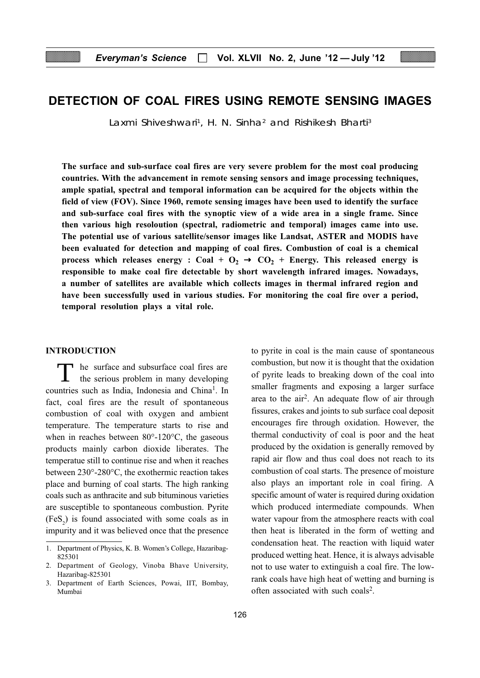# DETECTION OF COAL FIRES USING REMOTE SENSING IMAGES

Laxmi Shiveshwari<sup>1</sup>, H. N. Sinha<sup>2</sup> and Rishikesh Bharti<sup>3</sup>

The surface and sub-surface coal fires are very severe problem for the most coal producing countries. With the advancement in remote sensing sensors and image processing techniques, ample spatial, spectral and temporal information can be acquired for the objects within the field of view (FOV). Since 1960, remote sensing images have been used to identify the surface and sub-surface coal fires with the synoptic view of a wide area in a single frame. Since then various high resoloution (spectral, radiometric and temporal) images came into use. The potential use of various satellite/sensor images like Landsat, ASTER and MODIS have been evaluated for detection and mapping of coal fires. Combustion of coal is a chemical process which releases energy : Coal +  $O_2 \rightarrow CO_2$  + Energy. This released energy is responsible to make coal fire detectable by short wavelength infrared images. Nowadays, a number of satellites are available which collects images in thermal infrared region and have been successfully used in various studies. For monitoring the coal fire over a period, temporal resolution plays a vital role.

#### INTRODUCTION

T he surface and subsurface coal fires are the serious problem in many developing countries such as India, Indonesia and China<sup>1</sup>. In fact, coal fires are the result of spontaneous combustion of coal with oxygen and ambient temperature. The temperature starts to rise and when in reaches between 80°-120°C, the gaseous products mainly carbon dioxide liberates. The temperatue still to continue rise and when it reaches between 230°-280°C, the exothermic reaction takes place and burning of coal starts. The high ranking coals such as anthracite and sub bituminous varieties are susceptible to spontaneous combustion. Pyrite  $(FeS<sub>2</sub>)$  is found associated with some coals as in impurity and it was believed once that the presence

to pyrite in coal is the main cause of spontaneous combustion, but now it is thought that the oxidation of pyrite leads to breaking down of the coal into smaller fragments and exposing a larger surface area to the air2. An adequate flow of air through fissures, crakes and joints to sub surface coal deposit encourages fire through oxidation. However, the thermal conductivity of coal is poor and the heat produced by the oxidation is generally removed by rapid air flow and thus coal does not reach to its combustion of coal starts. The presence of moisture also plays an important role in coal firing. A specific amount of water is required during oxidation which produced intermediate compounds. When water vapour from the atmosphere reacts with coal then heat is liberated in the form of wetting and condensation heat. The reaction with liquid water produced wetting heat. Hence, it is always advisable not to use water to extinguish a coal fire. The lowrank coals have high heat of wetting and burning is often associated with such coals<sup>2</sup>.

<sup>1.</sup> Department of Physics, K. B. Women's College, Hazaribag-825301

<sup>2.</sup> Department of Geology, Vinoba Bhave University, Hazaribag-825301

<sup>3.</sup> Department of Earth Sciences, Powai, IIT, Bombay, Mumbai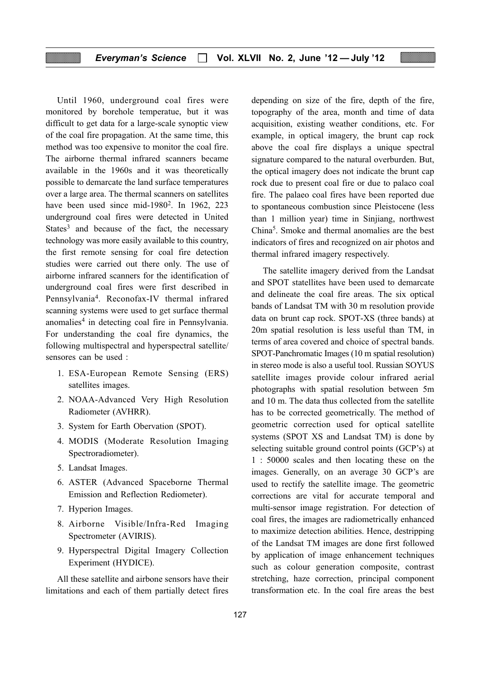# Everyman's Science  $\Box$  Vol. XLVII No. 2, June '12 — July '12

Until 1960, underground coal fires were monitored by borehole temperatue, but it was difficult to get data for a large-scale synoptic view of the coal fire propagation. At the same time, this method was too expensive to monitor the coal fire. The airborne thermal infrared scanners became available in the 1960s and it was theoretically possible to demarcate the land surface temperatures over a large area. The thermal scanners on satellites have been used since mid-1980<sup>2</sup>. In 1962, 223 underground coal fires were detected in United States<sup>3</sup> and because of the fact, the necessary technology was more easily available to this country, the first remote sensing for coal fire detection studies were carried out there only. The use of airborne infrared scanners for the identification of underground coal fires were first described in Pennsylvania4. Reconofax-IV thermal infrared scanning systems were used to get surface thermal anomalies<sup>4</sup> in detecting coal fire in Pennsylvania. For understanding the coal fire dynamics, the following multispectral and hyperspectral satellite/ sensores can be used :

- 1. ESA-European Remote Sensing (ERS) satellites images.
- 2. NOAA-Advanced Very High Resolution Radiometer (AVHRR).
- 3. System for Earth Obervation (SPOT).
- 4. MODIS (Moderate Resolution Imaging Spectroradiometer).
- 5. Landsat Images.
- 6. ASTER (Advanced Spaceborne Thermal Emission and Reflection Rediometer).
- 7. Hyperion Images.
- 8. Airborne Visible/Infra-Red Imaging Spectrometer (AVIRIS).
- 9. Hyperspectral Digital Imagery Collection Experiment (HYDICE).

All these satellite and airbone sensors have their limitations and each of them partially detect fires

depending on size of the fire, depth of the fire, topography of the area, month and time of data acquisition, existing weather conditions, etc. For example, in optical imagery, the brunt cap rock above the coal fire displays a unique spectral signature compared to the natural overburden. But, the optical imagery does not indicate the brunt cap rock due to present coal fire or due to palaco coal fire. The palaeo coal fires have been reported due to spontaneous combustion since Pleistocene (less than 1 million year) time in Sinjiang, northwest China5. Smoke and thermal anomalies are the best indicators of fires and recognized on air photos and thermal infrared imagery respectively.

The satellite imagery derived from the Landsat and SPOT statellites have been used to demarcate and delineate the coal fire areas. The six optical bands of Landsat TM with 30 m resolution provide data on brunt cap rock. SPOT-XS (three bands) at 20m spatial resolution is less useful than TM, in terms of area covered and choice of spectral bands. SPOT-Panchromatic Images (10 m spatial resolution) in stereo mode is also a useful tool. Russian SOYUS satellite images provide colour infrared aerial photographs with spatial resolution between 5m and 10 m. The data thus collected from the satellite has to be corrected geometrically. The method of geometric correction used for optical satellite systems (SPOT XS and Landsat TM) is done by selecting suitable ground control points (GCP's) at 1 : 50000 scales and then locating these on the images. Generally, on an average 30 GCP's are used to rectify the satellite image. The geometric corrections are vital for accurate temporal and multi-sensor image registration. For detection of coal fires, the images are radiometrically enhanced to maximize detection abilities. Hence, destripping of the Landsat TM images are done first followed by application of image enhancement techniques such as colour generation composite, contrast stretching, haze correction, principal component transformation etc. In the coal fire areas the best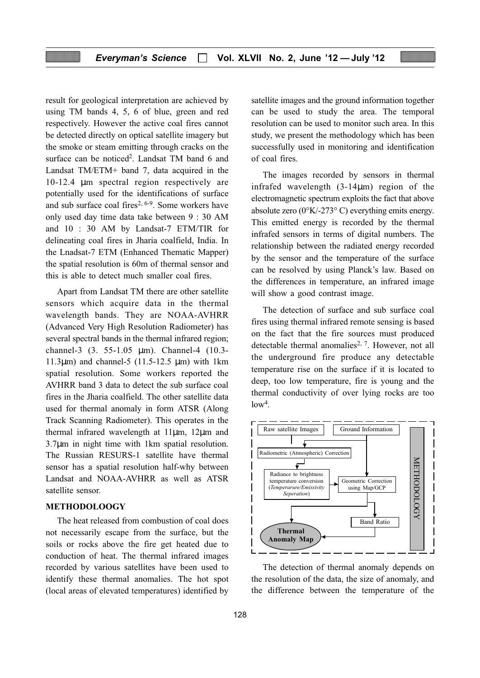result for geological interpretation are achieved by using TM bands 4, 5, 6 of blue, green and red respectively. However the active coal fires cannot be detected directly on optical satellite imagery but the smoke or steam emitting through cracks on the surface can be noticed<sup>2</sup>. Landsat TM band 6 and Landsat TM/ETM+ band 7, data acquired in the 10-12.4 µm spectral region respectively are potentially used for the identifications of surface and sub surface coal fires<sup>2,  $6-9$ </sup>. Some workers have only used day time data take between 9 : 30 AM and 10 : 30 AM by Landsat-7 ETM/TIR for delineating coal fires in Jharia coalfield, India. In the Lnadsat-7 ETM (Enhanced Thematic Mapper) the spatial resolution is 60m of thermal sensor and this is able to detect much smaller coal fires.

Apart from Landsat TM there are other satellite sensors which acquire data in the thermal wavelength bands. They are NOAA-AVHRR (Advanced Very High Resolution Radiometer) has several spectral bands in the thermal infrared region; channel-3 (3. 55-1.05 µm). Channel-4 (10.3- 11.3µm) and channel-5 (11.5-12.5 µm) with 1km spatial resolution. Some workers reported the AVHRR band 3 data to detect the sub surface coal fires in the Jharia coalfield. The other satellite data used for thermal anomaly in form ATSR (Along Track Scanning Radiometer). This operates in the thermal infrared wavelength at 11µm, 12µm and 3.7µm in night time with 1km spatial resolution. The Russian RESURS-1 satellite have thermal sensor has a spatial resolution half-why between Landsat and NOAA-AVHRR as well as ATSR satellite sensor.

#### **METHODOLOOGY**

The heat released from combustion of coal does not necessarily escape from the surface, but the soils or rocks above the fire get heated due to conduction of heat. The thermal infrared images recorded by various satellites have been used to identify these thermal anomalies. The hot spot (local areas of elevated temperatures) identified by

satellite images and the ground information together can be used to study the area. The temporal resolution can be used to monitor such area. In this study, we present the methodology which has been successfully used in monitoring and identification of coal fires.

The images recorded by sensors in thermal infrafed wavelength (3-14µm) region of the electromagnetic spectrum exploits the fact that above absolute zero (0°K/-273° C) everything emits energy. This emitted energy is recorded by the thermal infrafed sensors in terms of digital numbers. The relationship between the radiated energy recorded by the sensor and the temperature of the surface can be resolved by using Planck's law. Based on the differences in temperature, an infrared image will show a good contrast image.

The detection of surface and sub surface coal fires using thermal infrared remote sensing is based on the fact that the fire sources must produced detectable thermal anomalies<sup>2, 7</sup>. However, not all the underground fire produce any detectable temperature rise on the surface if it is located to deep, too low temperature, fire is young and the thermal conductivity of over lying rocks are too  $low<sup>4</sup>$ .



The detection of thermal anomaly depends on the resolution of the data, the size of anomaly, and the difference between the temperature of the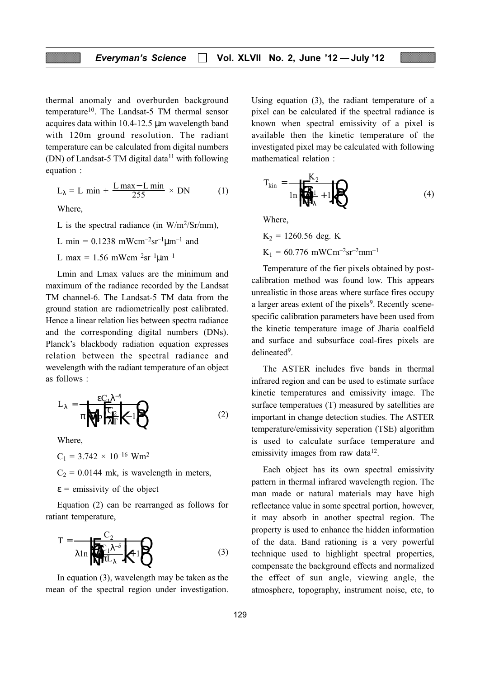thermal anomaly and overburden background temperature<sup>10</sup>. The Landsat-5 TM thermal sensor acquires data within 10.4-12.5 µm wavelength band with 120m ground resolution. The radiant temperature can be calculated from digital numbers (DN) of Landsat-5 TM digital data<sup>11</sup> with following equation :

$$
L_{\lambda} = L \min + \frac{L \max - L \min}{255} \times DN
$$
 (1)

Where,

L is the spectral radiance (in  $W/m^2/Sr/mm$ ),

L min =  $0.1238$  mWcm<sup>-2</sup>sr<sup>-1</sup>um<sup>-1</sup> and

L max =  $1.56$  mWcm<sup>-2</sup>sr<sup>-1</sup> $\mu$ m<sup>-1</sup>

Lmin and Lmax values are the minimum and maximum of the radiance recorded by the Landsat TM channel-6. The Landsat-5 TM data from the ground station are radiometrically post calibrated. Hence a linear relation lies between spectra radiance and the corresponding digital numbers (DNs). Planck's blackbody radiation equation expresses relation between the spectral radiance and wevelength with the radiant temperature of an object as follows :

$$
L_{\lambda} = \frac{\varepsilon C_1 \lambda^{-5}}{\pi \|\mathbf{F} \times \mathbf{P}\| \frac{C_2}{\lambda T} \|\mathbf{F} - \mathbf{P}\|}
$$
(2)

Where,

 $C_1 = 3.742 \times 10^{-16}$  Wm<sup>2</sup>

 $C_2$  = 0.0144 mk, is wavelength in meters,

 $\epsilon$  = emissivity of the object

Equation (2) can be rearranged as follows for ratiant temperature,

$$
T = \frac{C_2}{\lambda \ln \left| \frac{\text{EC}_1 \lambda^{-5}}{\pi L_\lambda} \right| + 1}
$$
 (3)

In equation (3), wavelength may be taken as the mean of the spectral region under investigation. Using equation (3), the radiant temperature of a pixel can be calculated if the spectral radiance is known when spectral emissivity of a pixel is available then the kinetic temperature of the investigated pixel may be calculated with following mathematical relation :

$$
T_{\text{kin}} = \frac{K_2}{\ln\left(\frac{K_1}{L_\lambda} + 1\right)}\tag{4}
$$

Where,

 $K_2$  = 1260.56 deg. K  $K_1 = 60.776$  mWCm<sup>-2</sup>sr<sup>-2</sup>mm<sup>-1</sup>

Temperature of the fier pixels obtained by postcalibration method was found low. This appears unrealistic in those areas where surface fires occupy a larger areas extent of the pixels<sup>9</sup>. Recently scenespecific calibration parameters have been used from the kinetic temperature image of Jharia coalfield and surface and subsurface coal-fires pixels are delineated<sup>9</sup>.

The ASTER includes five bands in thermal infrared region and can be used to estimate surface kinetic temperatures and emissivity image. The surface temperatues (T) measured by satellities are important in change detection studies. The ASTER temperature/emissivity seperation (TSE) algorithm is used to calculate surface temperature and emissivity images from raw data<sup>12</sup>.

Each object has its own spectral emissivity pattern in thermal infrared wavelength region. The man made or natural materials may have high reflectance value in some spectral portion, however, it may absorb in another spectral region. The property is used to enhance the hidden information of the data. Band rationing is a very powerful technique used to highlight spectral properties, compensate the background effects and normalized the effect of sun angle, viewing angle, the atmosphere, topography, instrument noise, etc, to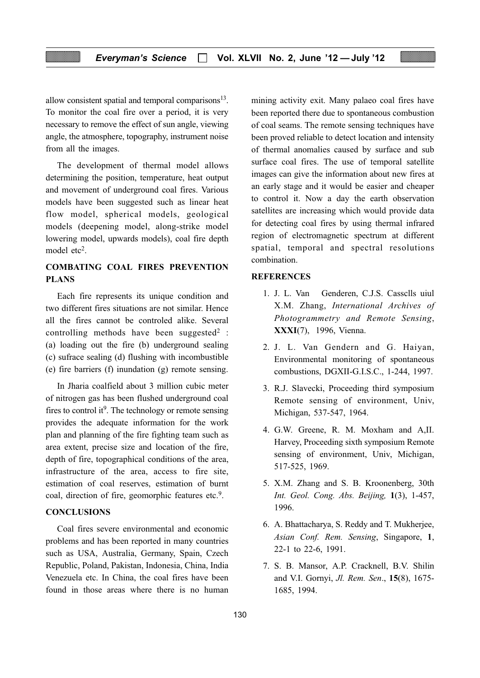allow consistent spatial and temporal comparisons $13$ . To monitor the coal fire over a period, it is very necessary to remove the effect of sun angle, viewing angle, the atmosphere, topography, instrument noise from all the images.

The development of thermal model allows determining the position, temperature, heat output and movement of underground coal fires. Various models have been suggested such as linear heat flow model, spherical models, geological models (deepening model, along-strike model lowering model, upwards models), coal fire depth model  $etc<sup>2</sup>$ .

# COMBATING COAL FIRES PREVENTION PLANS

Each fire represents its unique condition and two different fires situations are not similar. Hence all the fires cannot be controled alike. Several controlling methods have been suggested<sup>2</sup> : (a) loading out the fire (b) underground sealing (c) sufrace sealing (d) flushing with incombustible (e) fire barriers (f) inundation (g) remote sensing.

In Jharia coalfield about 3 million cubic meter of nitrogen gas has been flushed underground coal fires to control it<sup>9</sup>. The technology or remote sensing provides the adequate information for the work plan and planning of the fire fighting team such as area extent, precise size and location of the fire, depth of fire, topographical conditions of the area, infrastructure of the area, access to fire site, estimation of coal reserves, estimation of burnt coal, direction of fire, geomorphic features etc.<sup>9</sup>.

# **CONCLUSIONS**

Coal fires severe environmental and economic problems and has been reported in many countries such as USA, Australia, Germany, Spain, Czech Republic, Poland, Pakistan, Indonesia, China, India Venezuela etc. In China, the coal fires have been found in those areas where there is no human

mining activity exit. Many palaeo coal fires have been reported there due to spontaneous combustion of coal seams. The remote sensing techniques have been proved reliable to detect location and intensity of thermal anomalies caused by surface and sub surface coal fires. The use of temporal satellite images can give the information about new fires at an early stage and it would be easier and cheaper to control it. Now a day the earth observation satellites are increasing which would provide data for detecting coal fires by using thermal infrared region of electromagnetic spectrum at different spatial, temporal and spectral resolutions combination.

## **REFERENCES**

- 1. J. L. Van Genderen, C.J.S. Cassclls uiul X.M. Zhang, International Archives of Photogrammetry and Remote Sensing, XXXI(7), 1996, Vienna.
- 2. J. L. Van Gendern and G. Haiyan, Environmental monitoring of spontaneous combustions, DGXII-G.I.S.C., 1-244, 1997.
- 3. R.J. Slavecki, Proceeding third symposium Remote sensing of environment, Univ, Michigan, 537-547, 1964.
- 4. G.W. Greene, R. M. Moxham and A,II. Harvey, Proceeding sixth symposium Remote sensing of environment, Univ, Michigan, 517-525, 1969.
- 5. X.M. Zhang and S. B. Kroonenberg, 30th Int. Geol. Cong. Abs. Beijing, 1(3), 1-457, 1996.
- 6. A. Bhattacharya, S. Reddy and T. Mukherjee, Asian Conf. Rem. Sensing, Singapore, 1, 22-1 to 22-6, 1991.
- 7. S. B. Mansor, A.P. Cracknell, B.V. Shilin and V.I. Gornyi, Jl. Rem. Sen., 15(8), 1675- 1685, 1994.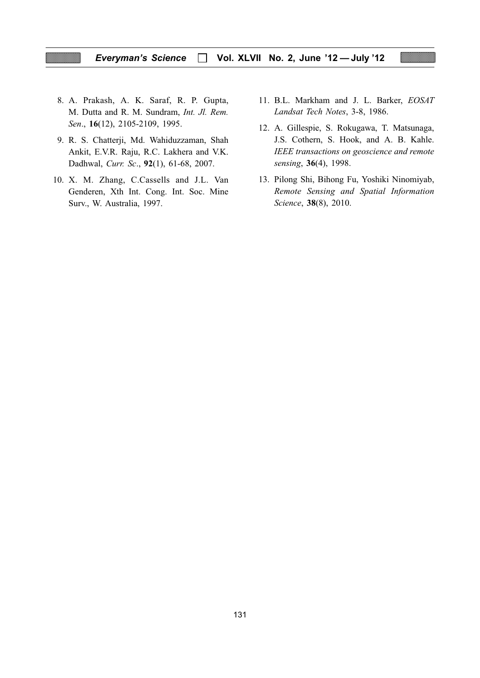# Everyman's Science □ Vol. XLVII No. 2, June '12 - July '12

- 8. A. Prakash, A. K. Saraf, R. P. Gupta, M. Dutta and R. M. Sundram, Int. Jl. Rem. Sen., 16(12), 2105-2109, 1995.
- 9. R. S. Chatterji, Md. Wahiduzzaman, Shah Ankit, E.V.R. Raju, R.C. Lakhera and V.K. Dadhwal, Curr. Sc., 92(1), 61-68, 2007.
- 10. X. M. Zhang, C.Cassells and J.L. Van Genderen, Xth Int. Cong. Int. Soc. Mine Surv., W. Australia, 1997.
- 11. B.L. Markham and J. L. Barker, EOSAT Landsat Tech Notes, 3-8, 1986.
- 12. A. Gillespie, S. Rokugawa, T. Matsunaga, J.S. Cothern, S. Hook, and A. B. Kahle. IEEE transactions on geoscience and remote sensing, 36(4), 1998.
- 13. Pilong Shi, Bihong Fu, Yoshiki Ninomiyab, Remote Sensing and Spatial Information Science, 38(8), 2010.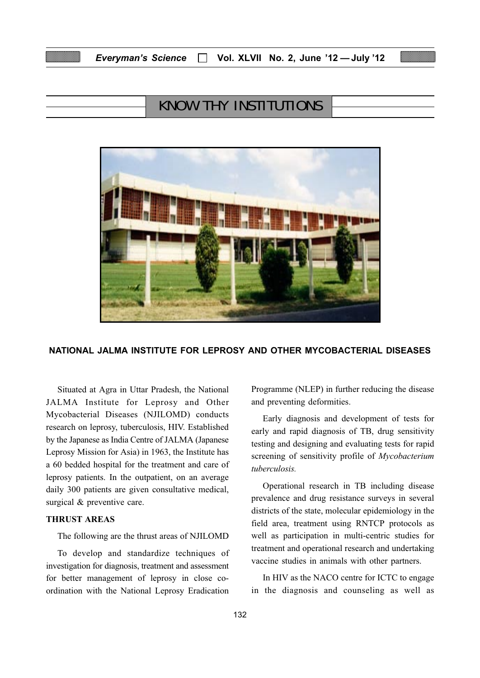# KNOW THY INSTITUTIONS



#### NATIONAL JALMA INSTITUTE FOR LEPROSY AND OTHER MYCOBACTERIAL DISEASES

Situated at Agra in Uttar Pradesh, the National JALMA Institute for Leprosy and Other Mycobacterial Diseases (NJILOMD) conducts research on leprosy, tuberculosis, HIV. Established by the Japanese as India Centre of JALMA (Japanese Leprosy Mission for Asia) in 1963, the Institute has a 60 bedded hospital for the treatment and care of leprosy patients. In the outpatient, on an average daily 300 patients are given consultative medical, surgical & preventive care.

# THRUST AREAS

The following are the thrust areas of NJILOMD

To develop and standardize techniques of investigation for diagnosis, treatment and assessment for better management of leprosy in close coordination with the National Leprosy Eradication Programme (NLEP) in further reducing the disease and preventing deformities.

Early diagnosis and development of tests for early and rapid diagnosis of TB, drug sensitivity testing and designing and evaluating tests for rapid screening of sensitivity profile of Mycobacterium tuberculosis.

Operational research in TB including disease prevalence and drug resistance surveys in several districts of the state, molecular epidemiology in the field area, treatment using RNTCP protocols as well as participation in multi-centric studies for treatment and operational research and undertaking vaccine studies in animals with other partners.

In HIV as the NACO centre for ICTC to engage in the diagnosis and counseling as well as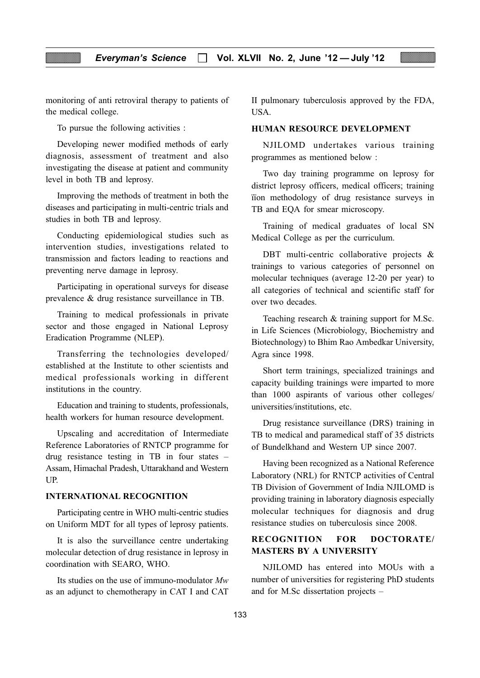monitoring of anti retroviral therapy to patients of the medical college.

To pursue the following activities :

Developing newer modified methods of early diagnosis, assessment of treatment and also investigating the disease at patient and community level in both TB and leprosy.

Improving the methods of treatment in both the diseases and participating in multi-centric trials and studies in both TB and leprosy.

Conducting epidemiological studies such as intervention studies, investigations related to transmission and factors leading to reactions and preventing nerve damage in leprosy.

Participating in operational surveys for disease prevalence & drug resistance surveillance in TB.

Training to medical professionals in private sector and those engaged in National Leprosy Eradication Programme (NLEP).

Transferring the technologies developed/ established at the Institute to other scientists and medical professionals working in different institutions in the country.

Education and training to students, professionals, health workers for human resource development.

Upscaling and accreditation of Intermediate Reference Laboratories of RNTCP programme for drug resistance testing in TB in four states – Assam, Himachal Pradesh, Uttarakhand and Western UP.

# INTERNATIONAL RECOGNITION

Participating centre in WHO multi-centric studies on Uniform MDT for all types of leprosy patients.

It is also the surveillance centre undertaking molecular detection of drug resistance in leprosy in coordination with SEARO, WHO.

Its studies on the use of immuno-modulator Mw as an adjunct to chemotherapy in CAT I and CAT

II pulmonary tuberculosis approved by the FDA, USA.

#### HUMAN RESOURCE DEVELOPMENT

NJILOMD undertakes various training programmes as mentioned below :

Two day training programme on leprosy for district leprosy officers, medical officers; training ïïon methodology of drug resistance surveys in TB and EQA for smear microscopy.

Training of medical graduates of local SN Medical College as per the curriculum.

DBT multi-centric collaborative projects & trainings to various categories of personnel on molecular techniques (average 12-20 per year) to all categories of technical and scientific staff for over two decades.

Teaching research & training support for M.Sc. in Life Sciences (Microbiology, Biochemistry and Biotechnology) to Bhim Rao Ambedkar University, Agra since 1998.

Short term trainings, specialized trainings and capacity building trainings were imparted to more than 1000 aspirants of various other colleges/ universities/institutions, etc.

Drug resistance surveillance (DRS) training in TB to medical and paramedical staff of 35 districts of Bundelkhand and Western UP since 2007.

Having been recognized as a National Reference Laboratory (NRL) for RNTCP activities of Central TB Division of Government of India NJILOMD is providing training in laboratory diagnosis especially molecular techniques for diagnosis and drug resistance studies on tuberculosis since 2008.

# RECOGNITION FOR DOCTORATE/ MASTERS BY A UNIVERSITY

NJILOMD has entered into MOUs with a number of universities for registering PhD students and for M.Sc dissertation projects –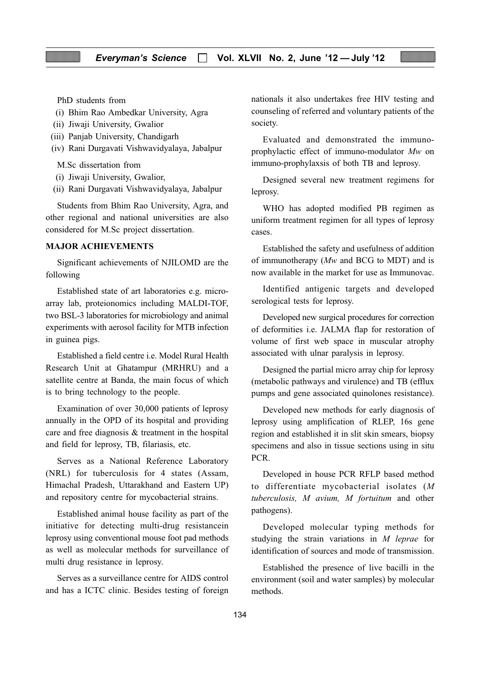PhD students from

- (i) Bhim Rao Ambedkar University, Agra
- (ii) Jiwaji University, Gwalior
- (iii) Panjab University, Chandigarh
- (iv) Rani Durgavati Vishwavidyalaya, Jabalpur

M.Sc dissertation from

- (i) Jiwaji University, Gwalior,
- (ii) Rani Durgavati Vishwavidyalaya, Jabalpur

Students from Bhim Rao University, Agra, and other regional and national universities are also considered for M.Sc project dissertation.

#### MAJOR ACHIEVEMENTS

Significant achievements of NJILOMD are the following

Established state of art laboratories e.g. microarray lab, proteionomics including MALDI-TOF, two BSL-3 laboratories for microbiology and animal experiments with aerosol facility for MTB infection in guinea pigs.

Established a field centre i.e. Model Rural Health Research Unit at Ghatampur (MRHRU) and a satellite centre at Banda, the main focus of which is to bring technology to the people.

Examination of over 30,000 patients of leprosy annually in the OPD of its hospital and providing care and free diagnosis & treatment in the hospital and field for leprosy, TB, filariasis, etc.

Serves as a National Reference Laboratory (NRL) for tuberculosis for 4 states (Assam, Himachal Pradesh, Uttarakhand and Eastern UP) and repository centre for mycobacterial strains.

Established animal house facility as part of the initiative for detecting multi-drug resistancein leprosy using conventional mouse foot pad methods as well as molecular methods for surveillance of multi drug resistance in leprosy.

Serves as a surveillance centre for AIDS control and has a ICTC clinic. Besides testing of foreign nationals it also undertakes free HIV testing and counseling of referred and voluntary patients of the society.

Evaluated and demonstrated the immunoprophylactic effect of immuno-modulator Mw on immuno-prophylaxsis of both TB and leprosy.

Designed several new treatment regimens for leprosy.

WHO has adopted modified PB regimen as uniform treatment regimen for all types of leprosy cases.

Established the safety and usefulness of addition of immunotherapy  $(Mw$  and BCG to MDT) and is now available in the market for use as Immunovac.

Identified antigenic targets and developed serological tests for leprosy.

Developed new surgical procedures for correction of deformities i.e. JALMA flap for restoration of volume of first web space in muscular atrophy associated with ulnar paralysis in leprosy.

Designed the partial micro array chip for leprosy (metabolic pathways and virulence) and TB (efflux pumps and gene associated quinolones resistance).

Developed new methods for early diagnosis of leprosy using amplification of RLEP, 16s gene region and established it in slit skin smears, biopsy specimens and also in tissue sections using in situ PCR.

Developed in house PCR RFLP based method to differentiate mycobacterial isolates (M tuberculosis, M avium, M fortuitum and other pathogens).

Developed molecular typing methods for studying the strain variations in M leprae for identification of sources and mode of transmission.

Established the presence of live bacilli in the environment (soil and water samples) by molecular methods.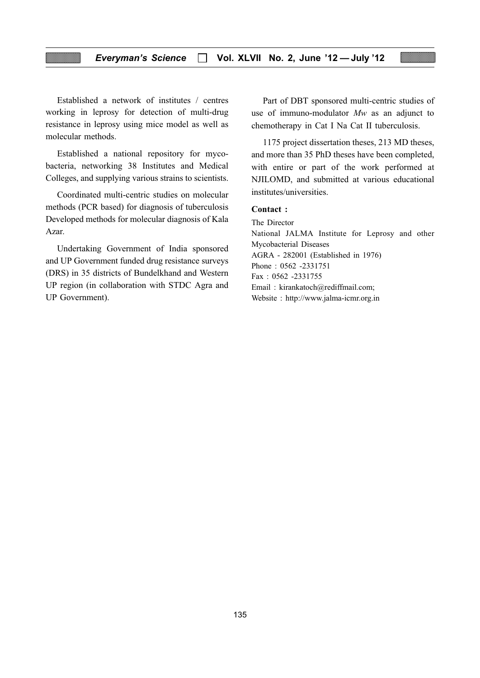# Everyman's Science □ Vol. XLVII No. 2, June '12 - July '12

Established a network of institutes / centres working in leprosy for detection of multi-drug resistance in leprosy using mice model as well as molecular methods.

Established a national repository for mycobacteria, networking 38 Institutes and Medical Colleges, and supplying various strains to scientists.

Coordinated multi-centric studies on molecular methods (PCR based) for diagnosis of tuberculosis Developed methods for molecular diagnosis of Kala Azar.

Undertaking Government of India sponsored and UP Government funded drug resistance surveys (DRS) in 35 districts of Bundelkhand and Western UP region (in collaboration with STDC Agra and UP Government).

Part of DBT sponsored multi-centric studies of use of immuno-modulator Mw as an adjunct to chemotherapy in Cat I Na Cat II tuberculosis.

1175 project dissertation theses, 213 MD theses, and more than 35 PhD theses have been completed, with entire or part of the work performed at NJILOMD, and submitted at various educational institutes/universities.

#### Contact :

The Director National JALMA Institute for Leprosy and other Mycobacterial Diseases AGRA - 282001 (Established in 1976) Phone : 0562 -2331751 Fax : 0562 -2331755 Email : kirankatoch@rediffmail.com; Website : http://www.jalma-icmr.org.in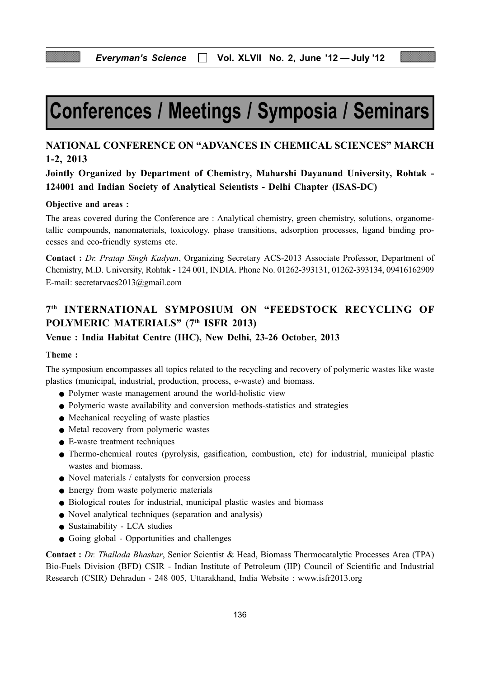# Conferences / Meetings / Symposia / Seminars

# NATIONAL CONFERENCE ON "ADVANCES IN CHEMICAL SCIENCES" MARCH 1-2, 2013

Jointly Organized by Department of Chemistry, Maharshi Dayanand University, Rohtak - 124001 and Indian Society of Analytical Scientists - Delhi Chapter (ISAS-DC)

#### Objective and areas :

The areas covered during the Conference are : Analytical chemistry, green chemistry, solutions, organometallic compounds, nanomaterials, toxicology, phase transitions, adsorption processes, ligand binding processes and eco-friendly systems etc.

Contact : Dr. Pratap Singh Kadyan, Organizing Secretary ACS-2013 Associate Professor, Department of Chemistry, M.D. University, Rohtak - 124 001, INDIA. Phone No. 01262-393131, 01262-393134, 09416162909 E-mail: secretarvacs2013@gmail.com

# 7th INTERNATIONAL SYMPOSIUM ON "FEEDSTOCK RECYCLING OF POLYMERIC MATERIALS" (7th ISFR 2013)

# Venue : India Habitat Centre (IHC), New Delhi, 23-26 October, 2013

#### Theme :

The symposium encompasses all topics related to the recycling and recovery of polymeric wastes like waste plastics (municipal, industrial, production, process, e-waste) and biomass.

- Polymer waste management around the world-holistic view
- Polymeric waste availability and conversion methods-statistics and strategies
- Mechanical recycling of waste plastics
- Metal recovery from polymeric wastes
- E-waste treatment techniques
- Thermo-chemical routes (pyrolysis, gasification, combustion, etc) for industrial, municipal plastic wastes and biomass.
- Novel materials / catalysts for conversion process
- Energy from waste polymeric materials
- Biological routes for industrial, municipal plastic wastes and biomass
- Novel analytical techniques (separation and analysis)
- Sustainability LCA studies
- Going global Opportunities and challenges

Contact : Dr. Thallada Bhaskar, Senior Scientist & Head, Biomass Thermocatalytic Processes Area (TPA) Bio-Fuels Division (BFD) CSIR - Indian Institute of Petroleum (IIP) Council of Scientific and Industrial Research (CSIR) Dehradun - 248 005, Uttarakhand, India Website : www.isfr2013.org